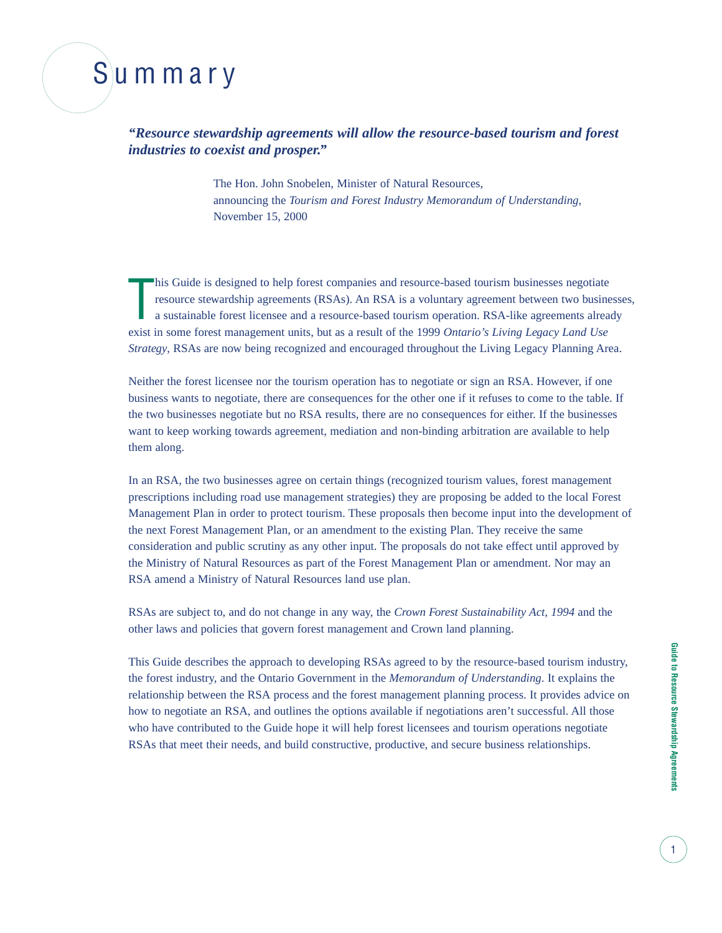# Summary

*"Resource stewardship agreements will allow the resource-based tourism and forest industries to coexist and prosper."*

> The Hon. John Snobelen, Minister of Natural Resources, announcing the *Tourism and Forest Industry Memorandum of Understanding*, November 15, 2000

T his Guide is designed to help forest companies and resource-based tourism businesses negotiate resource stewardship agreements (RSAs). An RSA is a voluntary agreement between two businesses, a sustainable forest licensee and a resource-based tourism operation. RSA-like agreements already exist in some forest management units, but as a result of the 1999 *Ontario's Living Legacy Land Use Strategy*, RSAs are now being recognized and encouraged throughout the Living Legacy Planning Area.

Neither the forest licensee nor the tourism operation has to negotiate or sign an RSA. However, if one business wants to negotiate, there are consequences for the other one if it refuses to come to the table. If the two businesses negotiate but no RSA results, there are no consequences for either. If the businesses want to keep working towards agreement, mediation and non-binding arbitration are available to help them along.

In an RSA, the two businesses agree on certain things (recognized tourism values, forest management prescriptions including road use management strategies) they are proposing be added to the local Forest Management Plan in order to protect tourism. These proposals then become input into the development of the next Forest Management Plan, or an amendment to the existing Plan. They receive the same consideration and public scrutiny as any other input. The proposals do not take effect until approved by the Ministry of Natural Resources as part of the Forest Management Plan or amendment. Nor may an RSA amend a Ministry of Natural Resources land use plan.

RSAs are subject to, and do not change in any way, the *Crown Forest Sustainability Act, 1994* and the other laws and policies that govern forest management and Crown land planning.

This Guide describes the approach to developing RSAs agreed to by the resource-based tourism industry, the forest industry, and the Ontario Government in the *Memorandum of Understanding*. It explains the relationship between the RSA process and the forest management planning process. It provides advice on how to negotiate an RSA, and outlines the options available if negotiations aren't successful. All those who have contributed to the Guide hope it will help forest licensees and tourism operations negotiate RSAs that meet their needs, and build constructive, productive, and secure business relationships.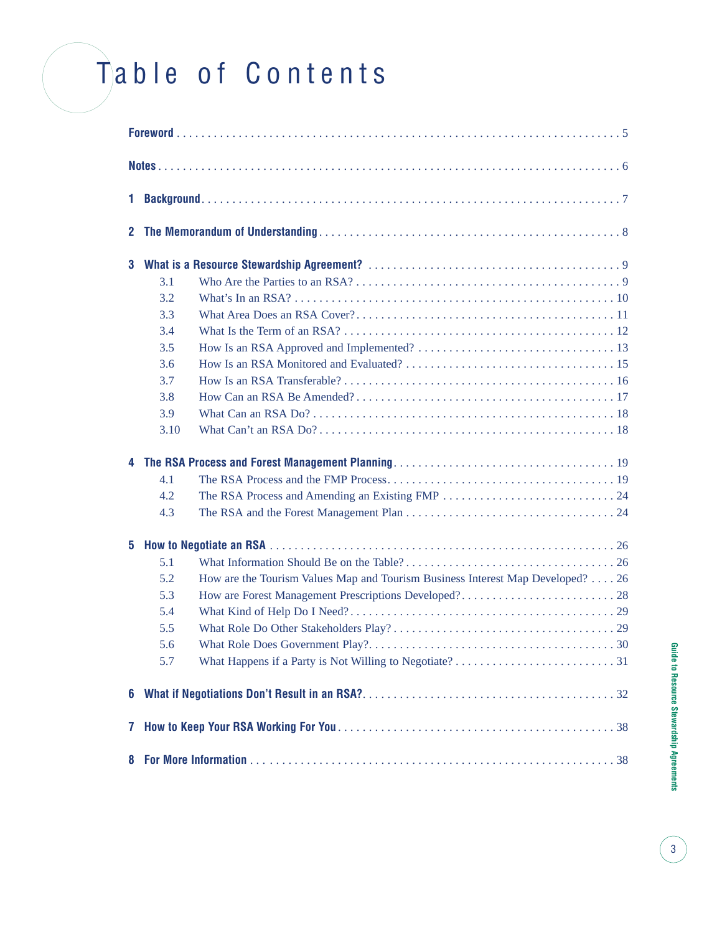# Table of Contents

| 1            |      |                                                                                |
|--------------|------|--------------------------------------------------------------------------------|
| $\mathbf{2}$ |      |                                                                                |
| 3            |      |                                                                                |
|              | 3.1  |                                                                                |
|              | 3.2  |                                                                                |
|              | 3.3  |                                                                                |
|              | 3.4  |                                                                                |
|              | 3.5  |                                                                                |
|              | 3.6  |                                                                                |
|              | 3.7  |                                                                                |
|              | 3.8  |                                                                                |
|              | 3.9  |                                                                                |
|              | 3.10 |                                                                                |
|              |      |                                                                                |
|              | 4.1  |                                                                                |
|              | 4.2  |                                                                                |
|              | 4.3  |                                                                                |
| 5            |      |                                                                                |
|              | 5.1  |                                                                                |
|              | 5.2  | How are the Tourism Values Map and Tourism Business Interest Map Developed? 26 |
|              | 5.3  |                                                                                |
|              | 5.4  |                                                                                |
|              | 5.5  |                                                                                |
|              | 5.6  |                                                                                |
|              | 5.7  |                                                                                |
| 6            |      |                                                                                |
| 7            |      |                                                                                |
| 8            |      |                                                                                |

 $\begin{bmatrix} 3 \end{bmatrix}$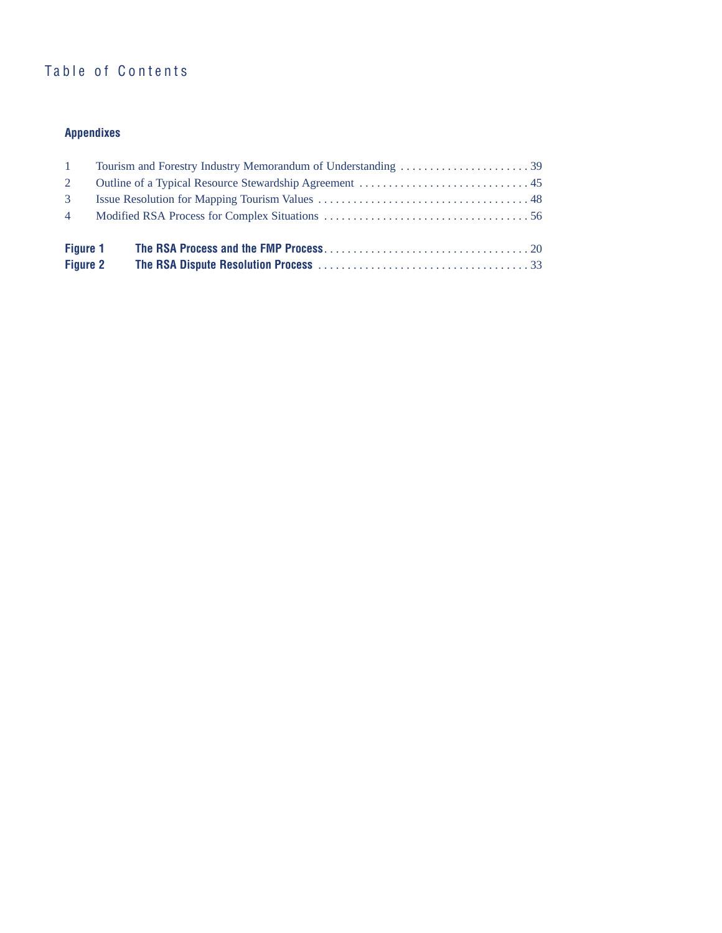### Table of Contents

### **Appendixes**

| $\sim$ 1                           |  |  |
|------------------------------------|--|--|
| 2                                  |  |  |
| $\mathcal{B}$                      |  |  |
| $\overline{4}$                     |  |  |
| <b>Figure 1</b><br><b>Figure 2</b> |  |  |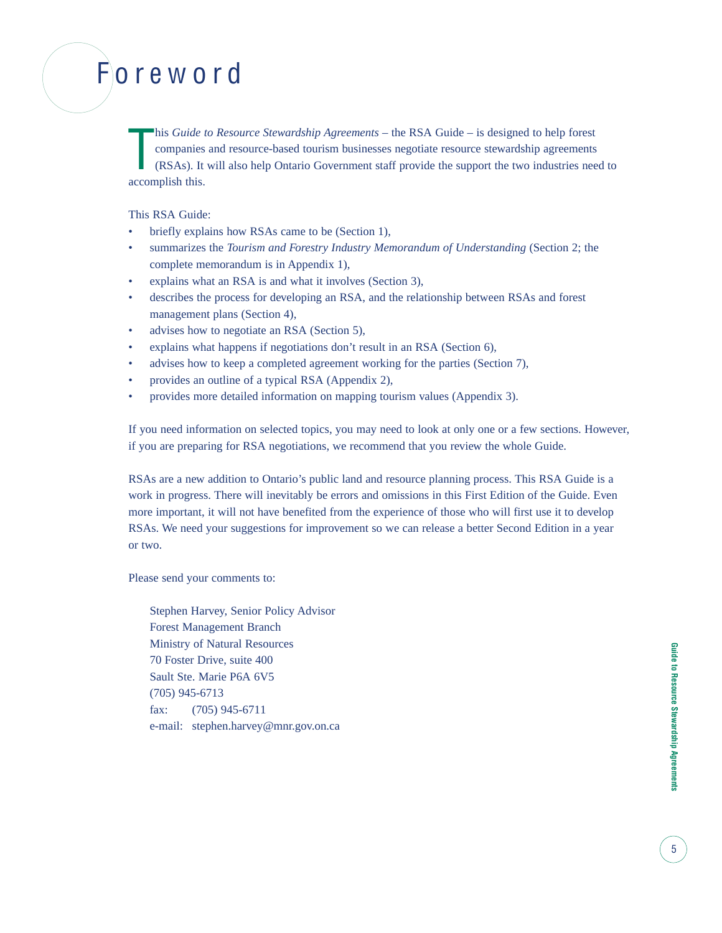# Foreword

T his *Guide to Resource Stewardship Agreements* – the RSA Guide – is designed to help forest companies and resource-based tourism businesses negotiate resource stewardship agreements (RSAs). It will also help Ontario Government staff provide the support the two industries need to accomplish this.

#### This RSA Guide:

- briefly explains how RSAs came to be (Section 1),
- summarizes the *Tourism and Forestry Industry Memorandum of Understanding* (Section 2; the complete memorandum is in Appendix 1),
- explains what an RSA is and what it involves (Section 3),
- describes the process for developing an RSA, and the relationship between RSAs and forest management plans (Section 4),
- advises how to negotiate an RSA (Section 5),
- explains what happens if negotiations don't result in an RSA (Section 6),
- advises how to keep a completed agreement working for the parties (Section 7),
- provides an outline of a typical RSA (Appendix 2),
- provides more detailed information on mapping tourism values (Appendix 3).

If you need information on selected topics, you may need to look at only one or a few sections. However, if you are preparing for RSA negotiations, we recommend that you review the whole Guide.

RSAs are a new addition to Ontario's public land and resource planning process. This RSA Guide is a work in progress. There will inevitably be errors and omissions in this First Edition of the Guide. Even more important, it will not have benefited from the experience of those who will first use it to develop RSAs. We need your suggestions for improvement so we can release a better Second Edition in a year or two.

Please send your comments to:

Stephen Harvey, Senior Policy Advisor Forest Management Branch Ministry of Natural Resources 70 Foster Drive, suite 400 Sault Ste. Marie P6A 6V5 (705) 945-6713 fax: (705) 945-6711 e-mail: stephen.harvey@mnr.gov.on.ca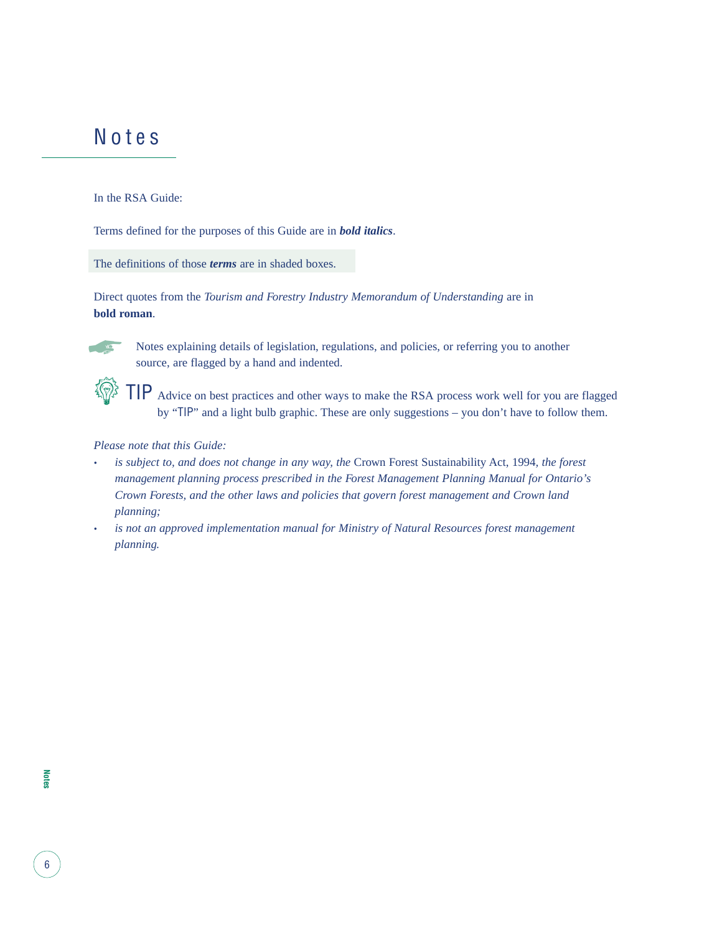### Notes

In the RSA Guide:

Terms defined for the purposes of this Guide are in *bold italics*.

The definitions of those *terms* are in shaded boxes.

Direct quotes from the *Tourism and Forestry Industry Memorandum of Understanding* are in **bold roman**.



Notes explaining details of legislation, regulations, and policies, or referring you to another source, are flagged by a hand and indented.

TIP Advice on best practices and other ways to make the RSA process work well for you are flagged by "TIP" and a light bulb graphic. These are only suggestions – you don't have to follow them.

#### *Please note that this Guide:*

- *• is subject to, and does not change in any way, the* Crown Forest Sustainability Act, 1994*, the forest management planning process prescribed in the Forest Management Planning Manual for Ontario's Crown Forests, and the other laws and policies that govern forest management and Crown land planning;*
- *• is not an approved implementation manual for Ministry of Natural Resources forest management planning.*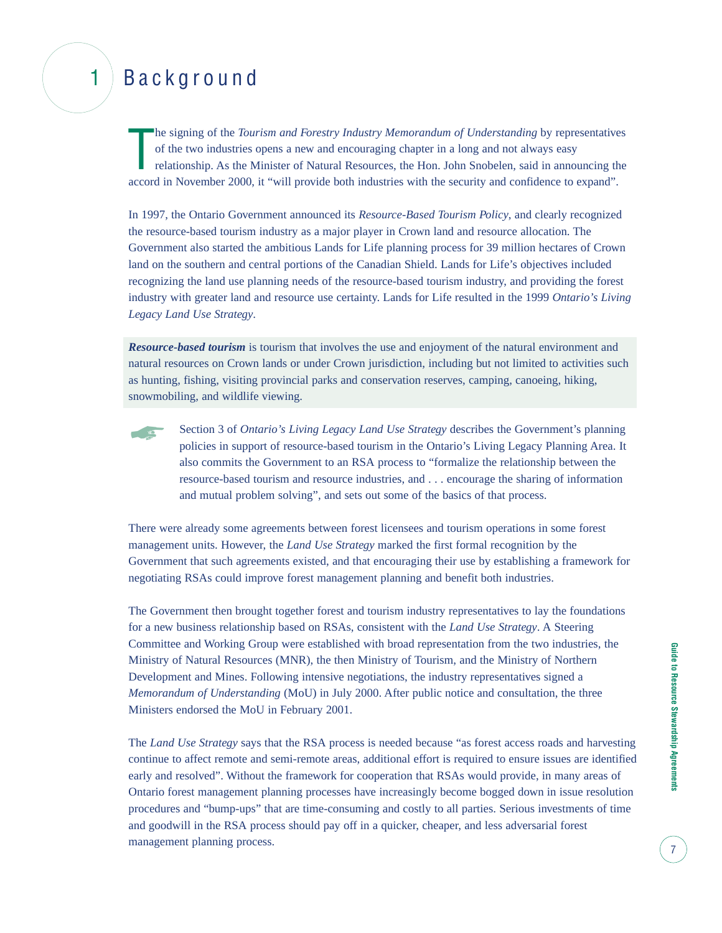## 1 Background

The signing of the *Tourism and Forestry Industry Memorandum of Understanding* by representative of the two industries opens a new and encouraging chapter in a long and not always easy relationship. As the Minister of Natu he signing of the *Tourism and Forestry Industry Memorandum of Understanding* by representatives of the two industries opens a new and encouraging chapter in a long and not always easy relationship. As the Minister of Natural Resources, the Hon. John Snobelen, said in announcing the

In 1997, the Ontario Government announced its *Resource-Based Tourism Policy*, and clearly recognized the resource-based tourism industry as a major player in Crown land and resource allocation. The Government also started the ambitious Lands for Life planning process for 39 million hectares of Crown land on the southern and central portions of the Canadian Shield. Lands for Life's objectives included recognizing the land use planning needs of the resource-based tourism industry, and providing the forest industry with greater land and resource use certainty. Lands for Life resulted in the 1999 *Ontario's Living Legacy Land Use Strategy*.

*Resource-based tourism* is tourism that involves the use and enjoyment of the natural environment and natural resources on Crown lands or under Crown jurisdiction, including but not limited to activities such as hunting, fishing, visiting provincial parks and conservation reserves, camping, canoeing, hiking, snowmobiling, and wildlife viewing.



There were already some agreements between forest licensees and tourism operations in some forest management units. However, the *Land Use Strategy* marked the first formal recognition by the Government that such agreements existed, and that encouraging their use by establishing a framework for negotiating RSAs could improve forest management planning and benefit both industries.

The Government then brought together forest and tourism industry representatives to lay the foundations for a new business relationship based on RSAs, consistent with the *Land Use Strategy*. A Steering Committee and Working Group were established with broad representation from the two industries, the Ministry of Natural Resources (MNR), the then Ministry of Tourism, and the Ministry of Northern Development and Mines. Following intensive negotiations, the industry representatives signed a *Memorandum of Understanding* (MoU) in July 2000. After public notice and consultation, the three Ministers endorsed the MoU in February 2001.

The *Land Use Strategy* says that the RSA process is needed because "as forest access roads and harvesting continue to affect remote and semi-remote areas, additional effort is required to ensure issues are identified early and resolved". Without the framework for cooperation that RSAs would provide, in many areas of Ontario forest management planning processes have increasingly become bogged down in issue resolution procedures and "bump-ups" that are time-consuming and costly to all parties. Serious investments of time and goodwill in the RSA process should pay off in a quicker, cheaper, and less adversarial forest management planning process.

7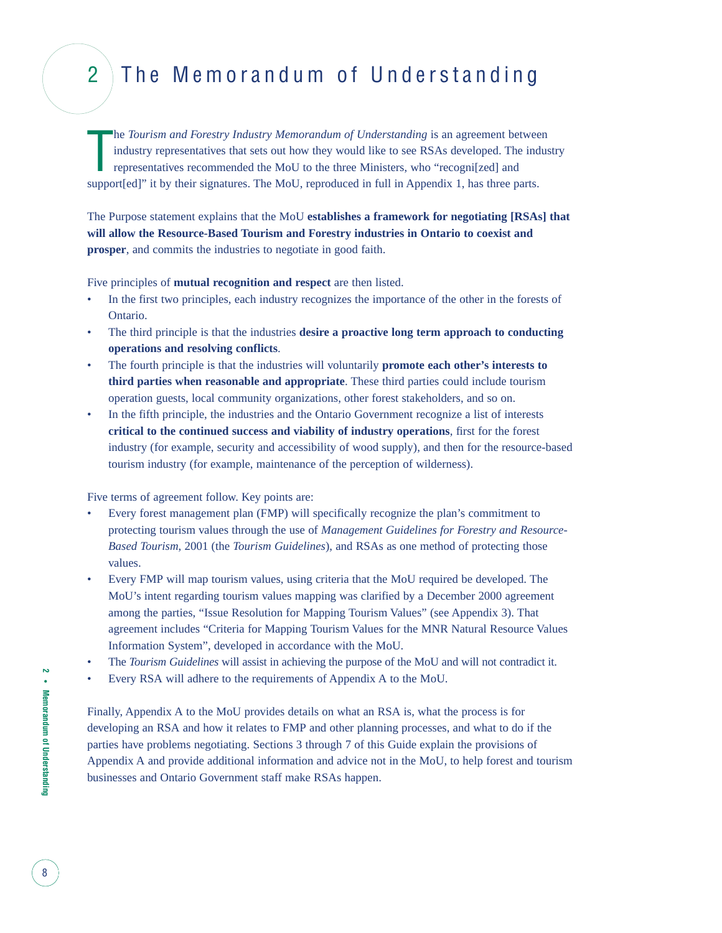## 2 The Memorandum of Understanding

T he *Tourism and Forestry Industry Memorandum of Understanding* is an agreement between industry representatives that sets out how they would like to see RSAs developed. The industry representatives recommended the MoU to the three Ministers, who "recogni[zed] and support[ed]" it by their signatures. The MoU, reproduced in full in Appendix 1, has three parts.

The Purpose statement explains that the MoU **establishes a framework for negotiating [RSAs] that will allow the Resource-Based Tourism and Forestry industries in Ontario to coexist and prosper**, and commits the industries to negotiate in good faith.

Five principles of **mutual recognition and respect** are then listed.

- In the first two principles, each industry recognizes the importance of the other in the forests of Ontario.
- The third principle is that the industries **desire a proactive long term approach to conducting operations and resolving conflicts**.
- The fourth principle is that the industries will voluntarily **promote each other's interests to third parties when reasonable and appropriate**. These third parties could include tourism operation guests, local community organizations, other forest stakeholders, and so on.
- In the fifth principle, the industries and the Ontario Government recognize a list of interests **critical to the continued success and viability of industry operations**, first for the forest industry (for example, security and accessibility of wood supply), and then for the resource-based tourism industry (for example, maintenance of the perception of wilderness).

Five terms of agreement follow. Key points are:

- Every forest management plan (FMP) will specifically recognize the plan's commitment to protecting tourism values through the use of *Management Guidelines for Forestry and Resource-Based Tourism*, 2001 (the *Tourism Guidelines*), and RSAs as one method of protecting those values.
- Every FMP will map tourism values, using criteria that the MoU required be developed. The MoU's intent regarding tourism values mapping was clarified by a December 2000 agreement among the parties, "Issue Resolution for Mapping Tourism Values" (see Appendix 3). That agreement includes "Criteria for Mapping Tourism Values for the MNR Natural Resource Values Information System", developed in accordance with the MoU.
- The *Tourism Guidelines* will assist in achieving the purpose of the MoU and will not contradict it.
- Every RSA will adhere to the requirements of Appendix A to the MoU.

Finally, Appendix A to the MoU provides details on what an RSA is, what the process is for developing an RSA and how it relates to FMP and other planning processes, and what to do if the parties have problems negotiating. Sections 3 through 7 of this Guide explain the provisions of Appendix A and provide additional information and advice not in the MoU, to help forest and tourism businesses and Ontario Government staff make RSAs happen.

**2 •** Memorandum of Understanding **Memorandum of Understanding**

8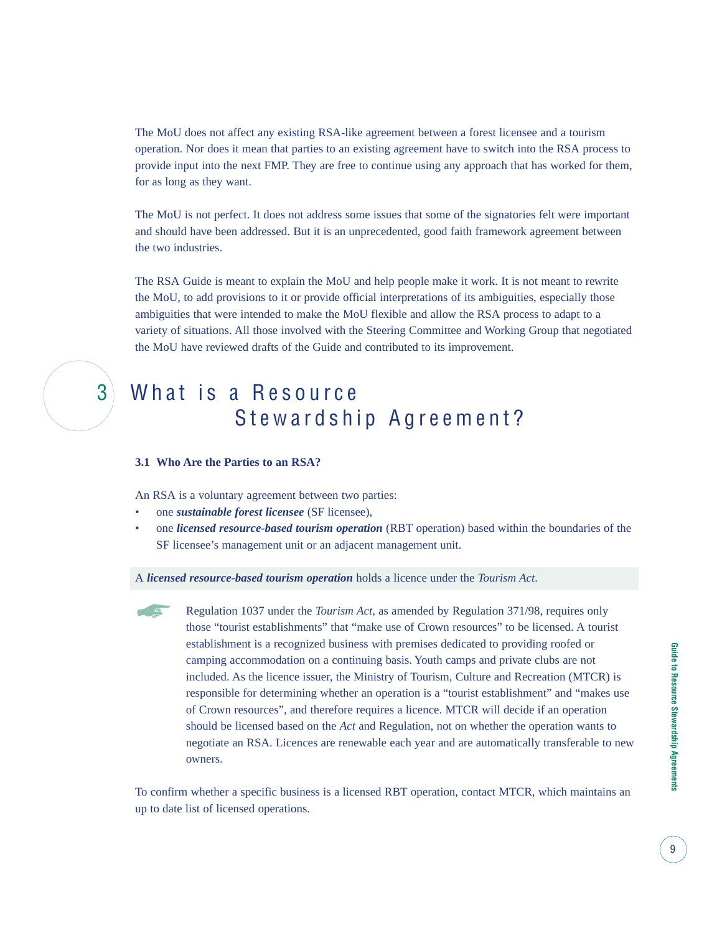The MoU does not affect any existing RSA-like agreement between a forest licensee and a tourism operation. Nor does it mean that parties to an existing agreement have to switch into the RSA process to provide input into the next FMP. They are free to continue using any approach that has worked for them, for as long as they want.

The MoU is not perfect. It does not address some issues that some of the signatories felt were important and should have been addressed. But it is an unprecedented, good faith framework agreement between the two industries.

The RSA Guide is meant to explain the MoU and help people make it work. It is not meant to rewrite the MoU, to add provisions to it or provide official interpretations of its ambiguities, especially those ambiguities that were intended to make the MoU flexible and allow the RSA process to adapt to a variety of situations. All those involved with the Steering Committee and Working Group that negotiated the MoU have reviewed drafts of the Guide and contributed to its improvement.

### 3 What is a Resource Stewardship Agreement?

#### **3.1 Who Are the Parties to an RSA?**

An RSA is a voluntary agreement between two parties:

- one *sustainable forest licensee* (SF licensee),
- one *licensed resource-based tourism operation* (RBT operation) based within the boundaries of the SF licensee's management unit or an adjacent management unit.

A *licensed resource-based tourism operation* holds a licence under the *Tourism Act*.

 $\overline{a}$ 

Regulation 1037 under the *Tourism Act,* as amended by Regulation 371/98, requires only those "tourist establishments" that "make use of Crown resources" to be licensed. A tourist establishment is a recognized business with premises dedicated to providing roofed or camping accommodation on a continuing basis. Youth camps and private clubs are not included. As the licence issuer, the Ministry of Tourism, Culture and Recreation (MTCR) is responsible for determining whether an operation is a "tourist establishment" and "makes use of Crown resources", and therefore requires a licence. MTCR will decide if an operation should be licensed based on the *Act* and Regulation, not on whether the operation wants to negotiate an RSA. Licences are renewable each year and are automatically transferable to new owners.

To confirm whether a specific business is a licensed RBT operation, contact MTCR, which maintains an up to date list of licensed operations.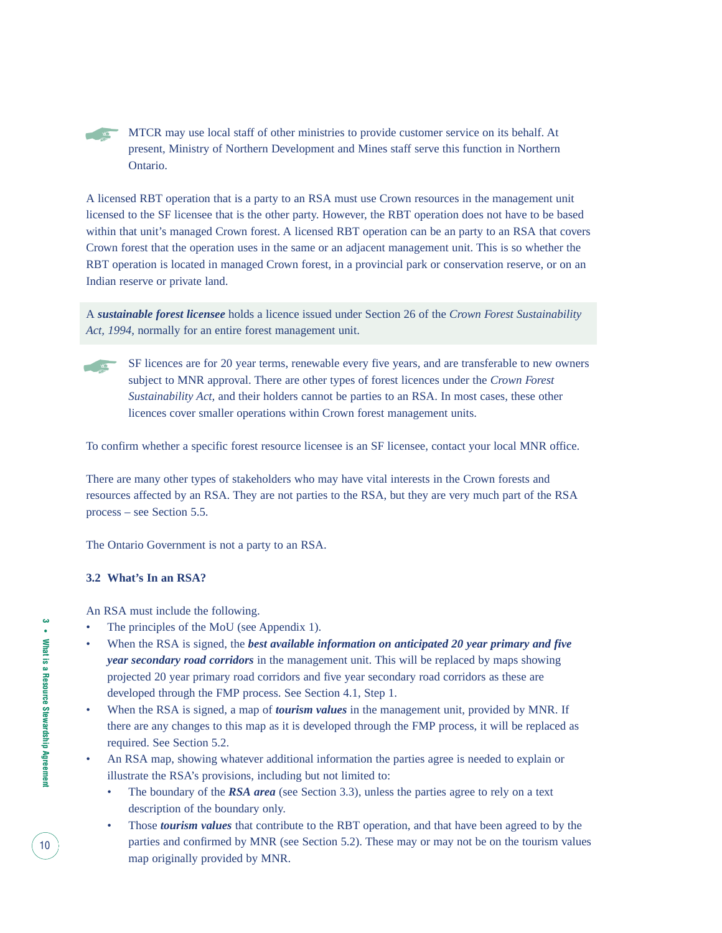MTCR may use local staff of other ministries to provide customer service on its behalf. At present, Ministry of Northern Development and Mines staff serve this function in Northern Ontario. The Second Second

A licensed RBT operation that is a party to an RSA must use Crown resources in the management unit licensed to the SF licensee that is the other party. However, the RBT operation does not have to be based within that unit's managed Crown forest. A licensed RBT operation can be an party to an RSA that covers Crown forest that the operation uses in the same or an adjacent management unit. This is so whether the RBT operation is located in managed Crown forest, in a provincial park or conservation reserve, or on an Indian reserve or private land.

A *sustainable forest licensee* holds a licence issued under Section 26 of the *Crown Forest Sustainability Act, 1994*, normally for an entire forest management unit.

**THE VIOL** 

SF licences are for 20 year terms, renewable every five years, and are transferable to new owners subject to MNR approval. There are other types of forest licences under the *Crown Forest Sustainability Act,* and their holders cannot be parties to an RSA. In most cases, these other licences cover smaller operations within Crown forest management units.

To confirm whether a specific forest resource licensee is an SF licensee, contact your local MNR office.

There are many other types of stakeholders who may have vital interests in the Crown forests and resources affected by an RSA. They are not parties to the RSA, but they are very much part of the RSA process – see Section 5.5.

The Ontario Government is not a party to an RSA.

#### **3.2 What's In an RSA?**

An RSA must include the following.

- The principles of the MoU (see Appendix 1).
- When the RSA is signed, the *best available information on anticipated 20 year primary and five year secondary road corridors* in the management unit. This will be replaced by maps showing projected 20 year primary road corridors and five year secondary road corridors as these are developed through the FMP process. See Section 4.1, Step 1.
- When the RSA is signed, a map of *tourism values* in the management unit, provided by MNR. If there are any changes to this map as it is developed through the FMP process, it will be replaced as required. See Section 5.2.
- An RSA map, showing whatever additional information the parties agree is needed to explain or illustrate the RSA's provisions, including but not limited to:
	- The boundary of the *RSA area* (see Section 3.3), unless the parties agree to rely on a text description of the boundary only.
	- Those *tourism values* that contribute to the RBT operation, and that have been agreed to by the parties and confirmed by MNR (see Section 5.2). These may or may not be on the tourism values map originally provided by MNR.

10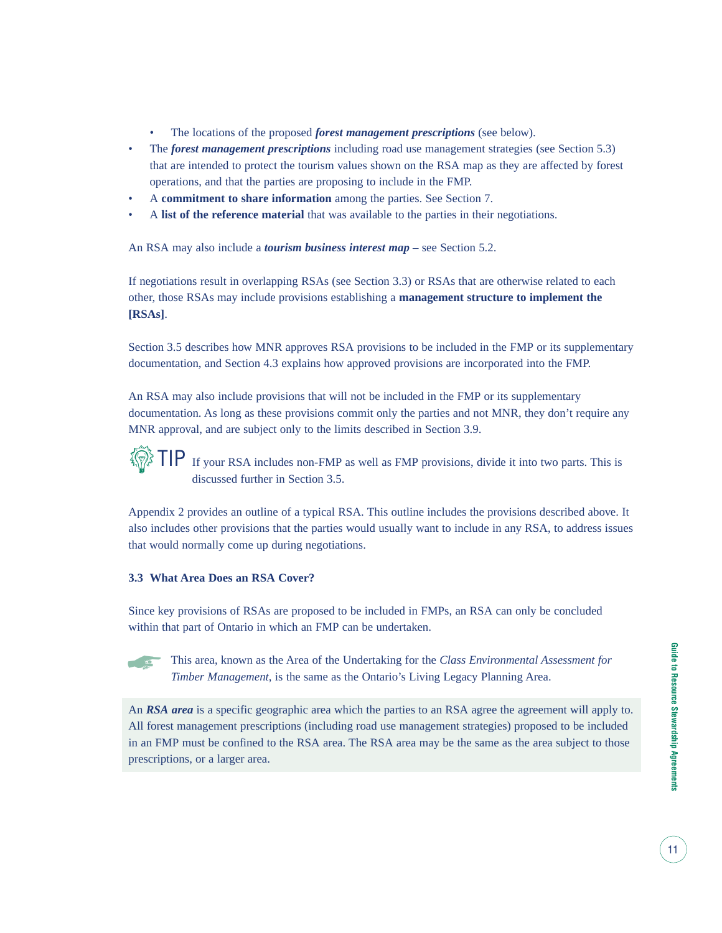- The locations of the proposed *forest management prescriptions* (see below).
- The *forest management prescriptions* including road use management strategies (see Section 5.3) that are intended to protect the tourism values shown on the RSA map as they are affected by forest operations, and that the parties are proposing to include in the FMP.
- A **commitment to share information** among the parties. See Section 7.
- A **list of the reference material** that was available to the parties in their negotiations.

An RSA may also include a *tourism business interest map* – see Section 5.2.

If negotiations result in overlapping RSAs (see Section 3.3) or RSAs that are otherwise related to each other, those RSAs may include provisions establishing a **management structure to implement the [RSAs]**.

Section 3.5 describes how MNR approves RSA provisions to be included in the FMP or its supplementary documentation, and Section 4.3 explains how approved provisions are incorporated into the FMP.

An RSA may also include provisions that will not be included in the FMP or its supplementary documentation. As long as these provisions commit only the parties and not MNR, they don't require any MNR approval, and are subject only to the limits described in Section 3.9.

**TO** 

TIP If your RSA includes non-FMP as well as FMP provisions, divide it into two parts. This is discussed further in Section 3.5.

Appendix 2 provides an outline of a typical RSA. This outline includes the provisions described above. It also includes other provisions that the parties would usually want to include in any RSA, to address issues that would normally come up during negotiations.

#### **3.3 What Area Does an RSA Cover?**

Since key provisions of RSAs are proposed to be included in FMPs, an RSA can only be concluded within that part of Ontario in which an FMP can be undertaken.

 $\sqrt{2}$ 

This area, known as the Area of the Undertaking for the *Class Environmental Assessment for Timber Management*, is the same as the Ontario's Living Legacy Planning Area.

An *RSA area* is a specific geographic area which the parties to an RSA agree the agreement will apply to. All forest management prescriptions (including road use management strategies) proposed to be included in an FMP must be confined to the RSA area. The RSA area may be the same as the area subject to those prescriptions, or a larger area.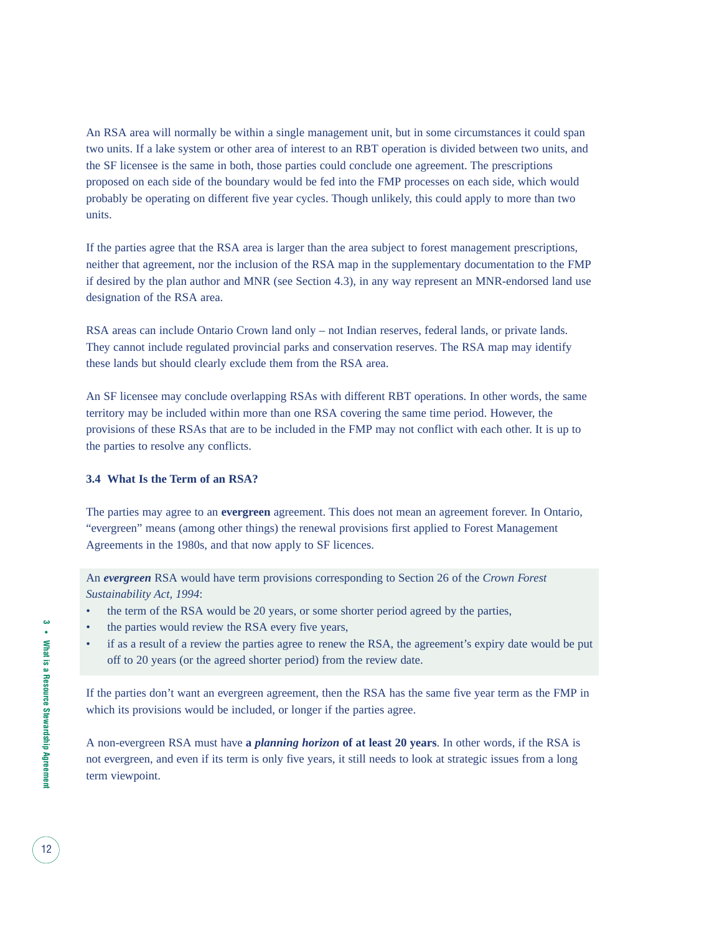An RSA area will normally be within a single management unit, but in some circumstances it could span two units. If a lake system or other area of interest to an RBT operation is divided between two units, and the SF licensee is the same in both, those parties could conclude one agreement. The prescriptions proposed on each side of the boundary would be fed into the FMP processes on each side, which would probably be operating on different five year cycles. Though unlikely, this could apply to more than two units.

If the parties agree that the RSA area is larger than the area subject to forest management prescriptions, neither that agreement, nor the inclusion of the RSA map in the supplementary documentation to the FMP if desired by the plan author and MNR (see Section 4.3), in any way represent an MNR-endorsed land use designation of the RSA area.

RSA areas can include Ontario Crown land only – not Indian reserves, federal lands, or private lands. They cannot include regulated provincial parks and conservation reserves. The RSA map may identify these lands but should clearly exclude them from the RSA area.

An SF licensee may conclude overlapping RSAs with different RBT operations. In other words, the same territory may be included within more than one RSA covering the same time period. However, the provisions of these RSAs that are to be included in the FMP may not conflict with each other. It is up to the parties to resolve any conflicts.

#### **3.4 What Is the Term of an RSA?**

The parties may agree to an **evergreen** agreement. This does not mean an agreement forever. In Ontario, "evergreen" means (among other things) the renewal provisions first applied to Forest Management Agreements in the 1980s, and that now apply to SF licences.

An *evergreen* RSA would have term provisions corresponding to Section 26 of the *Crown Forest Sustainability Act, 1994*:

- the term of the RSA would be 20 years, or some shorter period agreed by the parties,
- the parties would review the RSA every five years,
- if as a result of a review the parties agree to renew the RSA, the agreement's expiry date would be put off to 20 years (or the agreed shorter period) from the review date.

If the parties don't want an evergreen agreement, then the RSA has the same five year term as the FMP in which its provisions would be included, or longer if the parties agree.

A non-evergreen RSA must have **a** *planning horizon* **of at least 20 years**. In other words, if the RSA is not evergreen, and even if its term is only five years, it still needs to look at strategic issues from a long term viewpoint.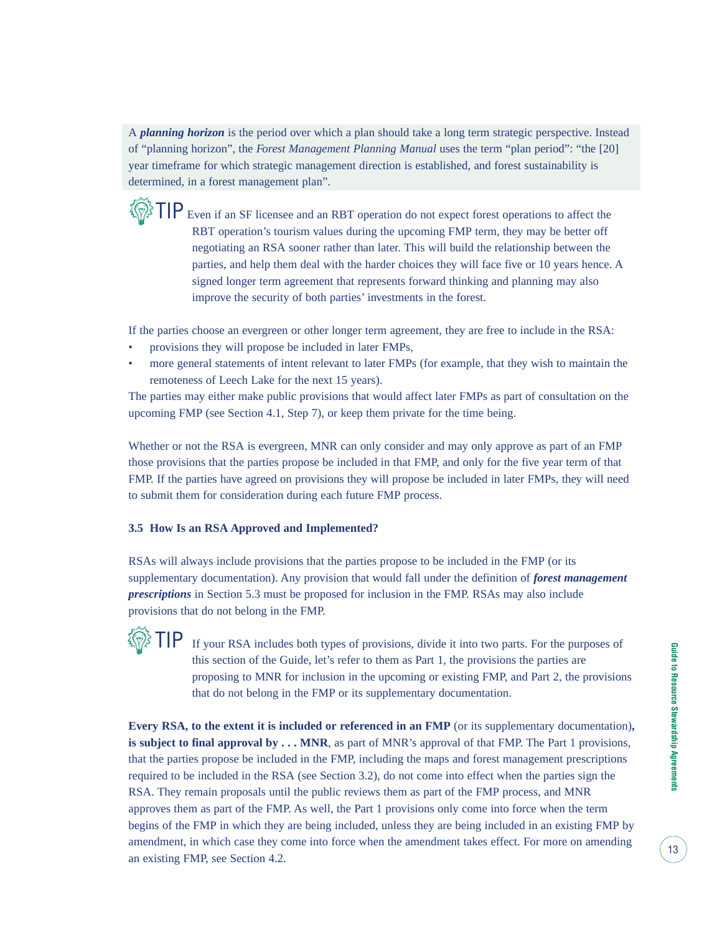A *planning horizon* is the period over which a plan should take a long term strategic perspective. Instead of "planning horizon", the *Forest Management Planning Manual* uses the term "plan period": "the [20] year timeframe for which strategic management direction is established, and forest sustainability is determined, in a forest management plan".

 $\left\{\widehat{\bigotimes}_{i=1}^{n} \prod P$  Even if an SF licensee and an RBT operation do not expect forest operations to affect the RBT operation's tourism values during the upcoming FMP term, they may be better off negotiating an RSA sooner rather than later. This will build the relationship between the parties, and help them deal with the harder choices they will face five or 10 years hence. A signed longer term agreement that represents forward thinking and planning may also improve the security of both parties' investments in the forest.

If the parties choose an evergreen or other longer term agreement, they are free to include in the RSA:

- provisions they will propose be included in later FMPs,
- more general statements of intent relevant to later FMPs (for example, that they wish to maintain the remoteness of Leech Lake for the next 15 years).

The parties may either make public provisions that would affect later FMPs as part of consultation on the upcoming FMP (see Section 4.1, Step 7), or keep them private for the time being.

Whether or not the RSA is evergreen, MNR can only consider and may only approve as part of an FMP those provisions that the parties propose be included in that FMP, and only for the five year term of that FMP. If the parties have agreed on provisions they will propose be included in later FMPs, they will need to submit them for consideration during each future FMP process.

#### **3.5 How Is an RSA Approved and Implemented?**

**《@】TIP** 

RSAs will always include provisions that the parties propose to be included in the FMP (or its supplementary documentation). Any provision that would fall under the definition of *forest management prescriptions* in Section 5.3 must be proposed for inclusion in the FMP. RSAs may also include provisions that do not belong in the FMP.

> If your RSA includes both types of provisions, divide it into two parts. For the purposes of this section of the Guide, let's refer to them as Part 1, the provisions the parties are proposing to MNR for inclusion in the upcoming or existing FMP, and Part 2, the provisions that do not belong in the FMP or its supplementary documentation.

**Every RSA, to the extent it is included or referenced in an FMP** (or its supplementary documentation)**, is subject to final approval by ... MNR**, as part of MNR's approval of that FMP. The Part 1 provisions, that the parties propose be included in the FMP, including the maps and forest management prescriptions required to be included in the RSA (see Section 3.2), do not come into effect when the parties sign the RSA. They remain proposals until the public reviews them as part of the FMP process, and MNR approves them as part of the FMP. As well, the Part 1 provisions only come into force when the term begins of the FMP in which they are being included, unless they are being included in an existing FMP by amendment, in which case they come into force when the amendment takes effect. For more on amending an existing FMP, see Section 4.2.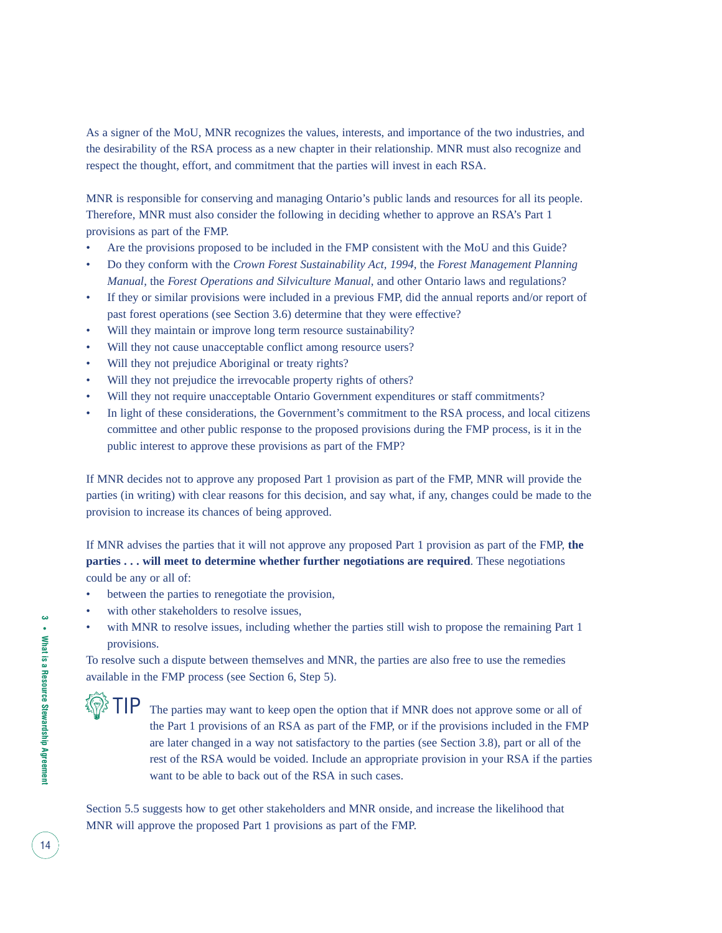As a signer of the MoU, MNR recognizes the values, interests, and importance of the two industries, and the desirability of the RSA process as a new chapter in their relationship. MNR must also recognize and respect the thought, effort, and commitment that the parties will invest in each RSA.

MNR is responsible for conserving and managing Ontario's public lands and resources for all its people. Therefore, MNR must also consider the following in deciding whether to approve an RSA's Part 1 provisions as part of the FMP.

- Are the provisions proposed to be included in the FMP consistent with the MoU and this Guide?
- Do they conform with the *Crown Forest Sustainability Act, 1994,* the *Forest Management Planning Manual*, the *Forest Operations and Silviculture Manual*, and other Ontario laws and regulations?
- If they or similar provisions were included in a previous FMP, did the annual reports and/or report of past forest operations (see Section 3.6) determine that they were effective?
- Will they maintain or improve long term resource sustainability?
- Will they not cause unacceptable conflict among resource users?
- Will they not prejudice Aboriginal or treaty rights?
- Will they not prejudice the irrevocable property rights of others?
- Will they not require unacceptable Ontario Government expenditures or staff commitments?
- In light of these considerations, the Government's commitment to the RSA process, and local citizens committee and other public response to the proposed provisions during the FMP process, is it in the public interest to approve these provisions as part of the FMP?

If MNR decides not to approve any proposed Part 1 provision as part of the FMP, MNR will provide the parties (in writing) with clear reasons for this decision, and say what, if any, changes could be made to the provision to increase its chances of being approved.

If MNR advises the parties that it will not approve any proposed Part 1 provision as part of the FMP, **the parties . . . will meet to determine whether further negotiations are required**. These negotiations could be any or all of:

- between the parties to renegotiate the provision,
- with other stakeholders to resolve issues,
- with MNR to resolve issues, including whether the parties still wish to propose the remaining Part 1 provisions.

To resolve such a dispute between themselves and MNR, the parties are also free to use the remedies available in the FMP process (see Section 6, Step 5).

TIP The parties may want to keep open the option that if MNR does not approve some or all of the Part 1 provisions of an RSA as part of the FMP, or if the provisions included in the FMP are later changed in a way not satisfactory to the parties (see Section 3.8), part or all of the rest of the RSA would be voided. Include an appropriate provision in your RSA if the parties want to be able to back out of the RSA in such cases.

Section 5.5 suggests how to get other stakeholders and MNR onside, and increase the likelihood that MNR will approve the proposed Part 1 provisions as part of the FMP.

**TO**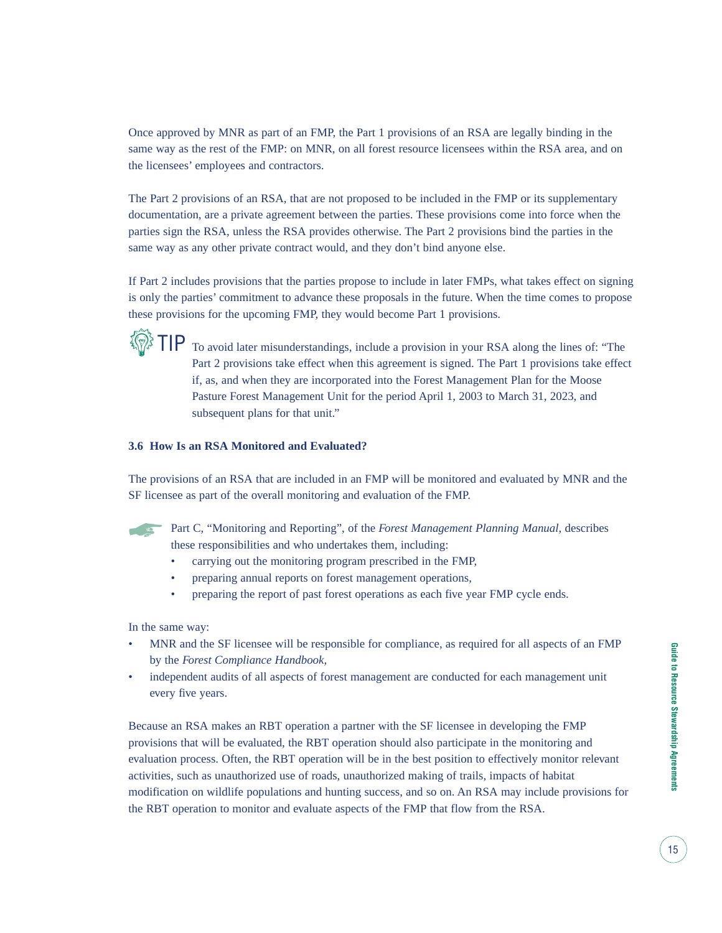Once approved by MNR as part of an FMP, the Part 1 provisions of an RSA are legally binding in the same way as the rest of the FMP: on MNR, on all forest resource licensees within the RSA area, and on the licensees' employees and contractors.

The Part 2 provisions of an RSA, that are not proposed to be included in the FMP or its supplementary documentation, are a private agreement between the parties. These provisions come into force when the parties sign the RSA, unless the RSA provides otherwise. The Part 2 provisions bind the parties in the same way as any other private contract would, and they don't bind anyone else.

If Part 2 includes provisions that the parties propose to include in later FMPs, what takes effect on signing is only the parties' commitment to advance these proposals in the future. When the time comes to propose these provisions for the upcoming FMP, they would become Part 1 provisions.



 $\left\{\widehat{\bigotimes}_{i=1}^{n} \prod P$  To avoid later misunderstandings, include a provision in your RSA along the lines of: "The Part 2 provisions take effect when this agreement is signed. The Part 1 provisions take effect if, as, and when they are incorporated into the Forest Management Plan for the Moose Pasture Forest Management Unit for the period April 1, 2003 to March 31, 2023, and subsequent plans for that unit."

#### **3.6 How Is an RSA Monitored and Evaluated?**

The provisions of an RSA that are included in an FMP will be monitored and evaluated by MNR and the SF licensee as part of the overall monitoring and evaluation of the FMP.

The Manufacturer

Part C, "Monitoring and Reporting", of the *Forest Management Planning Manual*, describes these responsibilities and who undertakes them, including:

- carrying out the monitoring program prescribed in the FMP,
- preparing annual reports on forest management operations,
- preparing the report of past forest operations as each five year FMP cycle ends.

In the same way:

- MNR and the SF licensee will be responsible for compliance, as required for all aspects of an FMP by the *Forest Compliance Handbook*,
- independent audits of all aspects of forest management are conducted for each management unit every five years.

Because an RSA makes an RBT operation a partner with the SF licensee in developing the FMP provisions that will be evaluated, the RBT operation should also participate in the monitoring and evaluation process. Often, the RBT operation will be in the best position to effectively monitor relevant activities, such as unauthorized use of roads, unauthorized making of trails, impacts of habitat modification on wildlife populations and hunting success, and so on. An RSA may include provisions for the RBT operation to monitor and evaluate aspects of the FMP that flow from the RSA.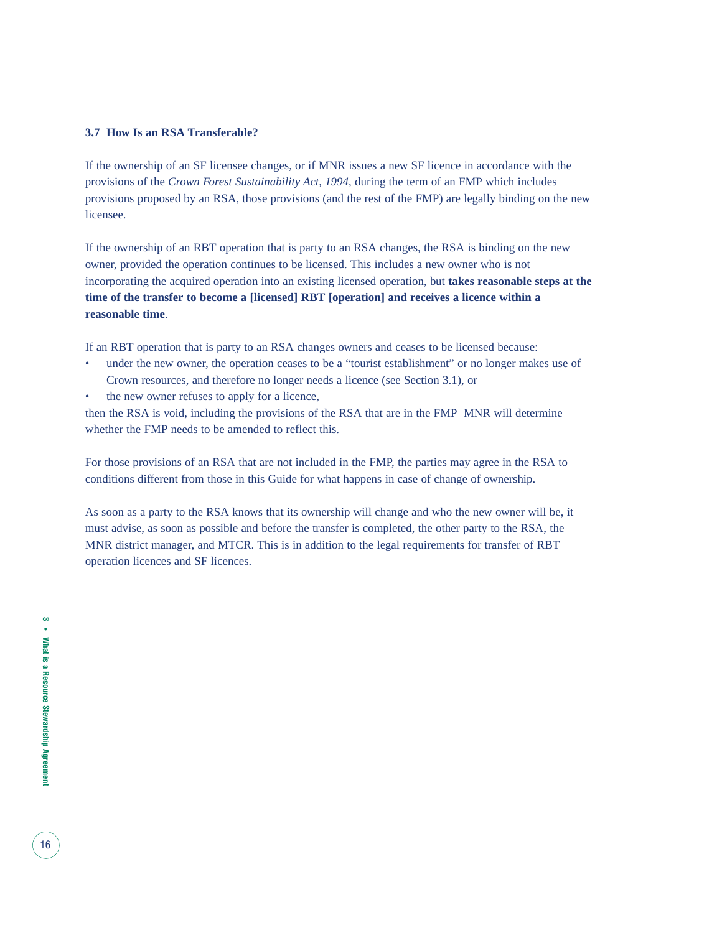#### **3.7 How Is an RSA Transferable?**

If the ownership of an SF licensee changes, or if MNR issues a new SF licence in accordance with the provisions of the *Crown Forest Sustainability Act, 1994*, during the term of an FMP which includes provisions proposed by an RSA, those provisions (and the rest of the FMP) are legally binding on the new licensee.

If the ownership of an RBT operation that is party to an RSA changes, the RSA is binding on the new owner, provided the operation continues to be licensed. This includes a new owner who is not incorporating the acquired operation into an existing licensed operation, but **takes reasonable steps at the time of the transfer to become a [licensed] RBT [operation] and receives a licence within a reasonable time**.

If an RBT operation that is party to an RSA changes owners and ceases to be licensed because:

- under the new owner, the operation ceases to be a "tourist establishment" or no longer makes use of Crown resources, and therefore no longer needs a licence (see Section 3.1), or
- the new owner refuses to apply for a licence,

then the RSA is void, including the provisions of the RSA that are in the FMP MNR will determine whether the FMP needs to be amended to reflect this.

For those provisions of an RSA that are not included in the FMP, the parties may agree in the RSA to conditions different from those in this Guide for what happens in case of change of ownership.

As soon as a party to the RSA knows that its ownership will change and who the new owner will be, it must advise, as soon as possible and before the transfer is completed, the other party to the RSA, the MNR district manager, and MTCR. This is in addition to the legal requirements for transfer of RBT operation licences and SF licences.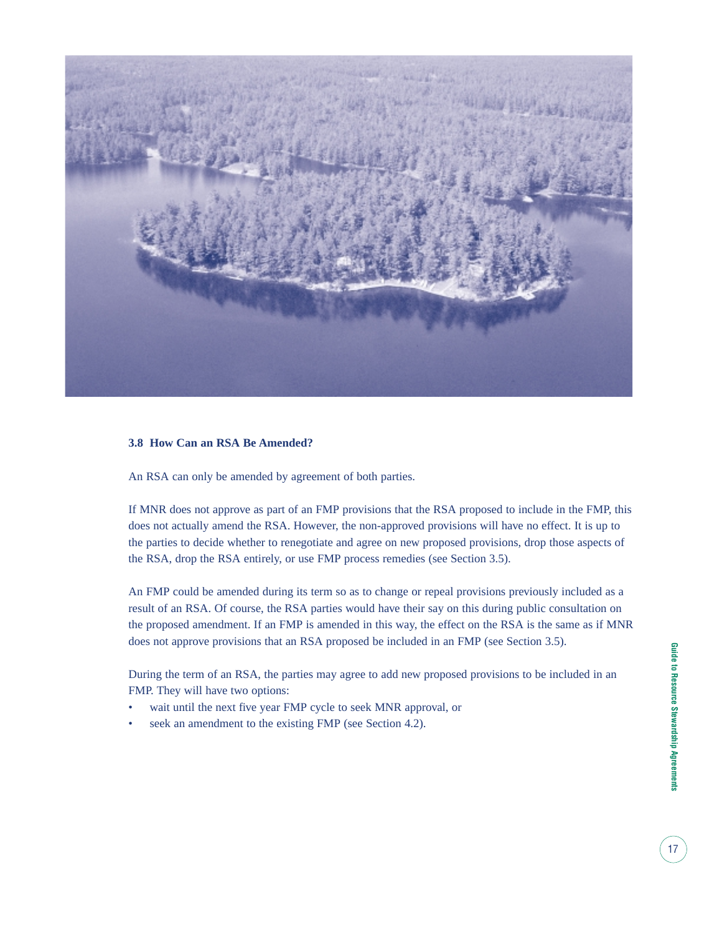

#### **3.8 How Can an RSA Be Amended?**

An RSA can only be amended by agreement of both parties.

If MNR does not approve as part of an FMP provisions that the RSA proposed to include in the FMP, this does not actually amend the RSA. However, the non-approved provisions will have no effect. It is up to the parties to decide whether to renegotiate and agree on new proposed provisions, drop those aspects of the RSA, drop the RSA entirely, or use FMP process remedies (see Section 3.5).

An FMP could be amended during its term so as to change or repeal provisions previously included as a result of an RSA. Of course, the RSA parties would have their say on this during public consultation on the proposed amendment. If an FMP is amended in this way, the effect on the RSA is the same as if MNR does not approve provisions that an RSA proposed be included in an FMP (see Section 3.5).

During the term of an RSA, the parties may agree to add new proposed provisions to be included in an FMP. They will have two options:

- wait until the next five year FMP cycle to seek MNR approval, or
- seek an amendment to the existing FMP (see Section 4.2).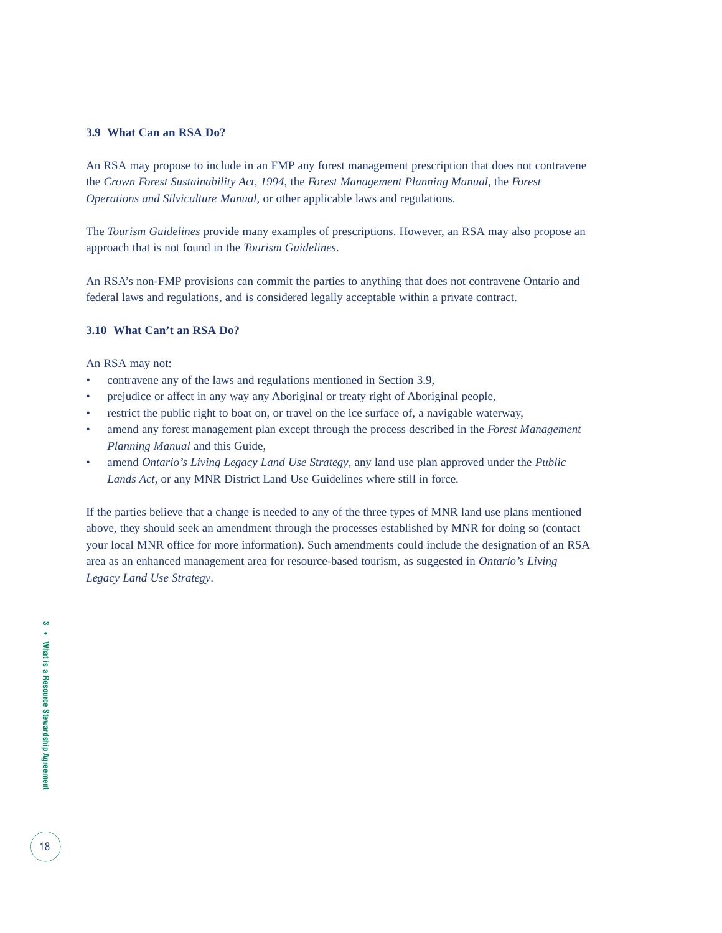#### **3.9 What Can an RSA Do?**

An RSA may propose to include in an FMP any forest management prescription that does not contravene the *Crown Forest Sustainability Act, 1994*, the *Forest Management Planning Manual*, the *Forest Operations and Silviculture Manual*, or other applicable laws and regulations.

The *Tourism Guidelines* provide many examples of prescriptions. However, an RSA may also propose an approach that is not found in the *Tourism Guidelines*.

An RSA's non-FMP provisions can commit the parties to anything that does not contravene Ontario and federal laws and regulations, and is considered legally acceptable within a private contract.

#### **3.10 What Can't an RSA Do?**

An RSA may not:

- contravene any of the laws and regulations mentioned in Section 3.9,
- prejudice or affect in any way any Aboriginal or treaty right of Aboriginal people,
- restrict the public right to boat on, or travel on the ice surface of, a navigable waterway,
- amend any forest management plan except through the process described in the *Forest Management Planning Manual* and this Guide,
- amend *Ontario's Living Legacy Land Use Strategy*, any land use plan approved under the *Public Lands Act*, or any MNR District Land Use Guidelines where still in force.

If the parties believe that a change is needed to any of the three types of MNR land use plans mentioned above, they should seek an amendment through the processes established by MNR for doing so (contact your local MNR office for more information). Such amendments could include the designation of an RSA area as an enhanced management area for resource-based tourism, as suggested in *Ontario's Living Legacy Land Use Strategy*.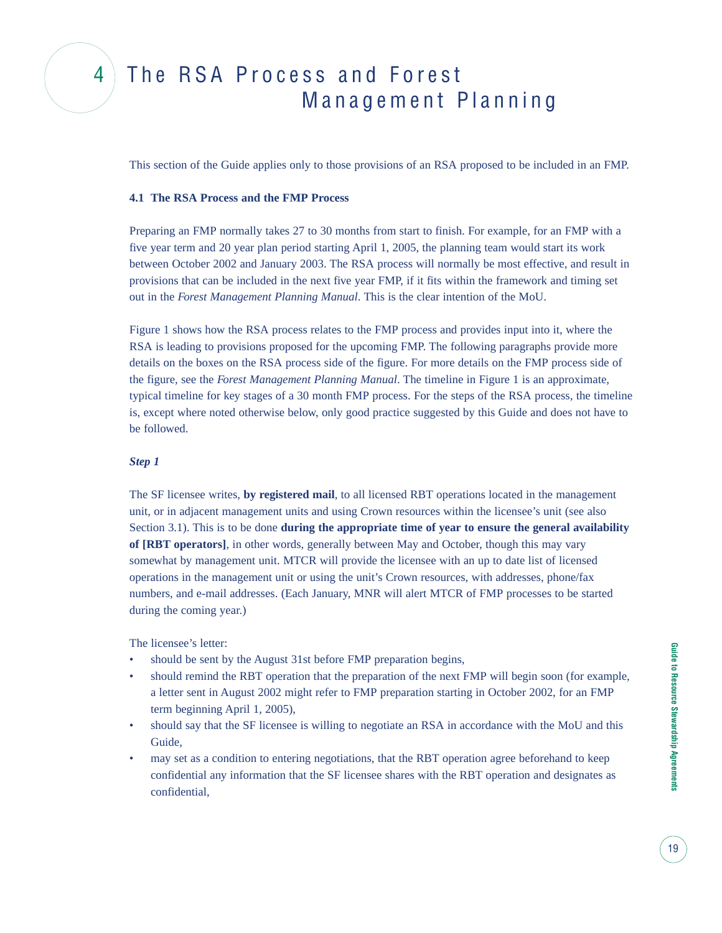### 4 The RSA Process and Forest Management Planning

This section of the Guide applies only to those provisions of an RSA proposed to be included in an FMP.

#### **4.1 The RSA Process and the FMP Process**

Preparing an FMP normally takes 27 to 30 months from start to finish. For example, for an FMP with a five year term and 20 year plan period starting April 1, 2005, the planning team would start its work between October 2002 and January 2003. The RSA process will normally be most effective, and result in provisions that can be included in the next five year FMP, if it fits within the framework and timing set out in the *Forest Management Planning Manual*. This is the clear intention of the MoU.

Figure 1 shows how the RSA process relates to the FMP process and provides input into it, where the RSA is leading to provisions proposed for the upcoming FMP. The following paragraphs provide more details on the boxes on the RSA process side of the figure. For more details on the FMP process side of the figure, see the *Forest Management Planning Manual*. The timeline in Figure 1 is an approximate, typical timeline for key stages of a 30 month FMP process. For the steps of the RSA process, the timeline is, except where noted otherwise below, only good practice suggested by this Guide and does not have to be followed.

#### *Step 1*

The SF licensee writes, **by registered mail**, to all licensed RBT operations located in the management unit, or in adjacent management units and using Crown resources within the licensee's unit (see also Section 3.1). This is to be done **during the appropriate time of year to ensure the general availability of [RBT operators]**, in other words, generally between May and October, though this may vary somewhat by management unit. MTCR will provide the licensee with an up to date list of licensed operations in the management unit or using the unit's Crown resources, with addresses, phone/fax numbers, and e-mail addresses. (Each January, MNR will alert MTCR of FMP processes to be started during the coming year.)

The licensee's letter:

- should be sent by the August 31st before FMP preparation begins,
- should remind the RBT operation that the preparation of the next FMP will begin soon (for example, a letter sent in August 2002 might refer to FMP preparation starting in October 2002, for an FMP term beginning April 1, 2005),
- should say that the SF licensee is willing to negotiate an RSA in accordance with the MoU and this Guide,
- may set as a condition to entering negotiations, that the RBT operation agree beforehand to keep confidential any information that the SF licensee shares with the RBT operation and designates as confidential,

19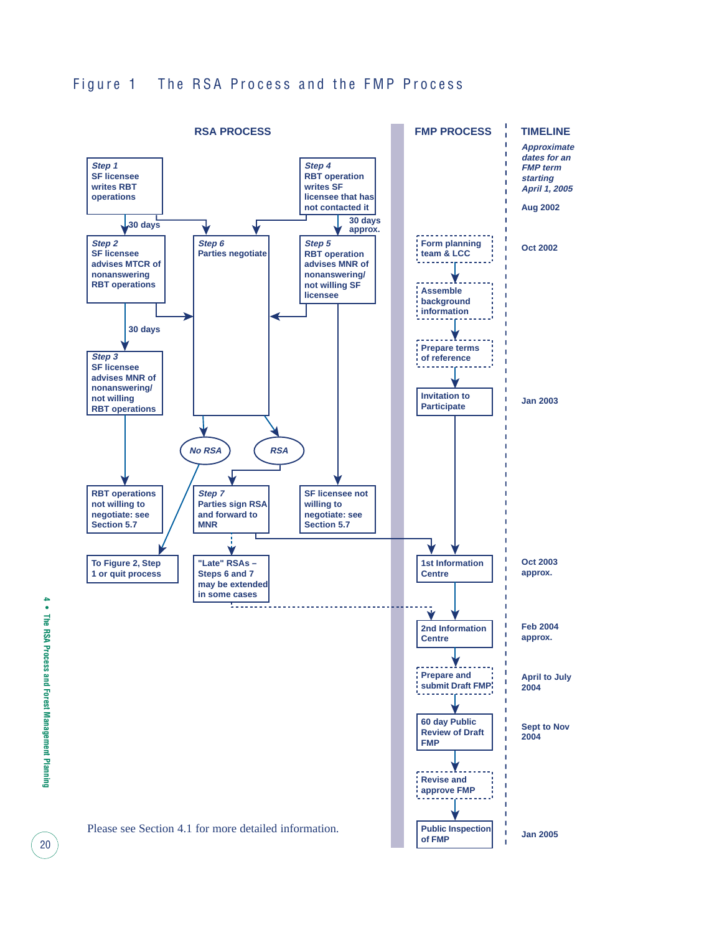

20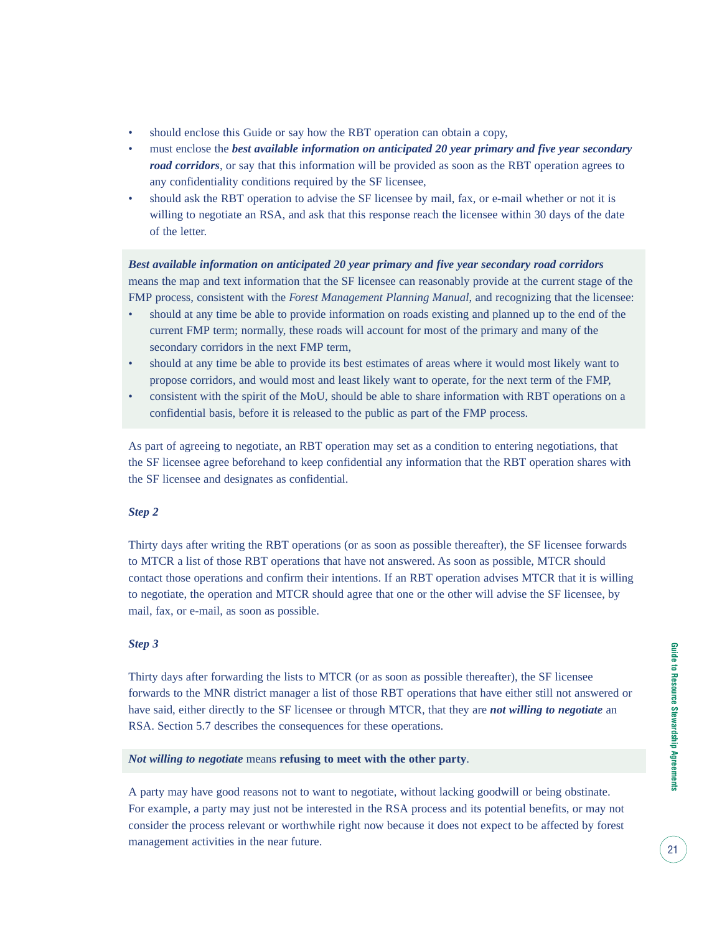- should enclose this Guide or say how the RBT operation can obtain a copy,
- must enclose the *best available information on anticipated 20 year primary and five year secondary road corridors*, or say that this information will be provided as soon as the RBT operation agrees to any confidentiality conditions required by the SF licensee,
- should ask the RBT operation to advise the SF licensee by mail, fax, or e-mail whether or not it is willing to negotiate an RSA, and ask that this response reach the licensee within 30 days of the date of the letter.

*Best available information on anticipated 20 year primary and five year secondary road corridors* means the map and text information that the SF licensee can reasonably provide at the current stage of the FMP process, consistent with the *Forest Management Planning Manual*, and recognizing that the licensee:

- should at any time be able to provide information on roads existing and planned up to the end of the current FMP term; normally, these roads will account for most of the primary and many of the secondary corridors in the next FMP term,
- should at any time be able to provide its best estimates of areas where it would most likely want to propose corridors, and would most and least likely want to operate, for the next term of the FMP,
- consistent with the spirit of the MoU, should be able to share information with RBT operations on a confidential basis, before it is released to the public as part of the FMP process.

As part of agreeing to negotiate, an RBT operation may set as a condition to entering negotiations, that the SF licensee agree beforehand to keep confidential any information that the RBT operation shares with the SF licensee and designates as confidential.

#### *Step 2*

Thirty days after writing the RBT operations (or as soon as possible thereafter), the SF licensee forwards to MTCR a list of those RBT operations that have not answered. As soon as possible, MTCR should contact those operations and confirm their intentions. If an RBT operation advises MTCR that it is willing to negotiate, the operation and MTCR should agree that one or the other will advise the SF licensee, by mail, fax, or e-mail, as soon as possible.

#### *Step 3*

Thirty days after forwarding the lists to MTCR (or as soon as possible thereafter), the SF licensee forwards to the MNR district manager a list of those RBT operations that have either still not answered or have said, either directly to the SF licensee or through MTCR, that they are *not willing to negotiate* an RSA. Section 5.7 describes the consequences for these operations.

#### *Not willing to negotiate* means **refusing to meet with the other party**.

A party may have good reasons not to want to negotiate, without lacking goodwill or being obstinate. For example, a party may just not be interested in the RSA process and its potential benefits, or may not consider the process relevant or worthwhile right now because it does not expect to be affected by forest management activities in the near future.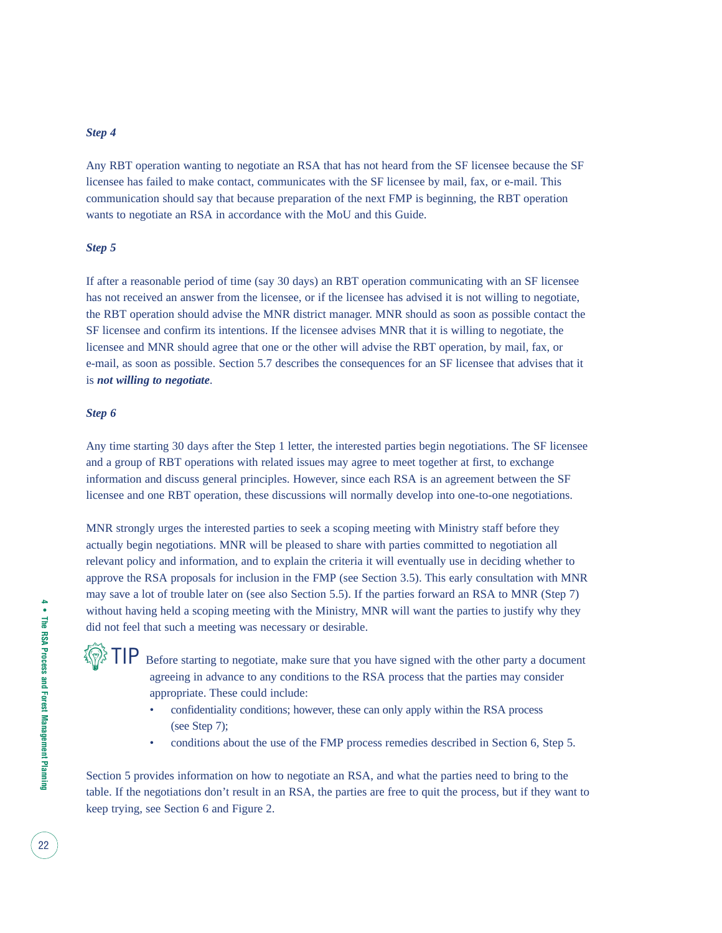#### *Step 4*

Any RBT operation wanting to negotiate an RSA that has not heard from the SF licensee because the SF licensee has failed to make contact, communicates with the SF licensee by mail, fax, or e-mail. This communication should say that because preparation of the next FMP is beginning, the RBT operation wants to negotiate an RSA in accordance with the MoU and this Guide.

#### *Step 5*

If after a reasonable period of time (say 30 days) an RBT operation communicating with an SF licensee has not received an answer from the licensee, or if the licensee has advised it is not willing to negotiate, the RBT operation should advise the MNR district manager. MNR should as soon as possible contact the SF licensee and confirm its intentions. If the licensee advises MNR that it is willing to negotiate, the licensee and MNR should agree that one or the other will advise the RBT operation, by mail, fax, or e-mail, as soon as possible. Section 5.7 describes the consequences for an SF licensee that advises that it is *not willing to negotiate*.

#### *Step 6*

**TO** 

Any time starting 30 days after the Step 1 letter, the interested parties begin negotiations. The SF licensee and a group of RBT operations with related issues may agree to meet together at first, to exchange information and discuss general principles. However, since each RSA is an agreement between the SF licensee and one RBT operation, these discussions will normally develop into one-to-one negotiations.

MNR strongly urges the interested parties to seek a scoping meeting with Ministry staff before they actually begin negotiations. MNR will be pleased to share with parties committed to negotiation all relevant policy and information, and to explain the criteria it will eventually use in deciding whether to approve the RSA proposals for inclusion in the FMP (see Section 3.5). This early consultation with MNR may save a lot of trouble later on (see also Section 5.5). If the parties forward an RSA to MNR (Step 7) without having held a scoping meeting with the Ministry, MNR will want the parties to justify why they did not feel that such a meeting was necessary or desirable.

Before starting to negotiate, make sure that you have signed with the other party a document agreeing in advance to any conditions to the RSA process that the parties may consider appropriate. These could include:

- confidentiality conditions; however, these can only apply within the RSA process (see Step 7);
- conditions about the use of the FMP process remedies described in Section 6, Step 5.

Section 5 provides information on how to negotiate an RSA, and what the parties need to bring to the table. If the negotiations don't result in an RSA, the parties are free to quit the process, but if they want to keep trying, see Section 6 and Figure 2.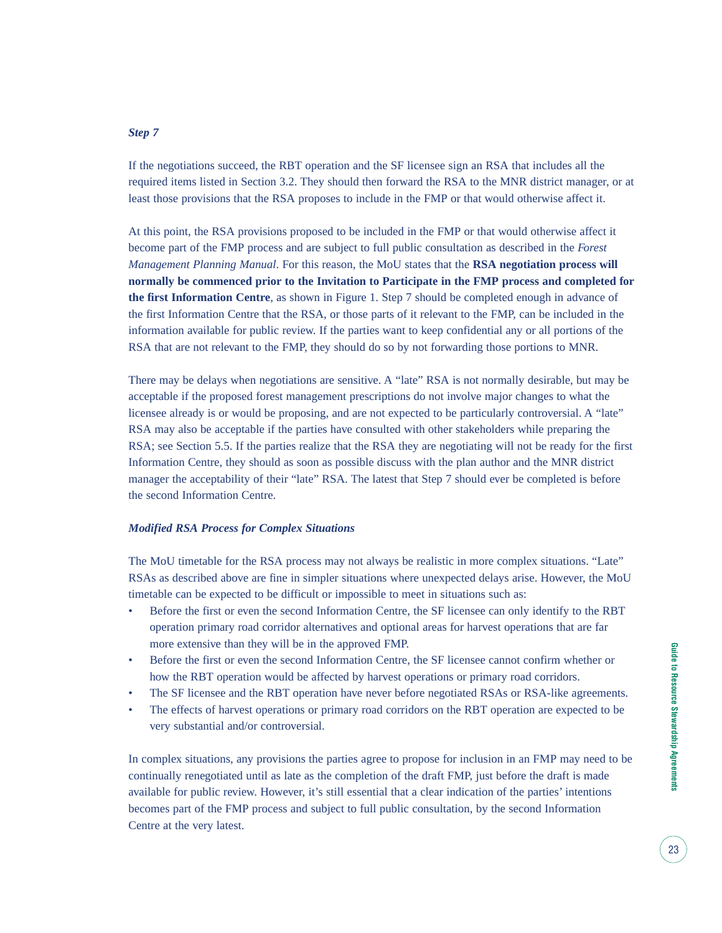#### *Step 7*

If the negotiations succeed, the RBT operation and the SF licensee sign an RSA that includes all the required items listed in Section 3.2. They should then forward the RSA to the MNR district manager, or at least those provisions that the RSA proposes to include in the FMP or that would otherwise affect it.

At this point, the RSA provisions proposed to be included in the FMP or that would otherwise affect it become part of the FMP process and are subject to full public consultation as described in the *Forest Management Planning Manual*. For this reason, the MoU states that the **RSA negotiation process will normally be commenced prior to the Invitation to Participate in the FMP process and completed for the first Information Centre**, as shown in Figure 1. Step 7 should be completed enough in advance of the first Information Centre that the RSA, or those parts of it relevant to the FMP, can be included in the information available for public review. If the parties want to keep confidential any or all portions of the RSA that are not relevant to the FMP, they should do so by not forwarding those portions to MNR.

There may be delays when negotiations are sensitive. A "late" RSA is not normally desirable, but may be acceptable if the proposed forest management prescriptions do not involve major changes to what the licensee already is or would be proposing, and are not expected to be particularly controversial. A "late" RSA may also be acceptable if the parties have consulted with other stakeholders while preparing the RSA; see Section 5.5. If the parties realize that the RSA they are negotiating will not be ready for the first Information Centre, they should as soon as possible discuss with the plan author and the MNR district manager the acceptability of their "late" RSA. The latest that Step 7 should ever be completed is before the second Information Centre.

#### *Modified RSA Process for Complex Situations*

The MoU timetable for the RSA process may not always be realistic in more complex situations. "Late" RSAs as described above are fine in simpler situations where unexpected delays arise. However, the MoU timetable can be expected to be difficult or impossible to meet in situations such as:

- Before the first or even the second Information Centre, the SF licensee can only identify to the RBT operation primary road corridor alternatives and optional areas for harvest operations that are far more extensive than they will be in the approved FMP.
- Before the first or even the second Information Centre, the SF licensee cannot confirm whether or how the RBT operation would be affected by harvest operations or primary road corridors.
- The SF licensee and the RBT operation have never before negotiated RSAs or RSA-like agreements.
- The effects of harvest operations or primary road corridors on the RBT operation are expected to be very substantial and/or controversial.

In complex situations, any provisions the parties agree to propose for inclusion in an FMP may need to be continually renegotiated until as late as the completion of the draft FMP, just before the draft is made available for public review. However, it's still essential that a clear indication of the parties' intentions becomes part of the FMP process and subject to full public consultation, by the second Information Centre at the very latest.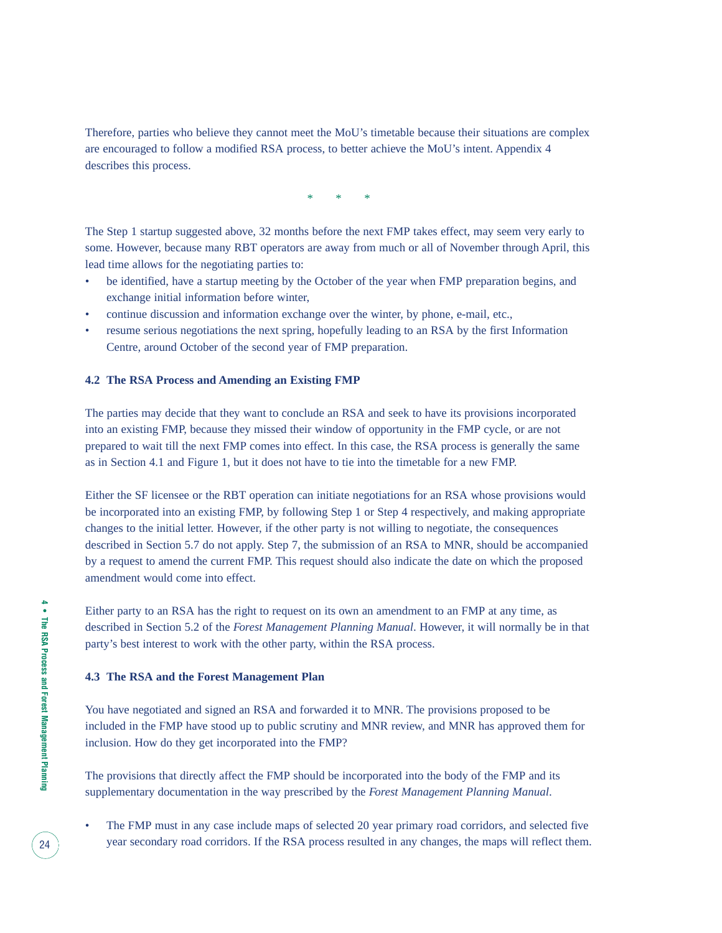Therefore, parties who believe they cannot meet the MoU's timetable because their situations are complex are encouraged to follow a modified RSA process, to better achieve the MoU's intent. Appendix 4 describes this process.

\* \* \*

The Step 1 startup suggested above, 32 months before the next FMP takes effect, may seem very early to some. However, because many RBT operators are away from much or all of November through April, this lead time allows for the negotiating parties to:

- be identified, have a startup meeting by the October of the year when FMP preparation begins, and exchange initial information before winter,
- continue discussion and information exchange over the winter, by phone, e-mail, etc.,
- resume serious negotiations the next spring, hopefully leading to an RSA by the first Information Centre, around October of the second year of FMP preparation.

#### **4.2 The RSA Process and Amending an Existing FMP**

The parties may decide that they want to conclude an RSA and seek to have its provisions incorporated into an existing FMP, because they missed their window of opportunity in the FMP cycle, or are not prepared to wait till the next FMP comes into effect. In this case, the RSA process is generally the same as in Section 4.1 and Figure 1, but it does not have to tie into the timetable for a new FMP.

Either the SF licensee or the RBT operation can initiate negotiations for an RSA whose provisions would be incorporated into an existing FMP, by following Step 1 or Step 4 respectively, and making appropriate changes to the initial letter. However, if the other party is not willing to negotiate, the consequences described in Section 5.7 do not apply. Step 7, the submission of an RSA to MNR, should be accompanied by a request to amend the current FMP. This request should also indicate the date on which the proposed amendment would come into effect.

Either party to an RSA has the right to request on its own an amendment to an FMP at any time, as described in Section 5.2 of the *Forest Management Planning Manual*. However, it will normally be in that party's best interest to work with the other party, within the RSA process.

#### **4.3 The RSA and the Forest Management Plan**

You have negotiated and signed an RSA and forwarded it to MNR. The provisions proposed to be included in the FMP have stood up to public scrutiny and MNR review, and MNR has approved them for inclusion. How do they get incorporated into the FMP?

The provisions that directly affect the FMP should be incorporated into the body of the FMP and its supplementary documentation in the way prescribed by the *Forest Management Planning Manual*.

The FMP must in any case include maps of selected 20 year primary road corridors, and selected five year secondary road corridors. If the RSA process resulted in any changes, the maps will reflect them.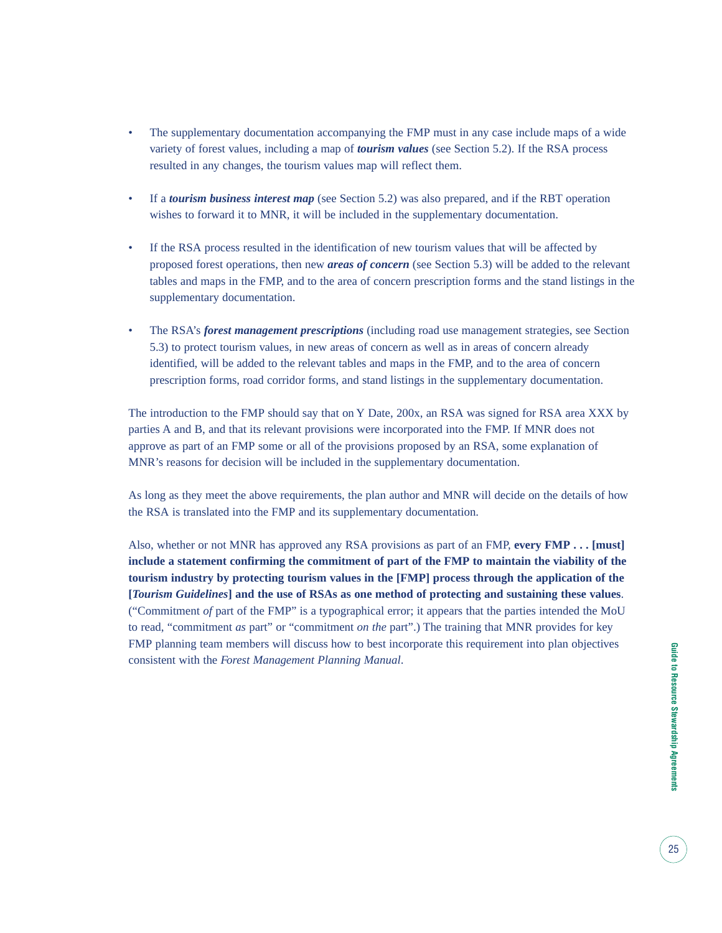- The supplementary documentation accompanying the FMP must in any case include maps of a wide variety of forest values, including a map of *tourism values* (see Section 5.2). If the RSA process resulted in any changes, the tourism values map will reflect them.
- If a *tourism business interest map* (see Section 5.2) was also prepared, and if the RBT operation wishes to forward it to MNR, it will be included in the supplementary documentation.
- If the RSA process resulted in the identification of new tourism values that will be affected by proposed forest operations, then new *areas of concern* (see Section 5.3) will be added to the relevant tables and maps in the FMP, and to the area of concern prescription forms and the stand listings in the supplementary documentation.
- The RSA's *forest management prescriptions* (including road use management strategies, see Section 5.3) to protect tourism values, in new areas of concern as well as in areas of concern already identified, will be added to the relevant tables and maps in the FMP, and to the area of concern prescription forms, road corridor forms, and stand listings in the supplementary documentation.

The introduction to the FMP should say that on Y Date, 200x, an RSA was signed for RSA area XXX by parties A and B, and that its relevant provisions were incorporated into the FMP. If MNR does not approve as part of an FMP some or all of the provisions proposed by an RSA, some explanation of MNR's reasons for decision will be included in the supplementary documentation.

As long as they meet the above requirements, the plan author and MNR will decide on the details of how the RSA is translated into the FMP and its supplementary documentation.

Also, whether or not MNR has approved any RSA provisions as part of an FMP, **every FMP . . . [must] include a statement confirming the commitment of part of the FMP to maintain the viability of the tourism industry by protecting tourism values in the [FMP] process through the application of the [***Tourism Guidelines***] and the use of RSAs as one method of protecting and sustaining these values**. ("Commitment *of* part of the FMP" is a typographical error; it appears that the parties intended the MoU to read, "commitment *as* part" or "commitment *on the* part".) The training that MNR provides for key FMP planning team members will discuss how to best incorporate this requirement into plan objectives consistent with the *Forest Management Planning Manual*.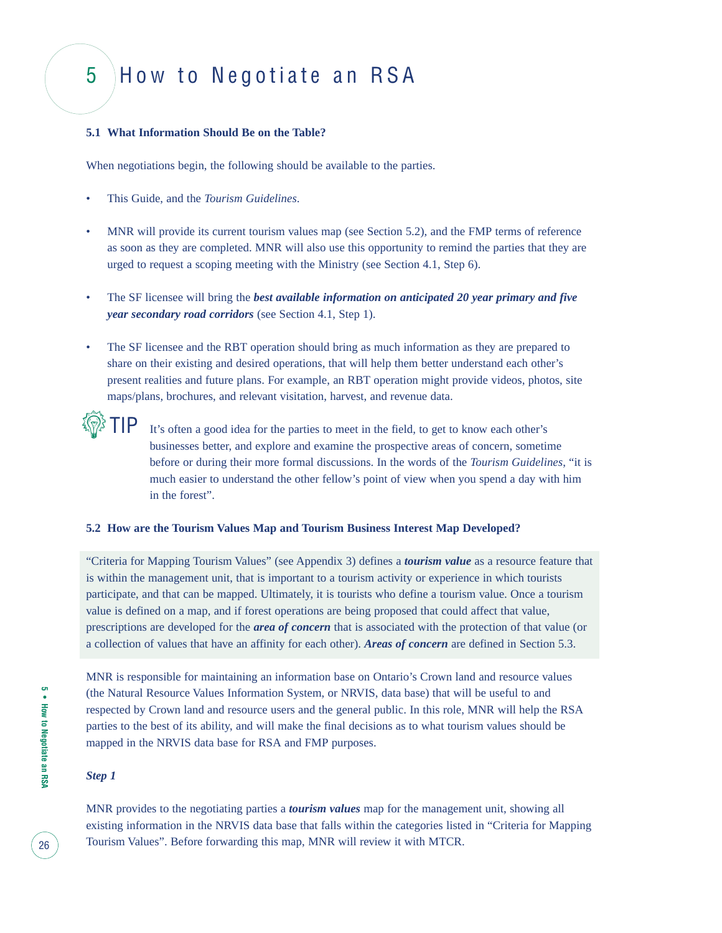### 5 How to Negotiate an RSA

#### **5.1 What Information Should Be on the Table?**

When negotiations begin, the following should be available to the parties.

- This Guide, and the *Tourism Guidelines*.
- MNR will provide its current tourism values map (see Section 5.2), and the FMP terms of reference as soon as they are completed. MNR will also use this opportunity to remind the parties that they are urged to request a scoping meeting with the Ministry (see Section 4.1, Step 6).
- The SF licensee will bring the *best available information on anticipated 20 year primary and five year secondary road corridors* (see Section 4.1, Step 1).
- The SF licensee and the RBT operation should bring as much information as they are prepared to share on their existing and desired operations, that will help them better understand each other's present realities and future plans. For example, an RBT operation might provide videos, photos, site maps/plans, brochures, and relevant visitation, harvest, and revenue data.

It's often a good idea for the parties to meet in the field, to get to know each other's businesses better, and explore and examine the prospective areas of concern, sometime before or during their more formal discussions. In the words of the *Tourism Guidelines*, "it is much easier to understand the other fellow's point of view when you spend a day with him in the forest".

#### **5.2 How are the Tourism Values Map and Tourism Business Interest Map Developed?**

"Criteria for Mapping Tourism Values" (see Appendix 3) defines a *tourism value* as a resource feature that is within the management unit, that is important to a tourism activity or experience in which tourists participate, and that can be mapped. Ultimately, it is tourists who define a tourism value. Once a tourism value is defined on a map, and if forest operations are being proposed that could affect that value, prescriptions are developed for the *area of concern* that is associated with the protection of that value (or a collection of values that have an affinity for each other). *Areas of concern* are defined in Section 5.3.

MNR is responsible for maintaining an information base on Ontario's Crown land and resource values (the Natural Resource Values Information System, or NRVIS, data base) that will be useful to and respected by Crown land and resource users and the general public. In this role, MNR will help the RSA parties to the best of its ability, and will make the final decisions as to what tourism values should be mapped in the NRVIS data base for RSA and FMP purposes.

#### *Step 1*

**TO** 

MNR provides to the negotiating parties a *tourism values* map for the management unit, showing all existing information in the NRVIS data base that falls within the categories listed in "Criteria for Mapping Tourism Values". Before forwarding this map, MNR will review it with MTCR.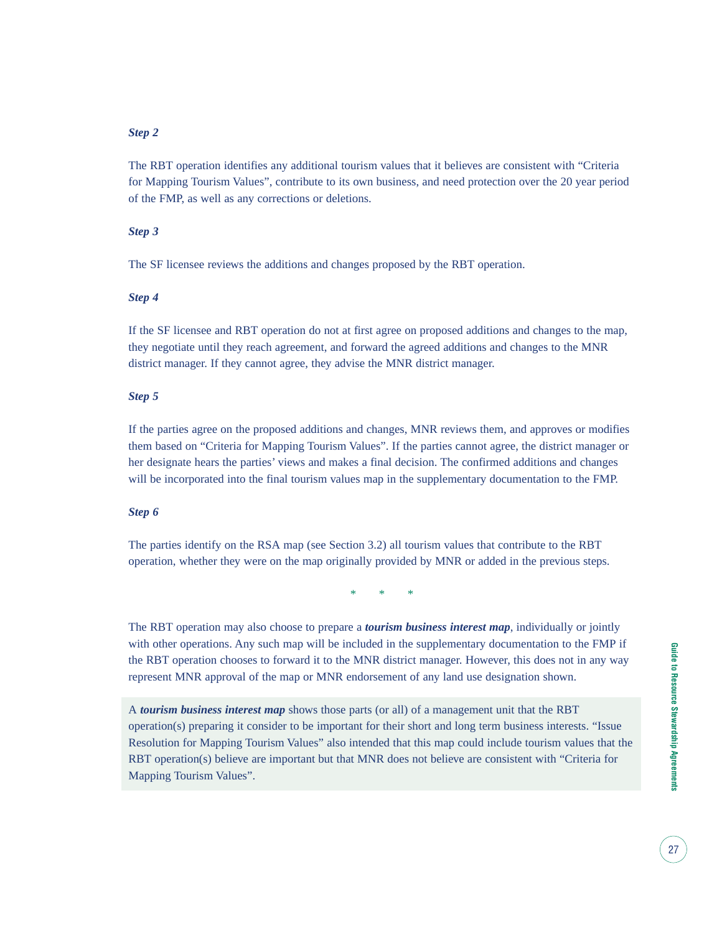#### *Step 2*

The RBT operation identifies any additional tourism values that it believes are consistent with "Criteria for Mapping Tourism Values", contribute to its own business, and need protection over the 20 year period of the FMP, as well as any corrections or deletions.

#### *Step 3*

The SF licensee reviews the additions and changes proposed by the RBT operation.

#### *Step 4*

If the SF licensee and RBT operation do not at first agree on proposed additions and changes to the map, they negotiate until they reach agreement, and forward the agreed additions and changes to the MNR district manager. If they cannot agree, they advise the MNR district manager.

#### *Step 5*

If the parties agree on the proposed additions and changes, MNR reviews them, and approves or modifies them based on "Criteria for Mapping Tourism Values". If the parties cannot agree, the district manager or her designate hears the parties' views and makes a final decision. The confirmed additions and changes will be incorporated into the final tourism values map in the supplementary documentation to the FMP.

#### *Step 6*

The parties identify on the RSA map (see Section 3.2) all tourism values that contribute to the RBT operation, whether they were on the map originally provided by MNR or added in the previous steps.

\* \* \*

The RBT operation may also choose to prepare a *tourism business interest map*, individually or jointly with other operations. Any such map will be included in the supplementary documentation to the FMP if the RBT operation chooses to forward it to the MNR district manager. However, this does not in any way represent MNR approval of the map or MNR endorsement of any land use designation shown.

A *tourism business interest map* shows those parts (or all) of a management unit that the RBT operation(s) preparing it consider to be important for their short and long term business interests. "Issue Resolution for Mapping Tourism Values" also intended that this map could include tourism values that the RBT operation(s) believe are important but that MNR does not believe are consistent with "Criteria for Mapping Tourism Values".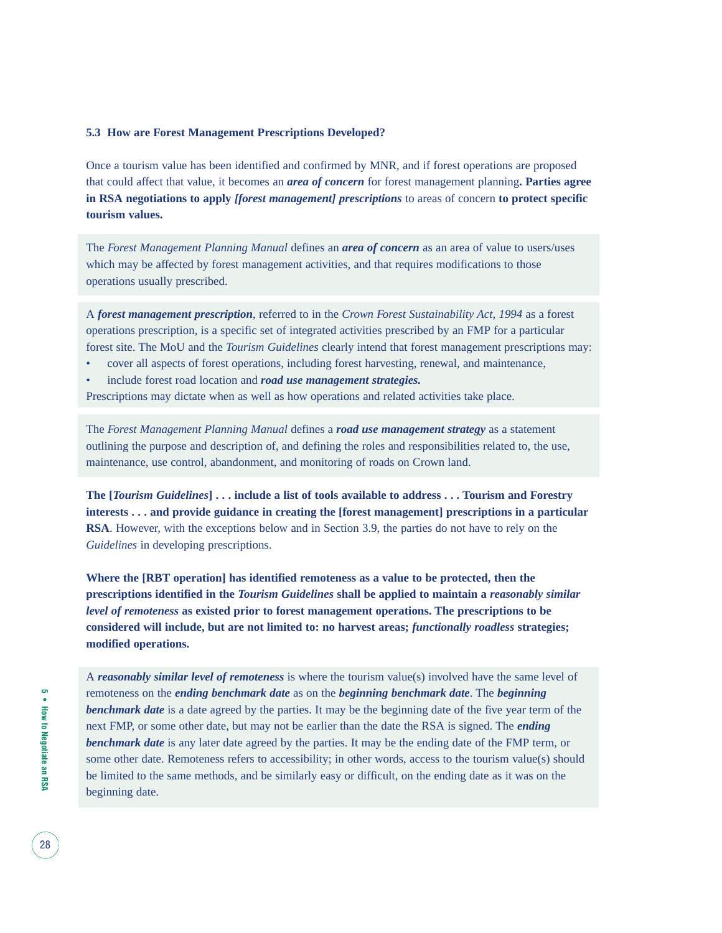#### **5.3 How are Forest Management Prescriptions Developed?**

Once a tourism value has been identified and confirmed by MNR, and if forest operations are proposed that could affect that value, it becomes an *area of concern* for forest management planning**. Parties agree in RSA negotiations to apply** *[forest management] prescriptions* to areas of concern **to protect specific tourism values.**

The *Forest Management Planning Manual* defines an *area of concern* as an area of value to users/uses which may be affected by forest management activities, and that requires modifications to those operations usually prescribed.

A *forest management prescription*, referred to in the *Crown Forest Sustainability Act, 1994* as a forest operations prescription, is a specific set of integrated activities prescribed by an FMP for a particular forest site. The MoU and the *Tourism Guidelines* clearly intend that forest management prescriptions may:

- cover all aspects of forest operations, including forest harvesting, renewal, and maintenance,
- include forest road location and *road use management strategies.*

Prescriptions may dictate when as well as how operations and related activities take place.

The *Forest Management Planning Manual* defines a *road use management strategy* as a statement outlining the purpose and description of, and defining the roles and responsibilities related to, the use, maintenance, use control, abandonment, and monitoring of roads on Crown land.

**The [***Tourism Guidelines***] . . . include a list of tools available to address . . . Tourism and Forestry interests . . . and provide guidance in creating the [forest management] prescriptions in a particular RSA**. However, with the exceptions below and in Section 3.9, the parties do not have to rely on the *Guidelines* in developing prescriptions.

**Where the [RBT operation] has identified remoteness as a value to be protected, then the prescriptions identified in the** *Tourism Guidelines* **shall be applied to maintain a** *reasonably similar level of remoteness* **as existed prior to forest management operations. The prescriptions to be considered will include, but are not limited to: no harvest areas;** *functionally roadless* **strategies; modified operations.**

A *reasonably similar level of remoteness* is where the tourism value(s) involved have the same level of remoteness on the *ending benchmark date* as on the *beginning benchmark date*. The *beginning* **benchmark date** is a date agreed by the parties. It may be the beginning date of the five year term of the next FMP, or some other date, but may not be earlier than the date the RSA is signed. The *ending benchmark date* is any later date agreed by the parties. It may be the ending date of the FMP term, or some other date. Remoteness refers to accessibility; in other words, access to the tourism value(s) should be limited to the same methods, and be similarly easy or difficult, on the ending date as it was on the beginning date.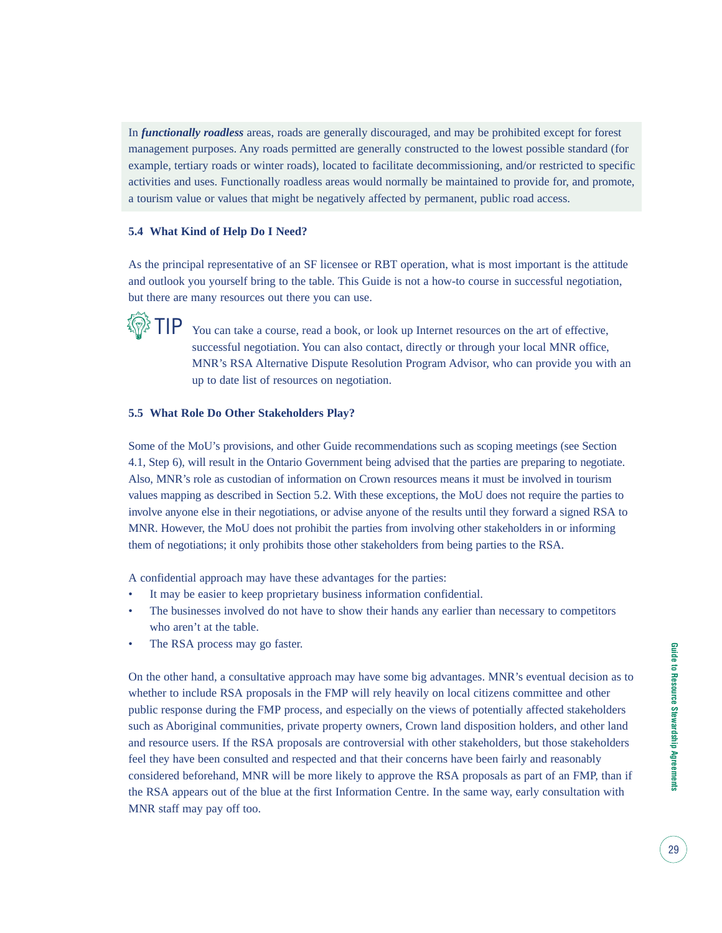In *functionally roadless* areas, roads are generally discouraged, and may be prohibited except for forest management purposes. Any roads permitted are generally constructed to the lowest possible standard (for example, tertiary roads or winter roads), located to facilitate decommissioning, and/or restricted to specific activities and uses. Functionally roadless areas would normally be maintained to provide for, and promote, a tourism value or values that might be negatively affected by permanent, public road access.

#### **5.4 What Kind of Help Do I Need?**

As the principal representative of an SF licensee or RBT operation, what is most important is the attitude and outlook you yourself bring to the table. This Guide is not a how-to course in successful negotiation, but there are many resources out there you can use.



You can take a course, read a book, or look up Internet resources on the art of effective, successful negotiation. You can also contact, directly or through your local MNR office, MNR's RSA Alternative Dispute Resolution Program Advisor, who can provide you with an up to date list of resources on negotiation.

#### **5.5 What Role Do Other Stakeholders Play?**

Some of the MoU's provisions, and other Guide recommendations such as scoping meetings (see Section 4.1, Step 6), will result in the Ontario Government being advised that the parties are preparing to negotiate. Also, MNR's role as custodian of information on Crown resources means it must be involved in tourism values mapping as described in Section 5.2. With these exceptions, the MoU does not require the parties to involve anyone else in their negotiations, or advise anyone of the results until they forward a signed RSA to MNR. However, the MoU does not prohibit the parties from involving other stakeholders in or informing them of negotiations; it only prohibits those other stakeholders from being parties to the RSA.

A confidential approach may have these advantages for the parties:

- It may be easier to keep proprietary business information confidential.
- The businesses involved do not have to show their hands any earlier than necessary to competitors who aren't at the table.
- The RSA process may go faster.

On the other hand, a consultative approach may have some big advantages. MNR's eventual decision as to whether to include RSA proposals in the FMP will rely heavily on local citizens committee and other public response during the FMP process, and especially on the views of potentially affected stakeholders such as Aboriginal communities, private property owners, Crown land disposition holders, and other land and resource users. If the RSA proposals are controversial with other stakeholders, but those stakeholders feel they have been consulted and respected and that their concerns have been fairly and reasonably considered beforehand, MNR will be more likely to approve the RSA proposals as part of an FMP, than if the RSA appears out of the blue at the first Information Centre. In the same way, early consultation with MNR staff may pay off too.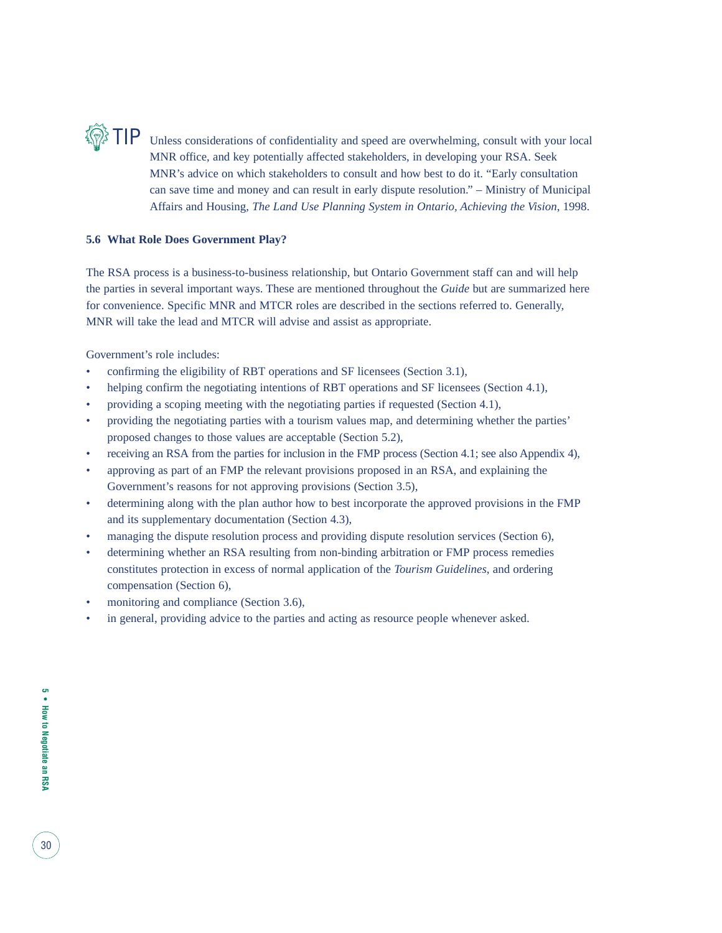

Unless considerations of confidentiality and speed are overwhelming, consult with your local MNR office, and key potentially affected stakeholders, in developing your RSA. Seek MNR's advice on which stakeholders to consult and how best to do it. "Early consultation can save time and money and can result in early dispute resolution." – Ministry of Municipal Affairs and Housing, *The Land Use Planning System in Ontario, Achieving the Vision*, 1998.

#### **5.6 What Role Does Government Play?**

The RSA process is a business-to-business relationship, but Ontario Government staff can and will help the parties in several important ways. These are mentioned throughout the *Guide* but are summarized here for convenience. Specific MNR and MTCR roles are described in the sections referred to. Generally, MNR will take the lead and MTCR will advise and assist as appropriate.

Government's role includes:

- confirming the eligibility of RBT operations and SF licensees (Section 3.1),
- helping confirm the negotiating intentions of RBT operations and SF licensees (Section 4.1),
- providing a scoping meeting with the negotiating parties if requested (Section 4.1),
- providing the negotiating parties with a tourism values map, and determining whether the parties' proposed changes to those values are acceptable (Section 5.2),
- receiving an RSA from the parties for inclusion in the FMP process (Section 4.1; see also Appendix 4),
- approving as part of an FMP the relevant provisions proposed in an RSA, and explaining the Government's reasons for not approving provisions (Section 3.5),
- determining along with the plan author how to best incorporate the approved provisions in the FMP and its supplementary documentation (Section 4.3),
- managing the dispute resolution process and providing dispute resolution services (Section 6),
- determining whether an RSA resulting from non-binding arbitration or FMP process remedies constitutes protection in excess of normal application of the *Tourism Guidelines*, and ordering compensation (Section 6),
- monitoring and compliance (Section 3.6),
- in general, providing advice to the parties and acting as resource people whenever asked.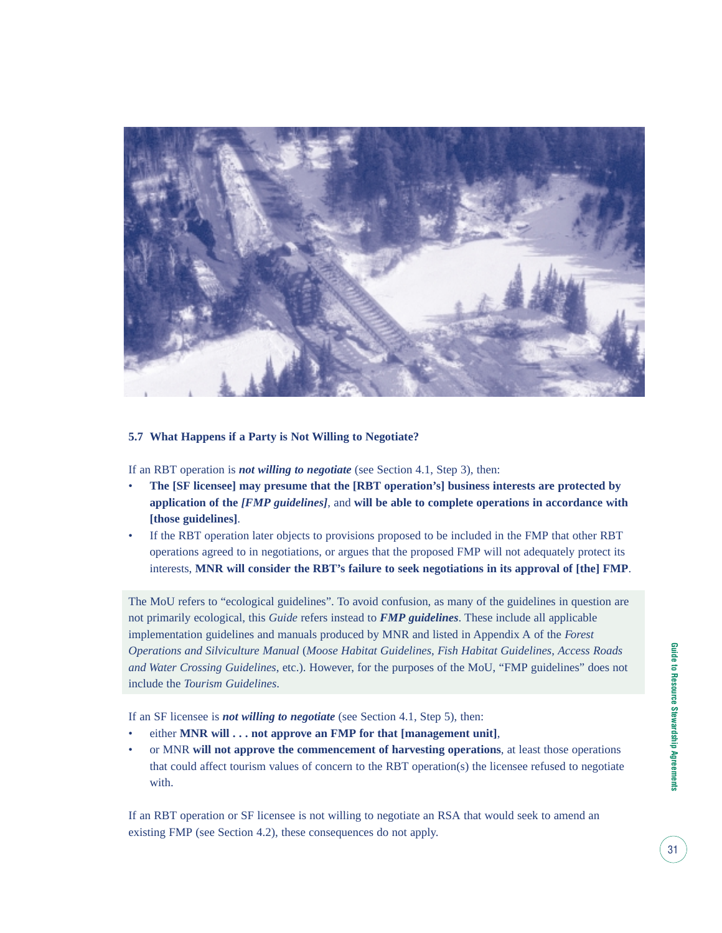

#### **5.7 What Happens if a Party is Not Willing to Negotiate?**

If an RBT operation is *not willing to negotiate* (see Section 4.1, Step 3), then:

- **The [SF licensee] may presume that the [RBT operation's] business interests are protected by application of the** *[FMP guidelines]*, and **will be able to complete operations in accordance with [those guidelines]**.
- If the RBT operation later objects to provisions proposed to be included in the FMP that other RBT operations agreed to in negotiations, or argues that the proposed FMP will not adequately protect its interests, **MNR will consider the RBT's failure to seek negotiations in its approval of [the] FMP**.

The MoU refers to "ecological guidelines". To avoid confusion, as many of the guidelines in question are not primarily ecological, this *Guide* refers instead to *FMP guidelines*. These include all applicable implementation guidelines and manuals produced by MNR and listed in Appendix A of the *Forest Operations and Silviculture Manual* (*Moose Habitat Guidelines*, *Fish Habitat Guidelines*, *Access Roads and Water Crossing Guidelines*, etc.). However, for the purposes of the MoU, "FMP guidelines" does not include the *Tourism Guidelines*.

If an SF licensee is *not willing to negotiate* (see Section 4.1, Step 5), then:

- either **MNR** will . . . not approve an FMP for that [management unit],
- or MNR **will not approve the commencement of harvesting operations**, at least those operations that could affect tourism values of concern to the RBT operation(s) the licensee refused to negotiate with.

If an RBT operation or SF licensee is not willing to negotiate an RSA that would seek to amend an existing FMP (see Section 4.2), these consequences do not apply.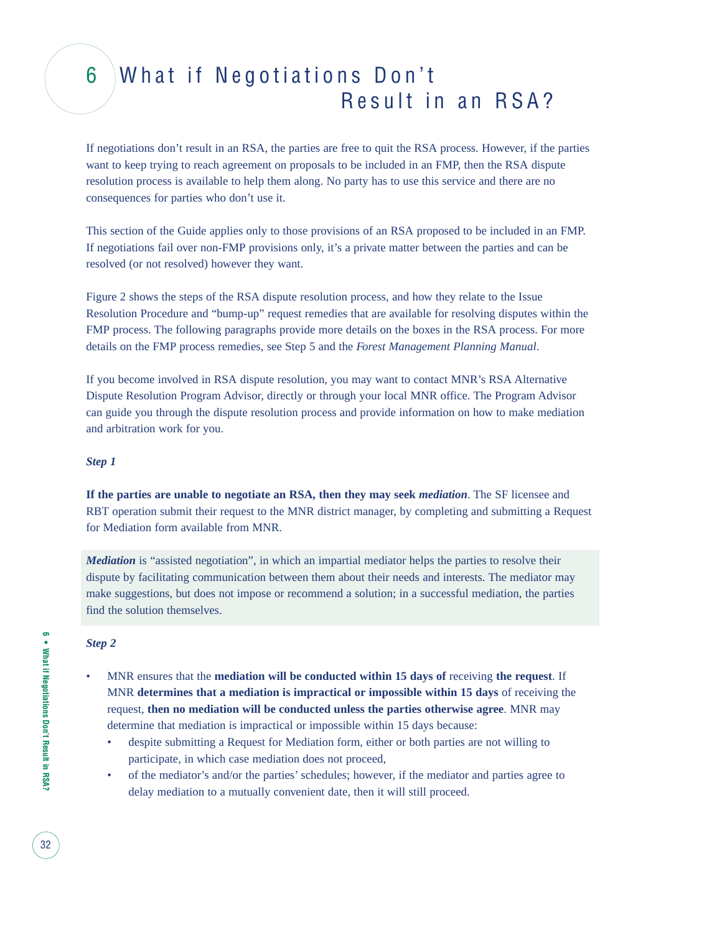### 6 What if Negotiations Don't Result in an RSA?

If negotiations don't result in an RSA, the parties are free to quit the RSA process. However, if the parties want to keep trying to reach agreement on proposals to be included in an FMP, then the RSA dispute resolution process is available to help them along. No party has to use this service and there are no consequences for parties who don't use it.

This section of the Guide applies only to those provisions of an RSA proposed to be included in an FMP. If negotiations fail over non-FMP provisions only, it's a private matter between the parties and can be resolved (or not resolved) however they want.

Figure 2 shows the steps of the RSA dispute resolution process, and how they relate to the Issue Resolution Procedure and "bump-up" request remedies that are available for resolving disputes within the FMP process. The following paragraphs provide more details on the boxes in the RSA process. For more details on the FMP process remedies, see Step 5 and the *Forest Management Planning Manual*.

If you become involved in RSA dispute resolution, you may want to contact MNR's RSA Alternative Dispute Resolution Program Advisor, directly or through your local MNR office. The Program Advisor can guide you through the dispute resolution process and provide information on how to make mediation and arbitration work for you.

#### *Step 1*

**If the parties are unable to negotiate an RSA, then they may seek** *mediation*. The SF licensee and RBT operation submit their request to the MNR district manager, by completing and submitting a Request for Mediation form available from MNR.

*Mediation* is "assisted negotiation", in which an impartial mediator helps the parties to resolve their dispute by facilitating communication between them about their needs and interests. The mediator may make suggestions, but does not impose or recommend a solution; in a successful mediation, the parties find the solution themselves.

#### *Step 2*

- MNR ensures that the **mediation will be conducted within 15 days of** receiving **the request**. If MNR **determines that a mediation is impractical or impossible within 15 days** of receiving the request, **then no mediation will be conducted unless the parties otherwise agree**. MNR may determine that mediation is impractical or impossible within 15 days because:
	- despite submitting a Request for Mediation form, either or both parties are not willing to participate, in which case mediation does not proceed,
	- of the mediator's and/or the parties' schedules; however, if the mediator and parties agree to delay mediation to a mutually convenient date, then it will still proceed.

32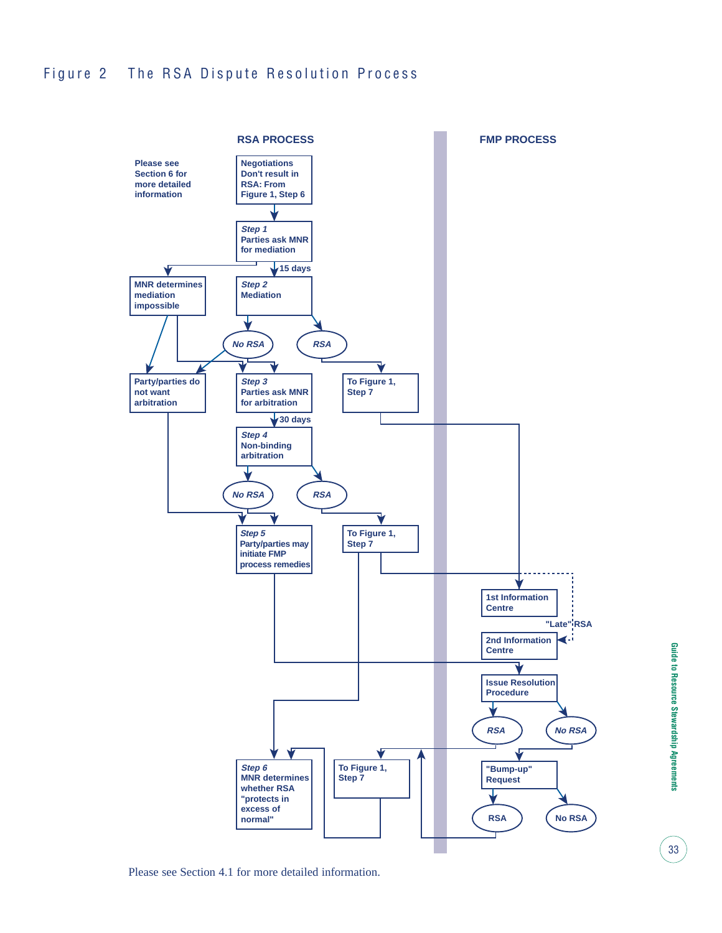### Figure 2 The RSA Dispute Resolution Process



Please see Section 4.1 for more detailed information.

33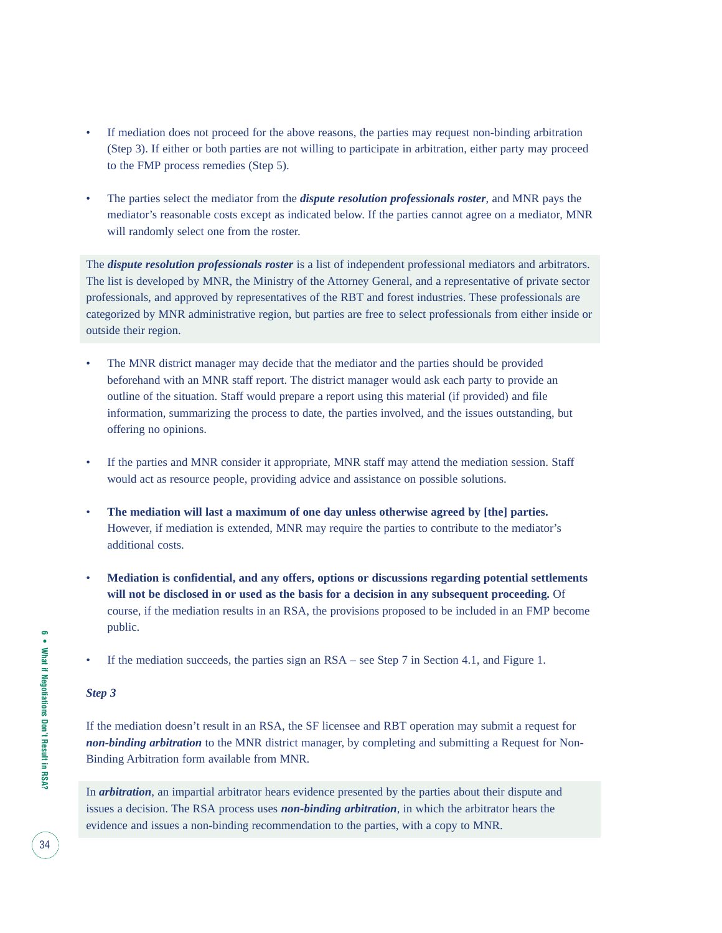- If mediation does not proceed for the above reasons, the parties may request non-binding arbitration (Step 3). If either or both parties are not willing to participate in arbitration, either party may proceed to the FMP process remedies (Step 5).
- The parties select the mediator from the *dispute resolution professionals roster*, and MNR pays the mediator's reasonable costs except as indicated below. If the parties cannot agree on a mediator, MNR will randomly select one from the roster.

The *dispute resolution professionals roster* is a list of independent professional mediators and arbitrators. The list is developed by MNR, the Ministry of the Attorney General, and a representative of private sector professionals, and approved by representatives of the RBT and forest industries. These professionals are categorized by MNR administrative region, but parties are free to select professionals from either inside or outside their region.

- The MNR district manager may decide that the mediator and the parties should be provided beforehand with an MNR staff report. The district manager would ask each party to provide an outline of the situation. Staff would prepare a report using this material (if provided) and file information, summarizing the process to date, the parties involved, and the issues outstanding, but offering no opinions.
- If the parties and MNR consider it appropriate, MNR staff may attend the mediation session. Staff would act as resource people, providing advice and assistance on possible solutions.
- **The mediation will last a maximum of one day unless otherwise agreed by [the] parties.** However, if mediation is extended, MNR may require the parties to contribute to the mediator's additional costs.
- **Mediation is confidential, and any offers, options or discussions regarding potential settlements will not be disclosed in or used as the basis for a decision in any subsequent proceeding.** Of course, if the mediation results in an RSA, the provisions proposed to be included in an FMP become public.
- If the mediation succeeds, the parties sign an RSA see Step 7 in Section 4.1, and Figure 1.

#### *Step 3*

If the mediation doesn't result in an RSA, the SF licensee and RBT operation may submit a request for *non-binding arbitration* to the MNR district manager, by completing and submitting a Request for Non-Binding Arbitration form available from MNR.

In *arbitration*, an impartial arbitrator hears evidence presented by the parties about their dispute and issues a decision. The RSA process uses *non-binding arbitration*, in which the arbitrator hears the evidence and issues a non-binding recommendation to the parties, with a copy to MNR.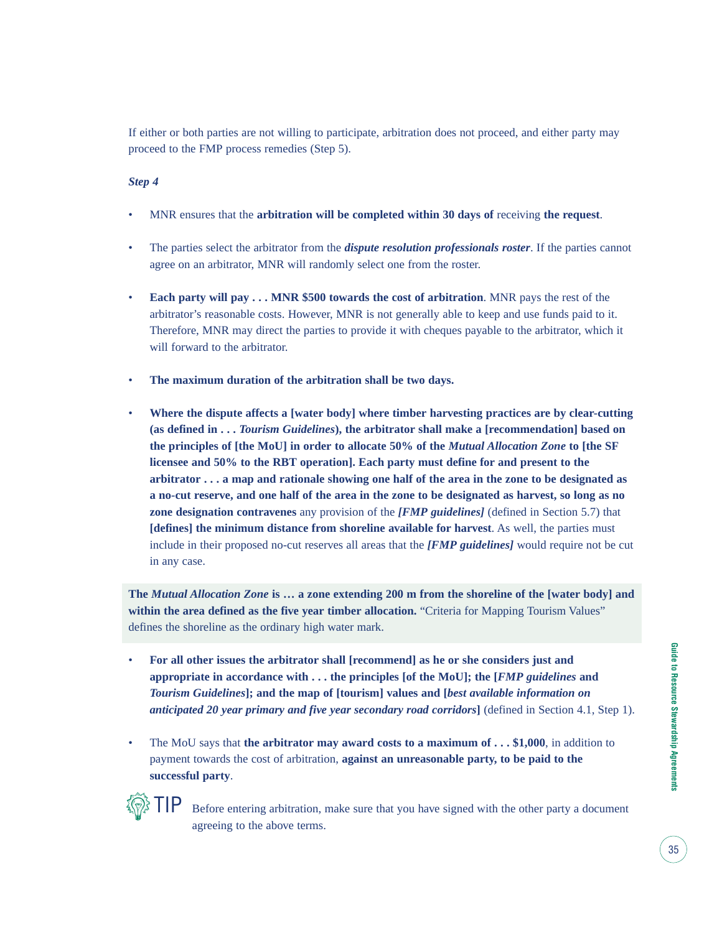If either or both parties are not willing to participate, arbitration does not proceed, and either party may proceed to the FMP process remedies (Step 5).

#### *Step 4*

- MNR ensures that the **arbitration will be completed within 30 days of** receiving **the request**.
- The parties select the arbitrator from the *dispute resolution professionals roster*. If the parties cannot agree on an arbitrator, MNR will randomly select one from the roster.
- **Each party will pay . . . MNR \$500 towards the cost of arbitration**. MNR pays the rest of the arbitrator's reasonable costs. However, MNR is not generally able to keep and use funds paid to it. Therefore, MNR may direct the parties to provide it with cheques payable to the arbitrator, which it will forward to the arbitrator.
- **The maximum duration of the arbitration shall be two days.**
- **Where the dispute affects a [water body] where timber harvesting practices are by clear-cutting (as defined in . . .** *Tourism Guidelines***), the arbitrator shall make a [recommendation] based on the principles of [the MoU] in order to allocate 50% of the** *Mutual Allocation Zone* **to [the SF licensee and 50% to the RBT operation]. Each party must define for and present to the arbitrator . . . a map and rationale showing one half of the area in the zone to be designated as a no-cut reserve, and one half of the area in the zone to be designated as harvest, so long as no zone designation contravenes** any provision of the *[FMP guidelines]* (defined in Section 5.7) that **[defines] the minimum distance from shoreline available for harvest**. As well, the parties must include in their proposed no-cut reserves all areas that the *[FMP guidelines]* would require not be cut in any case.

**The** *Mutual Allocation Zone* **is … a zone extending 200 m from the shoreline of the [water body] and** within the area defined as the five year timber allocation. "Criteria for Mapping Tourism Values" defines the shoreline as the ordinary high water mark.

- **For all other issues the arbitrator shall [recommend] as he or she considers just and appropriate in accordance with . . . the principles [of the MoU]; the [***FMP guidelines* **and** *Tourism Guidelines***]; and the map of [tourism] values and [***best available information on anticipated 20 year primary and five year secondary road corridors***]** (defined in Section 4.1, Step 1).
- The MoU says that **the arbitrator may award costs to a maximum of ... \$1,000**, in addition to payment towards the cost of arbitration, **against an unreasonable party, to be paid to the successful party**.



Before entering arbitration, make sure that you have signed with the other party a document agreeing to the above terms.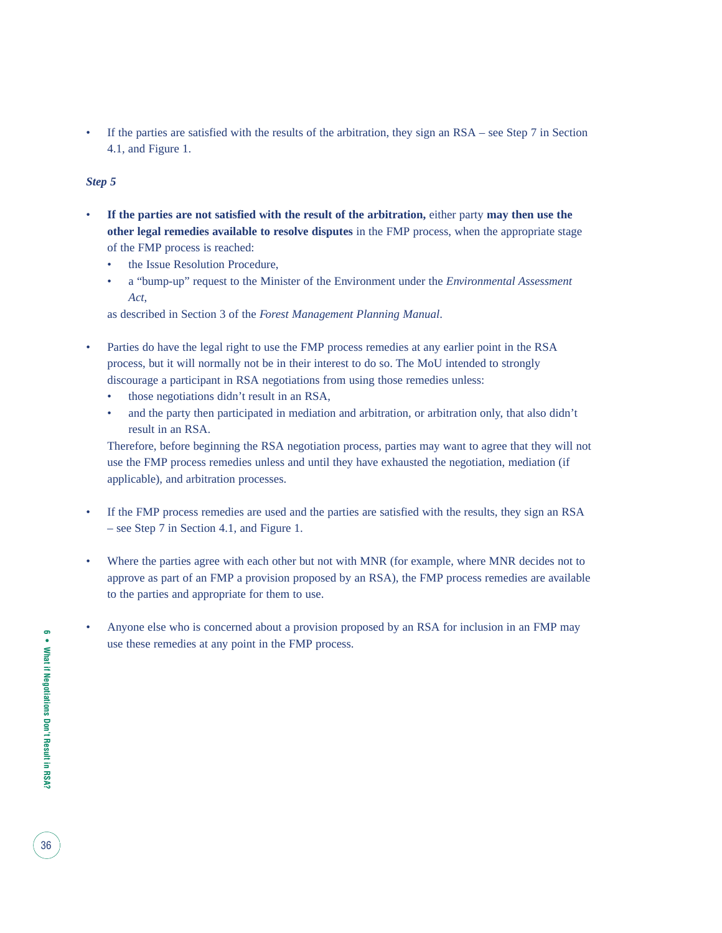If the parties are satisfied with the results of the arbitration, they sign an RSA – see Step 7 in Section 4.1, and Figure 1.

#### *Step 5*

- **If the parties are not satisfied with the result of the arbitration,** either party **may then use the other legal remedies available to resolve disputes** in the FMP process, when the appropriate stage of the FMP process is reached:
	- the Issue Resolution Procedure,
	- a "bump-up" request to the Minister of the Environment under the *Environmental Assessment Act*,

as described in Section 3 of the *Forest Management Planning Manual*.

- Parties do have the legal right to use the FMP process remedies at any earlier point in the RSA process, but it will normally not be in their interest to do so. The MoU intended to strongly discourage a participant in RSA negotiations from using those remedies unless:
	- those negotiations didn't result in an RSA,
	- and the party then participated in mediation and arbitration, or arbitration only, that also didn't result in an RSA.

Therefore, before beginning the RSA negotiation process, parties may want to agree that they will not use the FMP process remedies unless and until they have exhausted the negotiation, mediation (if applicable), and arbitration processes.

- If the FMP process remedies are used and the parties are satisfied with the results, they sign an RSA – see Step 7 in Section 4.1, and Figure 1.
- Where the parties agree with each other but not with MNR (for example, where MNR decides not to approve as part of an FMP a provision proposed by an RSA), the FMP process remedies are available to the parties and appropriate for them to use.
- Anyone else who is concerned about a provision proposed by an RSA for inclusion in an FMP may use these remedies at any point in the FMP process.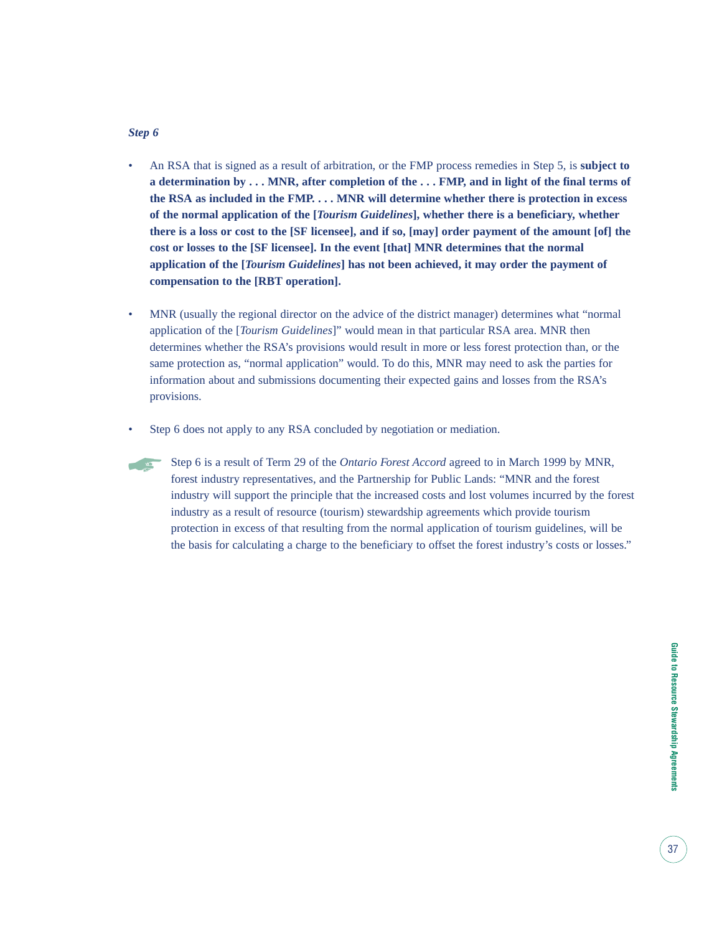#### *Step 6*

- An RSA that is signed as a result of arbitration, or the FMP process remedies in Step 5, is **subject to a determination by . . . MNR, after completion of the . . . FMP, and in light of the final terms of the RSA as included in the FMP. . . . MNR will determine whether there is protection in excess of the normal application of the [***Tourism Guidelines***], whether there is a beneficiary, whether there is a loss or cost to the [SF licensee], and if so, [may] order payment of the amount [of] the cost or losses to the [SF licensee]. In the event [that] MNR determines that the normal application of the [***Tourism Guidelines***] has not been achieved, it may order the payment of compensation to the [RBT operation].**
- MNR (usually the regional director on the advice of the district manager) determines what "normal" application of the [*Tourism Guidelines*]" would mean in that particular RSA area. MNR then determines whether the RSA's provisions would result in more or less forest protection than, or the same protection as, "normal application" would. To do this, MNR may need to ask the parties for information about and submissions documenting their expected gains and losses from the RSA's provisions.
- Step 6 does not apply to any RSA concluded by negotiation or mediation.
- Step 6 is a result of Term 29 of the *Ontario Forest Accord* agreed to in March 1999 by MNR, forest industry representatives, and the Partnership for Public Lands: "MNR and the forest industry will support the principle that the increased costs and lost volumes incurred by the forest industry as a result of resource (tourism) stewardship agreements which provide tourism protection in excess of that resulting from the normal application of tourism guidelines, will be the basis for calculating a charge to the beneficiary to offset the forest industry's costs or losses."  $\sqrt{2}$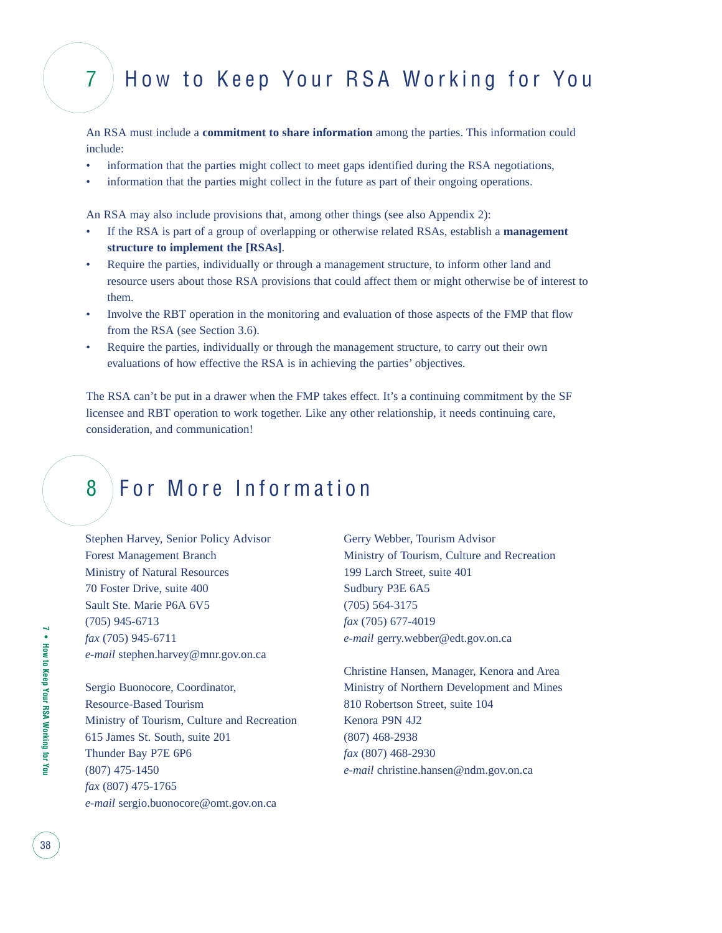### 7 How to Keep Your RSA Working for You

An RSA must include a **commitment to share information** among the parties. This information could include:

- information that the parties might collect to meet gaps identified during the RSA negotiations,
- information that the parties might collect in the future as part of their ongoing operations.

An RSA may also include provisions that, among other things (see also Appendix 2):

- If the RSA is part of a group of overlapping or otherwise related RSAs, establish a **management structure to implement the [RSAs]**.
- Require the parties, individually or through a management structure, to inform other land and resource users about those RSA provisions that could affect them or might otherwise be of interest to them.
- Involve the RBT operation in the monitoring and evaluation of those aspects of the FMP that flow from the RSA (see Section 3.6).
- Require the parties, individually or through the management structure, to carry out their own evaluations of how effective the RSA is in achieving the parties' objectives.

The RSA can't be put in a drawer when the FMP takes effect. It's a continuing commitment by the SF licensee and RBT operation to work together. Like any other relationship, it needs continuing care, consideration, and communication!

### 8 For More Information

Stephen Harvey, Senior Policy Advisor Forest Management Branch Ministry of Natural Resources 70 Foster Drive, suite 400 Sault Ste. Marie P6A 6V5 (705) 945-6713 *fax* (705) 945-6711 *e-mail* stephen.harvey@mnr.gov.on.ca

Sergio Buonocore, Coordinator, Resource-Based Tourism Ministry of Tourism, Culture and Recreation 615 James St. South, suite 201 Thunder Bay P7E 6P6 (807) 475-1450 *fax* (807) 475-1765 *e-mail* sergio.buonocore@omt.gov.on.ca

Gerry Webber, Tourism Advisor Ministry of Tourism, Culture and Recreation 199 Larch Street, suite 401 Sudbury P3E 6A5 (705) 564-3175 *fax* (705) 677-4019 *e-mail* gerry.webber@edt.gov.on.ca

Christine Hansen, Manager, Kenora and Area Ministry of Northern Development and Mines 810 Robertson Street, suite 104 Kenora P9N 4J2 (807) 468-2938 *fax* (807) 468-2930 *e-mail* christine.hansen@ndm.gov.on.ca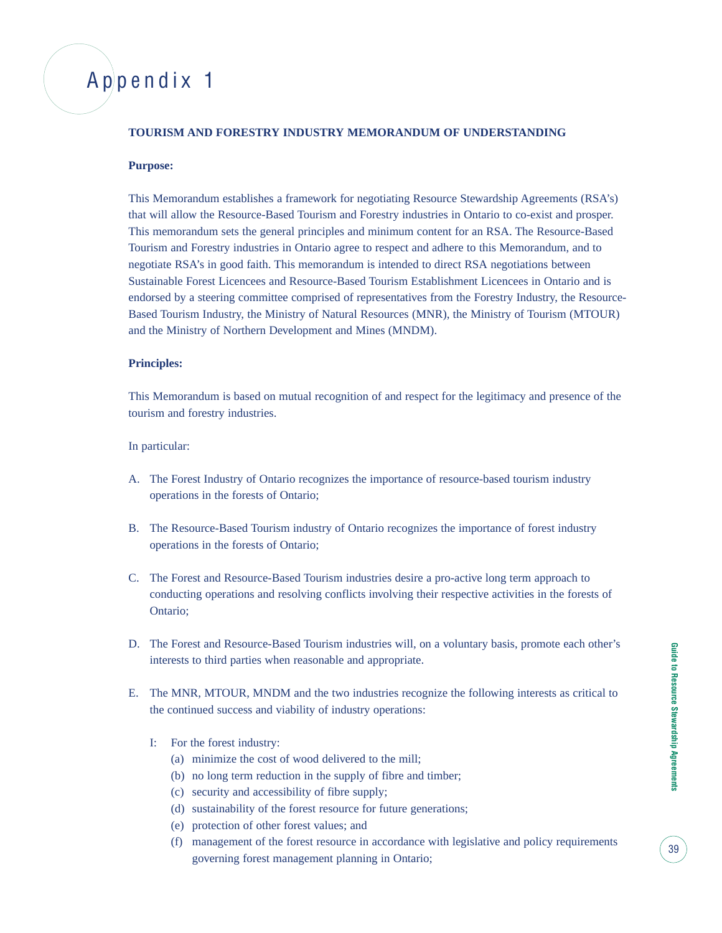### Appendix 1

#### **TOURISM AND FORESTRY INDUSTRY MEMORANDUM OF UNDERSTANDING**

#### **Purpose:**

This Memorandum establishes a framework for negotiating Resource Stewardship Agreements (RSA's) that will allow the Resource-Based Tourism and Forestry industries in Ontario to co-exist and prosper. This memorandum sets the general principles and minimum content for an RSA. The Resource-Based Tourism and Forestry industries in Ontario agree to respect and adhere to this Memorandum, and to negotiate RSA's in good faith. This memorandum is intended to direct RSA negotiations between Sustainable Forest Licencees and Resource-Based Tourism Establishment Licencees in Ontario and is endorsed by a steering committee comprised of representatives from the Forestry Industry, the Resource-Based Tourism Industry, the Ministry of Natural Resources (MNR), the Ministry of Tourism (MTOUR) and the Ministry of Northern Development and Mines (MNDM).

#### **Principles:**

This Memorandum is based on mutual recognition of and respect for the legitimacy and presence of the tourism and forestry industries.

#### In particular:

- A. The Forest Industry of Ontario recognizes the importance of resource-based tourism industry operations in the forests of Ontario;
- B. The Resource-Based Tourism industry of Ontario recognizes the importance of forest industry operations in the forests of Ontario;
- C. The Forest and Resource-Based Tourism industries desire a pro-active long term approach to conducting operations and resolving conflicts involving their respective activities in the forests of Ontario;
- D. The Forest and Resource-Based Tourism industries will, on a voluntary basis, promote each other's interests to third parties when reasonable and appropriate.
- E. The MNR, MTOUR, MNDM and the two industries recognize the following interests as critical to the continued success and viability of industry operations:
	- I: For the forest industry:
		- (a) minimize the cost of wood delivered to the mill;
		- (b) no long term reduction in the supply of fibre and timber;
		- (c) security and accessibility of fibre supply;
		- (d) sustainability of the forest resource for future generations;
		- (e) protection of other forest values; and
		- (f) management of the forest resource in accordance with legislative and policy requirements governing forest management planning in Ontario;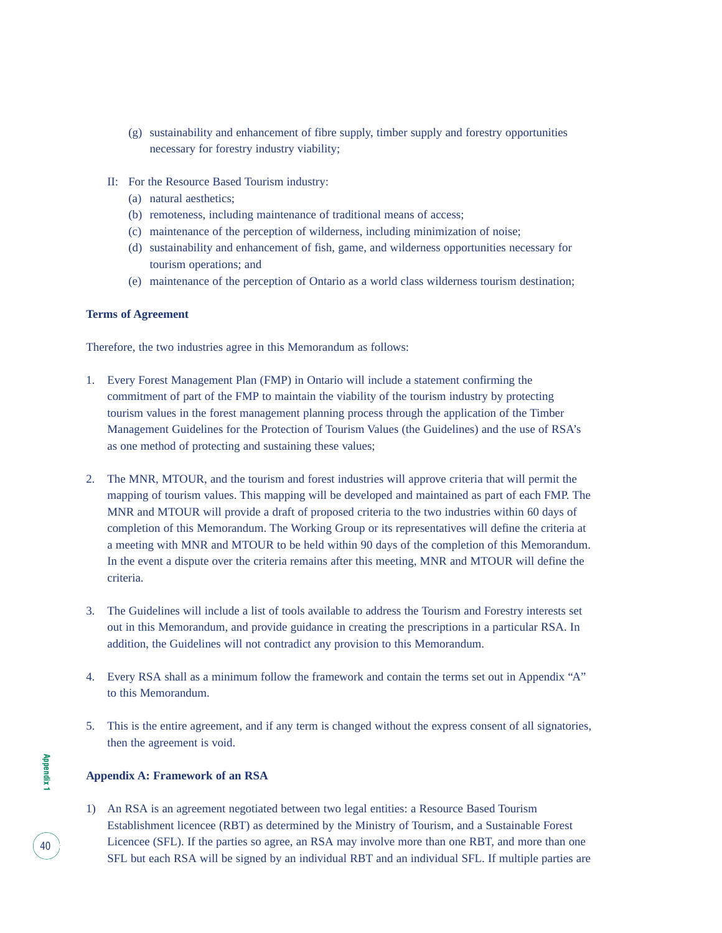- (g) sustainability and enhancement of fibre supply, timber supply and forestry opportunities necessary for forestry industry viability;
- II: For the Resource Based Tourism industry:
	- (a) natural aesthetics;
	- (b) remoteness, including maintenance of traditional means of access;
	- (c) maintenance of the perception of wilderness, including minimization of noise;
	- (d) sustainability and enhancement of fish, game, and wilderness opportunities necessary for tourism operations; and
	- (e) maintenance of the perception of Ontario as a world class wilderness tourism destination;

#### **Terms of Agreement**

Therefore, the two industries agree in this Memorandum as follows:

- 1. Every Forest Management Plan (FMP) in Ontario will include a statement confirming the commitment of part of the FMP to maintain the viability of the tourism industry by protecting tourism values in the forest management planning process through the application of the Timber Management Guidelines for the Protection of Tourism Values (the Guidelines) and the use of RSA's as one method of protecting and sustaining these values;
- 2. The MNR, MTOUR, and the tourism and forest industries will approve criteria that will permit the mapping of tourism values. This mapping will be developed and maintained as part of each FMP. The MNR and MTOUR will provide a draft of proposed criteria to the two industries within 60 days of completion of this Memorandum. The Working Group or its representatives will define the criteria at a meeting with MNR and MTOUR to be held within 90 days of the completion of this Memorandum. In the event a dispute over the criteria remains after this meeting, MNR and MTOUR will define the criteria.
- 3. The Guidelines will include a list of tools available to address the Tourism and Forestry interests set out in this Memorandum, and provide guidance in creating the prescriptions in a particular RSA. In addition, the Guidelines will not contradict any provision to this Memorandum.
- 4. Every RSA shall as a minimum follow the framework and contain the terms set out in Appendix "A" to this Memorandum.
- 5. This is the entire agreement, and if any term is changed without the express consent of all signatories, then the agreement is void.

#### **Appendix A: Framework of an RSA**

1) An RSA is an agreement negotiated between two legal entities: a Resource Based Tourism Establishment licencee (RBT) as determined by the Ministry of Tourism, and a Sustainable Forest Licencee (SFL). If the parties so agree, an RSA may involve more than one RBT, and more than one SFL but each RSA will be signed by an individual RBT and an individual SFL. If multiple parties are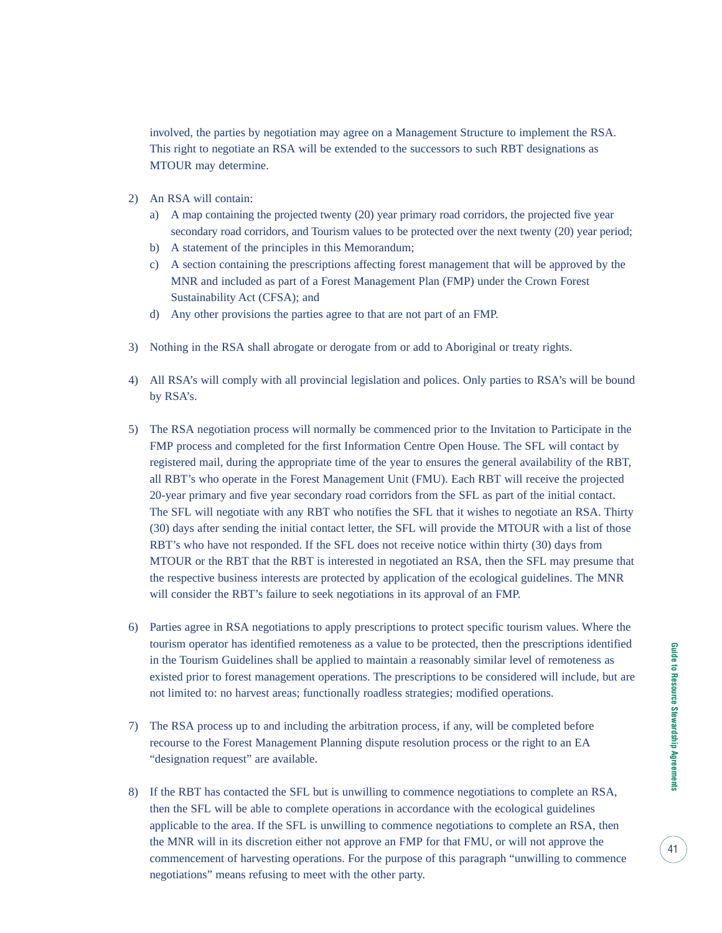involved, the parties by negotiation may agree on a Management Structure to implement the RSA. This right to negotiate an RSA will be extended to the successors to such RBT designations as MTOUR may determine.

- 2) An RSA will contain:
	- a) A map containing the projected twenty (20) year primary road corridors, the projected five year secondary road corridors, and Tourism values to be protected over the next twenty (20) year period;
	- b) A statement of the principles in this Memorandum;
	- c) A section containing the prescriptions affecting forest management that will be approved by the MNR and included as part of a Forest Management Plan (FMP) under the Crown Forest Sustainability Act (CFSA); and
	- d) Any other provisions the parties agree to that are not part of an FMP.
- 3) Nothing in the RSA shall abrogate or derogate from or add to Aboriginal or treaty rights.
- 4) All RSA's will comply with all provincial legislation and polices. Only parties to RSA's will be bound by RSA's.
- 5) The RSA negotiation process will normally be commenced prior to the Invitation to Participate in the FMP process and completed for the first Information Centre Open House. The SFL will contact by registered mail, during the appropriate time of the year to ensures the general availability of the RBT, all RBT's who operate in the Forest Management Unit (FMU). Each RBT will receive the projected 20-year primary and five year secondary road corridors from the SFL as part of the initial contact. The SFL will negotiate with any RBT who notifies the SFL that it wishes to negotiate an RSA. Thirty (30) days after sending the initial contact letter, the SFL will provide the MTOUR with a list of those RBT's who have not responded. If the SFL does not receive notice within thirty (30) days from MTOUR or the RBT that the RBT is interested in negotiated an RSA, then the SFL may presume that the respective business interests are protected by application of the ecological guidelines. The MNR will consider the RBT's failure to seek negotiations in its approval of an FMP.
- 6) Parties agree in RSA negotiations to apply prescriptions to protect specific tourism values. Where the tourism operator has identified remoteness as a value to be protected, then the prescriptions identified in the Tourism Guidelines shall be applied to maintain a reasonably similar level of remoteness as existed prior to forest management operations. The prescriptions to be considered will include, but are not limited to: no harvest areas; functionally roadless strategies; modified operations.
- 7) The RSA process up to and including the arbitration process, if any, will be completed before recourse to the Forest Management Planning dispute resolution process or the right to an EA "designation request" are available.
- 8) If the RBT has contacted the SFL but is unwilling to commence negotiations to complete an RSA, then the SFL will be able to complete operations in accordance with the ecological guidelines applicable to the area. If the SFL is unwilling to commence negotiations to complete an RSA, then the MNR will in its discretion either not approve an FMP for that FMU, or will not approve the commencement of harvesting operations. For the purpose of this paragraph "unwilling to commence negotiations" means refusing to meet with the other party.

41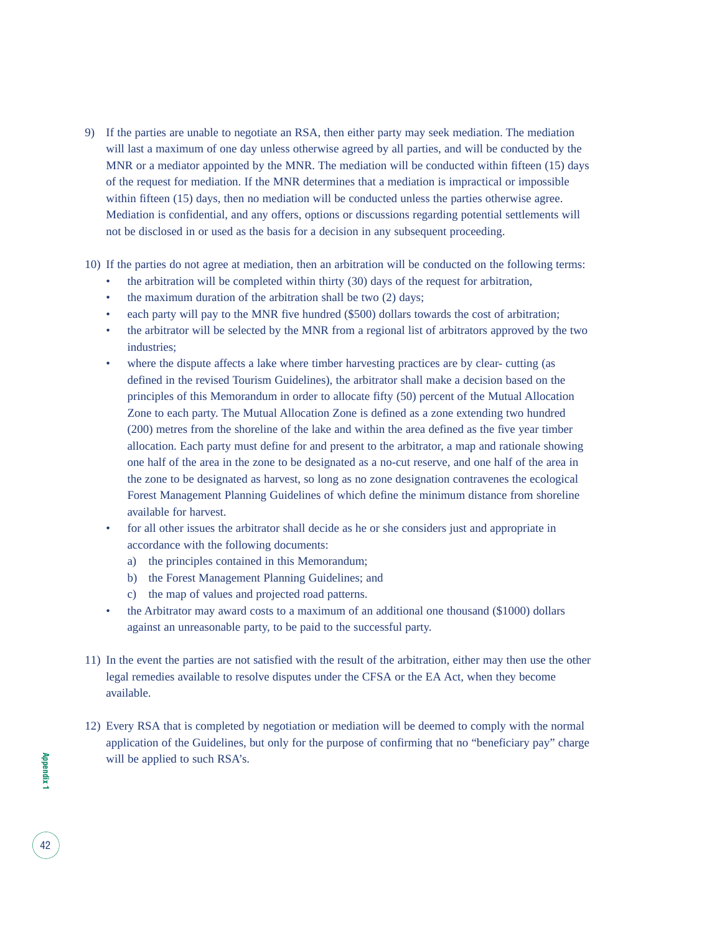- 9) If the parties are unable to negotiate an RSA, then either party may seek mediation. The mediation will last a maximum of one day unless otherwise agreed by all parties, and will be conducted by the MNR or a mediator appointed by the MNR. The mediation will be conducted within fifteen (15) days of the request for mediation. If the MNR determines that a mediation is impractical or impossible within fifteen (15) days, then no mediation will be conducted unless the parties otherwise agree. Mediation is confidential, and any offers, options or discussions regarding potential settlements will not be disclosed in or used as the basis for a decision in any subsequent proceeding.
- 10) If the parties do not agree at mediation, then an arbitration will be conducted on the following terms:
	- the arbitration will be completed within thirty (30) days of the request for arbitration,
	- the maximum duration of the arbitration shall be two (2) days;
	- each party will pay to the MNR five hundred (\$500) dollars towards the cost of arbitration;
	- the arbitrator will be selected by the MNR from a regional list of arbitrators approved by the two industries;
	- where the dispute affects a lake where timber harvesting practices are by clear- cutting (as defined in the revised Tourism Guidelines), the arbitrator shall make a decision based on the principles of this Memorandum in order to allocate fifty (50) percent of the Mutual Allocation Zone to each party. The Mutual Allocation Zone is defined as a zone extending two hundred (200) metres from the shoreline of the lake and within the area defined as the five year timber allocation. Each party must define for and present to the arbitrator, a map and rationale showing one half of the area in the zone to be designated as a no-cut reserve, and one half of the area in the zone to be designated as harvest, so long as no zone designation contravenes the ecological Forest Management Planning Guidelines of which define the minimum distance from shoreline available for harvest.
	- for all other issues the arbitrator shall decide as he or she considers just and appropriate in accordance with the following documents:
		- a) the principles contained in this Memorandum;
		- b) the Forest Management Planning Guidelines; and
		- c) the map of values and projected road patterns.
	- the Arbitrator may award costs to a maximum of an additional one thousand (\$1000) dollars against an unreasonable party, to be paid to the successful party.
- 11) In the event the parties are not satisfied with the result of the arbitration, either may then use the other legal remedies available to resolve disputes under the CFSA or the EA Act, when they become available.
- 12) Every RSA that is completed by negotiation or mediation will be deemed to comply with the normal application of the Guidelines, but only for the purpose of confirming that no "beneficiary pay" charge will be applied to such RSA's.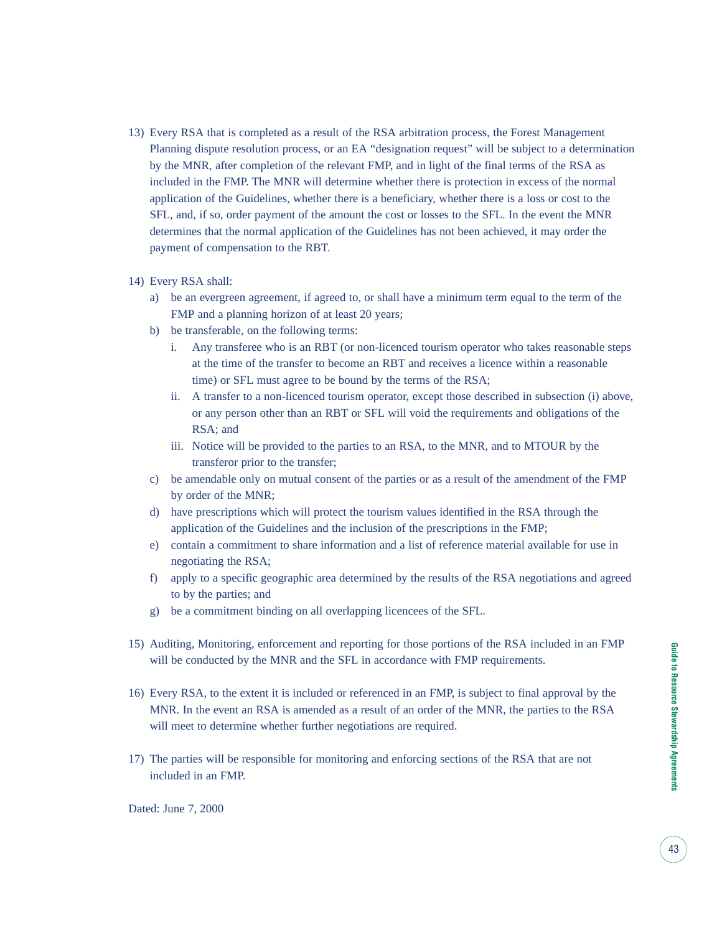- 13) Every RSA that is completed as a result of the RSA arbitration process, the Forest Management Planning dispute resolution process, or an EA "designation request" will be subject to a determination by the MNR, after completion of the relevant FMP, and in light of the final terms of the RSA as included in the FMP. The MNR will determine whether there is protection in excess of the normal application of the Guidelines, whether there is a beneficiary, whether there is a loss or cost to the SFL, and, if so, order payment of the amount the cost or losses to the SFL. In the event the MNR determines that the normal application of the Guidelines has not been achieved, it may order the payment of compensation to the RBT.
- 14) Every RSA shall:
	- a) be an evergreen agreement, if agreed to, or shall have a minimum term equal to the term of the FMP and a planning horizon of at least 20 years;
	- b) be transferable, on the following terms:
		- i. Any transferee who is an RBT (or non-licenced tourism operator who takes reasonable steps at the time of the transfer to become an RBT and receives a licence within a reasonable time) or SFL must agree to be bound by the terms of the RSA;
		- ii. A transfer to a non-licenced tourism operator, except those described in subsection (i) above, or any person other than an RBT or SFL will void the requirements and obligations of the RSA; and
		- iii. Notice will be provided to the parties to an RSA, to the MNR, and to MTOUR by the transferor prior to the transfer;
	- c) be amendable only on mutual consent of the parties or as a result of the amendment of the FMP by order of the MNR;
	- d) have prescriptions which will protect the tourism values identified in the RSA through the application of the Guidelines and the inclusion of the prescriptions in the FMP;
	- e) contain a commitment to share information and a list of reference material available for use in negotiating the RSA;
	- f) apply to a specific geographic area determined by the results of the RSA negotiations and agreed to by the parties; and
	- g) be a commitment binding on all overlapping licencees of the SFL.
- 15) Auditing, Monitoring, enforcement and reporting for those portions of the RSA included in an FMP will be conducted by the MNR and the SFL in accordance with FMP requirements.
- 16) Every RSA, to the extent it is included or referenced in an FMP, is subject to final approval by the MNR. In the event an RSA is amended as a result of an order of the MNR, the parties to the RSA will meet to determine whether further negotiations are required.
- 17) The parties will be responsible for monitoring and enforcing sections of the RSA that are not included in an FMP.

Dated: June 7, 2000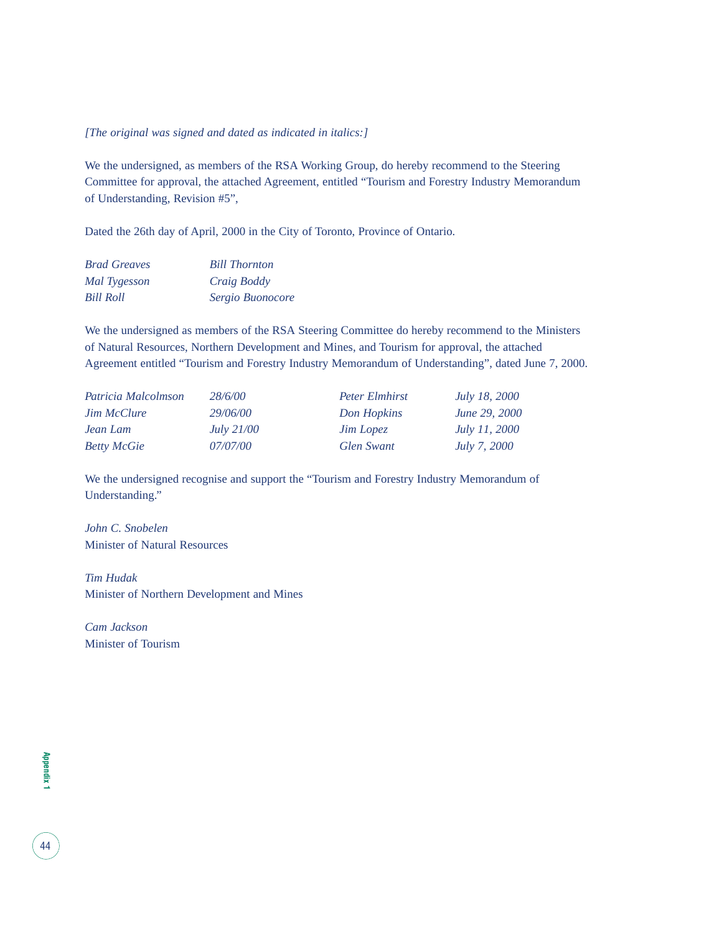#### *[The original was signed and dated as indicated in italics:]*

We the undersigned, as members of the RSA Working Group, do hereby recommend to the Steering Committee for approval, the attached Agreement, entitled "Tourism and Forestry Industry Memorandum of Understanding, Revision #5",

Dated the 26th day of April, 2000 in the City of Toronto, Province of Ontario.

| <b>Brad Greaves</b> | <b>Bill Thornton</b> |
|---------------------|----------------------|
| Mal Tygesson        | <i>Craig Boddy</i>   |
| Bill Roll           | Sergio Buonocore     |

We the undersigned as members of the RSA Steering Committee do hereby recommend to the Ministers of Natural Resources, Northern Development and Mines, and Tourism for approval, the attached Agreement entitled "Tourism and Forestry Industry Memorandum of Understanding", dated June 7, 2000.

| Patricia Malcolmson | 28/6/00           | <b>Peter Elmhirst</b> | <i>July 18, 2000</i> |
|---------------------|-------------------|-----------------------|----------------------|
| <b>Jim McClure</b>  | 29/06/00          | Don Hopkins           | <i>June 29, 2000</i> |
| Jean Lam            | <i>July 21/00</i> | <b>Jim Lopez</b>      | <i>July 11, 2000</i> |
| <b>Betty McGie</b>  | 07/07/00          | Glen Swant            | <i>July 7, 2000</i>  |

We the undersigned recognise and support the "Tourism and Forestry Industry Memorandum of Understanding."

*John C. Snobelen* Minister of Natural Resources

*Tim Hudak* Minister of Northern Development and Mines

*Cam Jackson* Minister of Tourism

44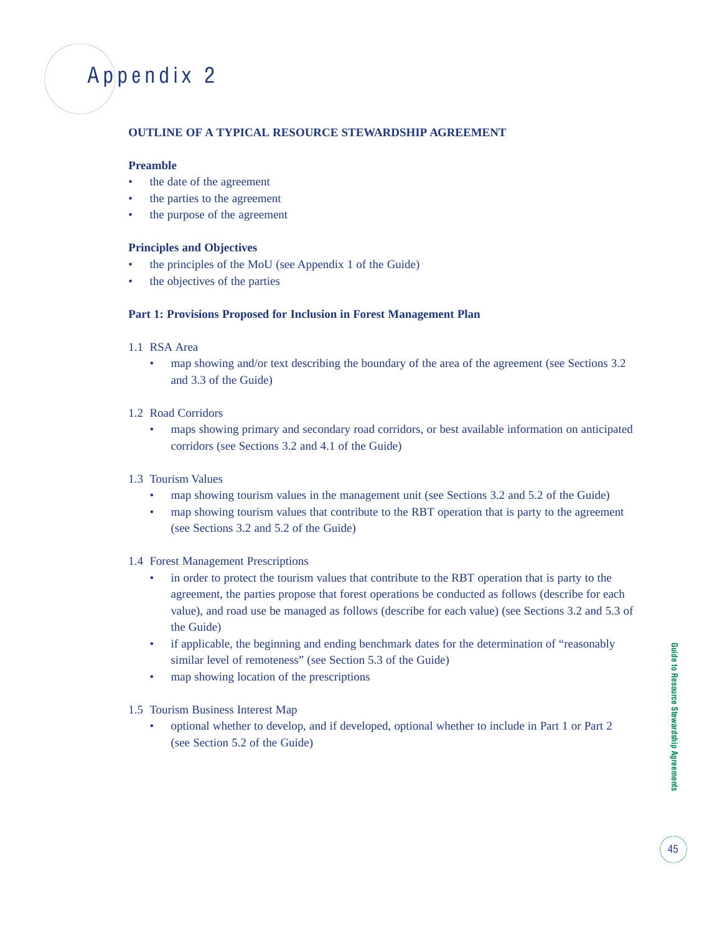## Appendix 2

#### **OUTLINE OF A TYPICAL RESOURCE STEWARDSHIP AGREEMENT**

#### **Preamble**

- the date of the agreement
- the parties to the agreement
- the purpose of the agreement

#### **Principles and Objectives**

- the principles of the MoU (see Appendix 1 of the Guide)
- the objectives of the parties

#### **Part 1: Provisions Proposed for Inclusion in Forest Management Plan**

- 1.1 RSA Area
	- map showing and/or text describing the boundary of the area of the agreement (see Sections 3.2) and 3.3 of the Guide)
- 1.2 Road Corridors
	- maps showing primary and secondary road corridors, or best available information on anticipated corridors (see Sections 3.2 and 4.1 of the Guide)
- 1.3 Tourism Values
	- map showing tourism values in the management unit (see Sections 3.2 and 5.2 of the Guide)
	- map showing tourism values that contribute to the RBT operation that is party to the agreement (see Sections 3.2 and 5.2 of the Guide)
- 1.4 Forest Management Prescriptions
	- in order to protect the tourism values that contribute to the RBT operation that is party to the agreement, the parties propose that forest operations be conducted as follows (describe for each value), and road use be managed as follows (describe for each value) (see Sections 3.2 and 5.3 of the Guide)
	- if applicable, the beginning and ending benchmark dates for the determination of "reasonably" similar level of remoteness" (see Section 5.3 of the Guide)
	- map showing location of the prescriptions
- 1.5 Tourism Business Interest Map
	- optional whether to develop, and if developed, optional whether to include in Part 1 or Part 2 (see Section 5.2 of the Guide)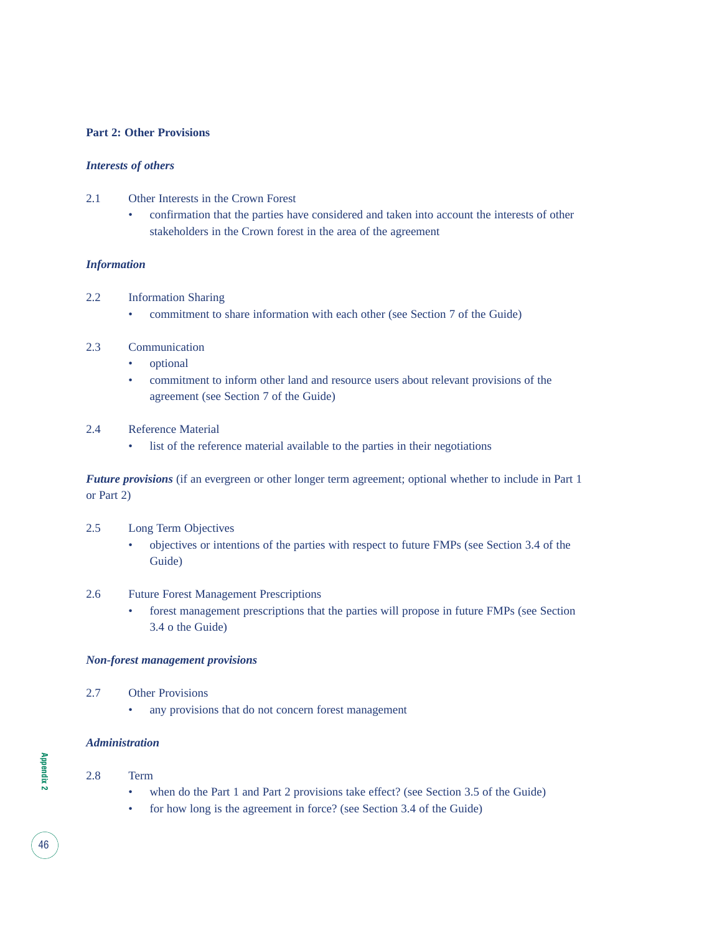#### **Part 2: Other Provisions**

#### *Interests of others*

- 2.1 Other Interests in the Crown Forest
	- confirmation that the parties have considered and taken into account the interests of other stakeholders in the Crown forest in the area of the agreement

#### *Information*

- 2.2 Information Sharing
	- commitment to share information with each other (see Section 7 of the Guide)

#### 2.3 Communication

- optional
- commitment to inform other land and resource users about relevant provisions of the agreement (see Section 7 of the Guide)

#### 2.4 Reference Material

• list of the reference material available to the parties in their negotiations

*Future provisions* (if an evergreen or other longer term agreement; optional whether to include in Part 1 or Part 2)

- 2.5 Long Term Objectives
	- objectives or intentions of the parties with respect to future FMPs (see Section 3.4 of the Guide)

#### 2.6 Future Forest Management Prescriptions

• forest management prescriptions that the parties will propose in future FMPs (see Section 3.4 o the Guide)

#### *Non-forest management provisions*

- 2.7 Other Provisions
	- any provisions that do not concern forest management

#### *Administration*

#### 2.8 Term

- when do the Part 1 and Part 2 provisions take effect? (see Section 3.5 of the Guide)
- for how long is the agreement in force? (see Section 3.4 of the Guide)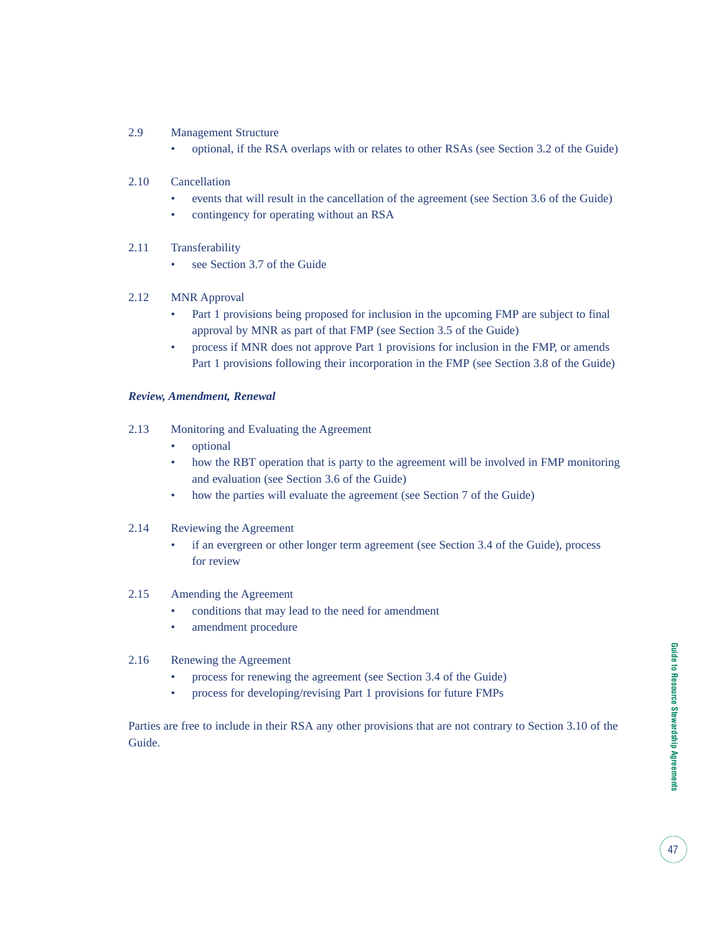- 2.9 Management Structure
	- optional, if the RSA overlaps with or relates to other RSAs (see Section 3.2 of the Guide)
- 2.10 Cancellation
	- events that will result in the cancellation of the agreement (see Section 3.6 of the Guide)
	- contingency for operating without an RSA
- 2.11 Transferability
	- see Section 3.7 of the Guide
- 2.12 MNR Approval
	- Part 1 provisions being proposed for inclusion in the upcoming FMP are subject to final approval by MNR as part of that FMP (see Section 3.5 of the Guide)
	- process if MNR does not approve Part 1 provisions for inclusion in the FMP, or amends Part 1 provisions following their incorporation in the FMP (see Section 3.8 of the Guide)

#### *Review, Amendment, Renewal*

- 2.13 Monitoring and Evaluating the Agreement
	- optional
	- how the RBT operation that is party to the agreement will be involved in FMP monitoring and evaluation (see Section 3.6 of the Guide)
	- how the parties will evaluate the agreement (see Section 7 of the Guide)
- 2.14 Reviewing the Agreement
	- if an evergreen or other longer term agreement (see Section 3.4 of the Guide), process for review

#### 2.15 Amending the Agreement

- conditions that may lead to the need for amendment
- amendment procedure
- 2.16 Renewing the Agreement
	- process for renewing the agreement (see Section 3.4 of the Guide)
	- process for developing/revising Part 1 provisions for future FMPs

Parties are free to include in their RSA any other provisions that are not contrary to Section 3.10 of the Guide.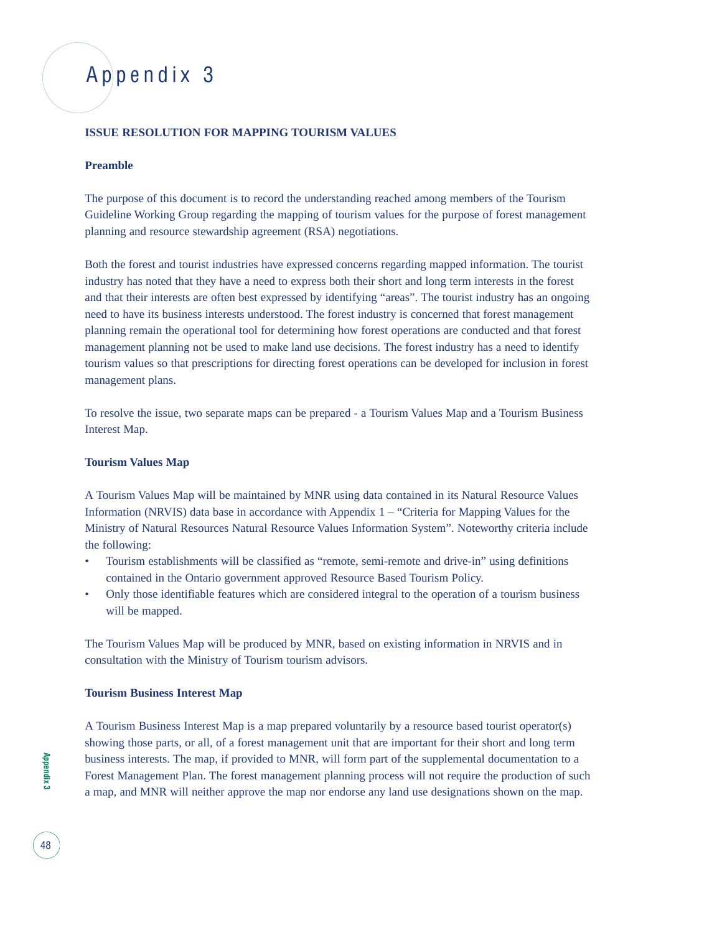## Appendix 3

#### **ISSUE RESOLUTION FOR MAPPING TOURISM VALUES**

#### **Preamble**

The purpose of this document is to record the understanding reached among members of the Tourism Guideline Working Group regarding the mapping of tourism values for the purpose of forest management planning and resource stewardship agreement (RSA) negotiations.

Both the forest and tourist industries have expressed concerns regarding mapped information. The tourist industry has noted that they have a need to express both their short and long term interests in the forest and that their interests are often best expressed by identifying "areas". The tourist industry has an ongoing need to have its business interests understood. The forest industry is concerned that forest management planning remain the operational tool for determining how forest operations are conducted and that forest management planning not be used to make land use decisions. The forest industry has a need to identify tourism values so that prescriptions for directing forest operations can be developed for inclusion in forest management plans.

To resolve the issue, two separate maps can be prepared - a Tourism Values Map and a Tourism Business Interest Map.

#### **Tourism Values Map**

A Tourism Values Map will be maintained by MNR using data contained in its Natural Resource Values Information (NRVIS) data base in accordance with Appendix 1 – "Criteria for Mapping Values for the Ministry of Natural Resources Natural Resource Values Information System". Noteworthy criteria include the following:

- Tourism establishments will be classified as "remote, semi-remote and drive-in" using definitions contained in the Ontario government approved Resource Based Tourism Policy.
- Only those identifiable features which are considered integral to the operation of a tourism business will be mapped.

The Tourism Values Map will be produced by MNR, based on existing information in NRVIS and in consultation with the Ministry of Tourism tourism advisors.

#### **Tourism Business Interest Map**

A Tourism Business Interest Map is a map prepared voluntarily by a resource based tourist operator(s) showing those parts, or all, of a forest management unit that are important for their short and long term business interests. The map, if provided to MNR, will form part of the supplemental documentation to a Forest Management Plan. The forest management planning process will not require the production of such a map, and MNR will neither approve the map nor endorse any land use designations shown on the map.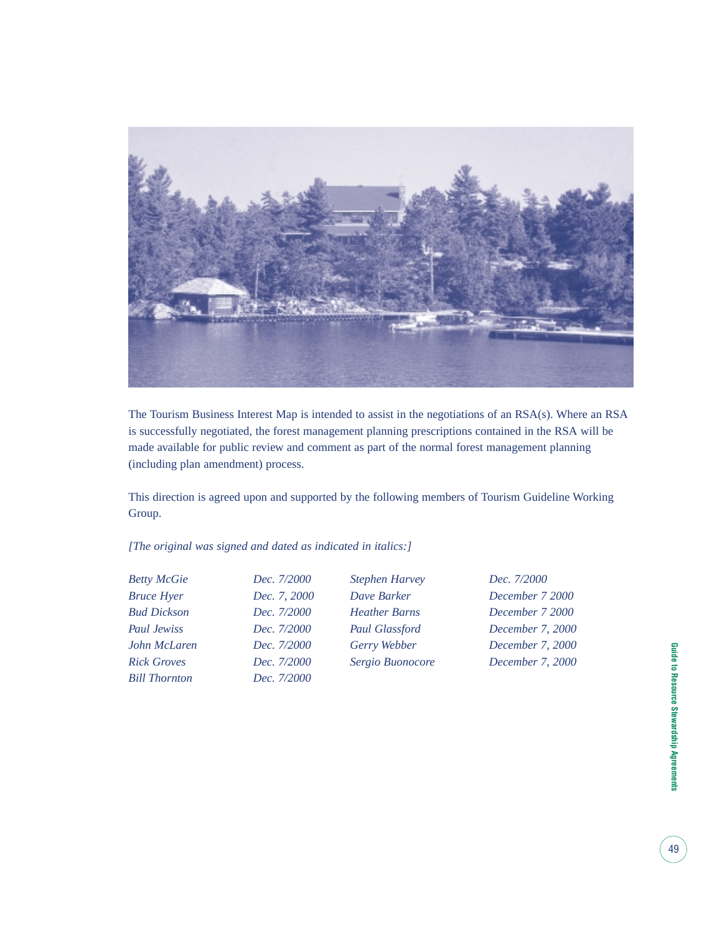

The Tourism Business Interest Map is intended to assist in the negotiations of an RSA(s). Where an RSA is successfully negotiated, the forest management planning prescriptions contained in the RSA will be made available for public review and comment as part of the normal forest management planning (including plan amendment) process.

This direction is agreed upon and supported by the following members of Tourism Guideline Working Group.

*[The original was signed and dated as indicated in italics:]*

| <b>Betty McGie</b>   | Dec. 7/2000  | <b>Stephen Harvey</b> | Dec. 7/2000      |
|----------------------|--------------|-----------------------|------------------|
| <b>Bruce Hyer</b>    | Dec. 7, 2000 | Dave Barker           | December 7 2000  |
| <b>Bud Dickson</b>   | Dec. 7/2000  | <b>Heather Barns</b>  | December 7 2000  |
| Paul Jewiss          | Dec. 7/2000  | <b>Paul Glassford</b> | December 7, 2000 |
| John McLaren         | Dec. 7/2000  | Gerry Webber          | December 7, 2000 |
| <b>Rick Groves</b>   | Dec. 7/2000  | Sergio Buonocore      | December 7, 2000 |
| <b>Bill Thornton</b> | Dec. 7/2000  |                       |                  |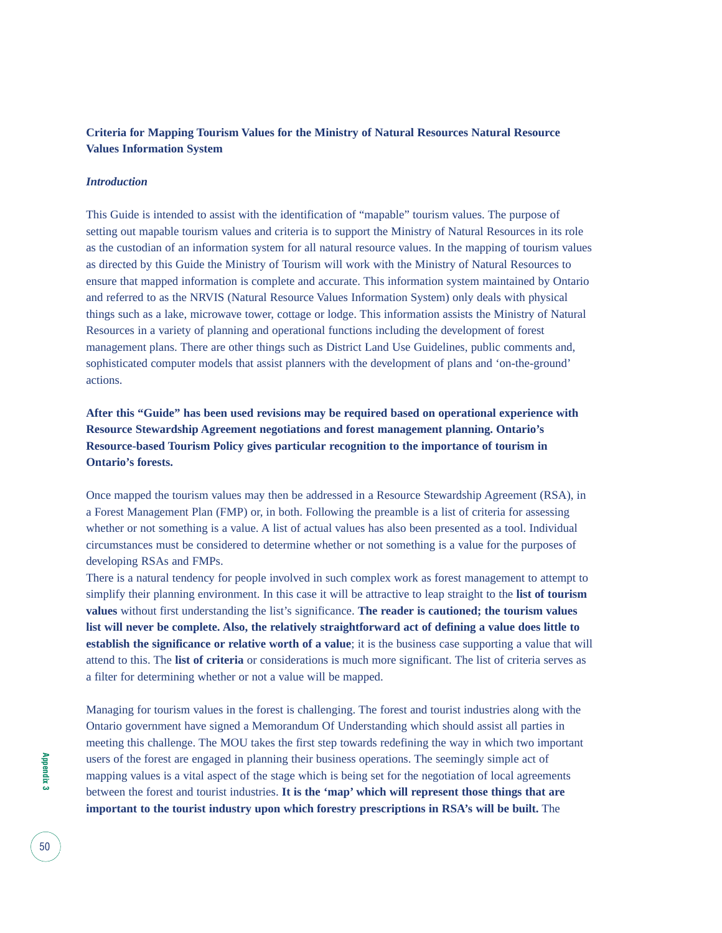#### **Criteria for Mapping Tourism Values for the Ministry of Natural Resources Natural Resource Values Information System**

#### *Introduction*

This Guide is intended to assist with the identification of "mapable" tourism values. The purpose of setting out mapable tourism values and criteria is to support the Ministry of Natural Resources in its role as the custodian of an information system for all natural resource values. In the mapping of tourism values as directed by this Guide the Ministry of Tourism will work with the Ministry of Natural Resources to ensure that mapped information is complete and accurate. This information system maintained by Ontario and referred to as the NRVIS (Natural Resource Values Information System) only deals with physical things such as a lake, microwave tower, cottage or lodge. This information assists the Ministry of Natural Resources in a variety of planning and operational functions including the development of forest management plans. There are other things such as District Land Use Guidelines, public comments and, sophisticated computer models that assist planners with the development of plans and 'on-the-ground' actions.

**After this "Guide" has been used revisions may be required based on operational experience with Resource Stewardship Agreement negotiations and forest management planning. Ontario's Resource-based Tourism Policy gives particular recognition to the importance of tourism in Ontario's forests.**

Once mapped the tourism values may then be addressed in a Resource Stewardship Agreement (RSA), in a Forest Management Plan (FMP) or, in both. Following the preamble is a list of criteria for assessing whether or not something is a value. A list of actual values has also been presented as a tool. Individual circumstances must be considered to determine whether or not something is a value for the purposes of developing RSAs and FMPs.

There is a natural tendency for people involved in such complex work as forest management to attempt to simplify their planning environment. In this case it will be attractive to leap straight to the **list of tourism values** without first understanding the list's significance. **The reader is cautioned; the tourism values list will never be complete. Also, the relatively straightforward act of defining a value does little to establish the significance or relative worth of a value**; it is the business case supporting a value that will attend to this. The **list of criteria** or considerations is much more significant. The list of criteria serves as a filter for determining whether or not a value will be mapped.

Managing for tourism values in the forest is challenging. The forest and tourist industries along with the Ontario government have signed a Memorandum Of Understanding which should assist all parties in meeting this challenge. The MOU takes the first step towards redefining the way in which two important users of the forest are engaged in planning their business operations. The seemingly simple act of mapping values is a vital aspect of the stage which is being set for the negotiation of local agreements between the forest and tourist industries. **It is the 'map' which will represent those things that are important to the tourist industry upon which forestry prescriptions in RSA's will be built.** The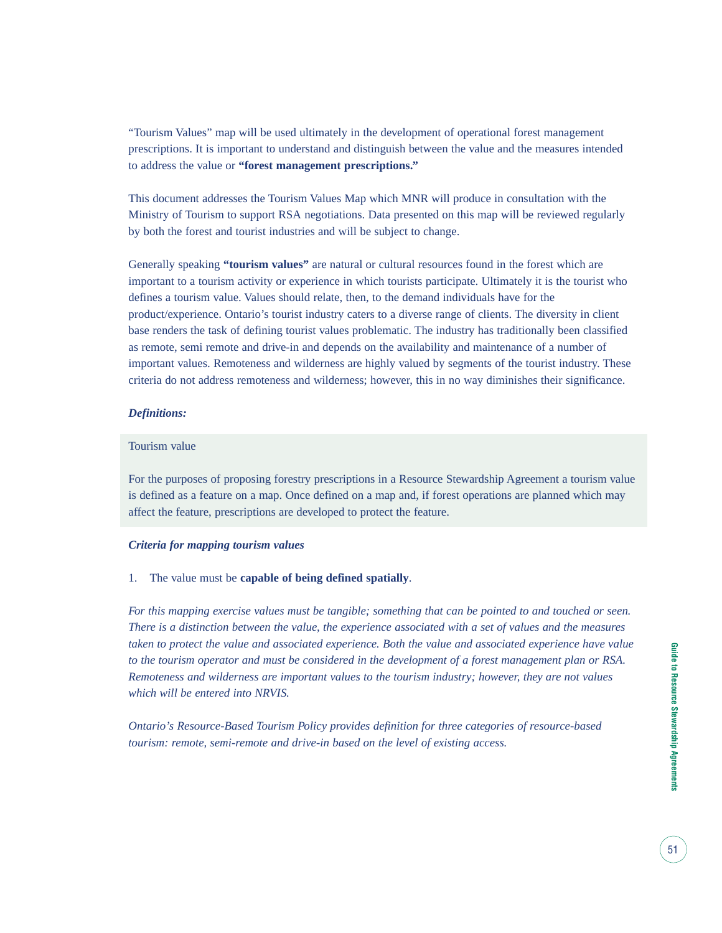"Tourism Values" map will be used ultimately in the development of operational forest management prescriptions. It is important to understand and distinguish between the value and the measures intended to address the value or **"forest management prescriptions."**

This document addresses the Tourism Values Map which MNR will produce in consultation with the Ministry of Tourism to support RSA negotiations. Data presented on this map will be reviewed regularly by both the forest and tourist industries and will be subject to change.

Generally speaking **"tourism values"** are natural or cultural resources found in the forest which are important to a tourism activity or experience in which tourists participate. Ultimately it is the tourist who defines a tourism value. Values should relate, then, to the demand individuals have for the product/experience. Ontario's tourist industry caters to a diverse range of clients. The diversity in client base renders the task of defining tourist values problematic. The industry has traditionally been classified as remote, semi remote and drive-in and depends on the availability and maintenance of a number of important values. Remoteness and wilderness are highly valued by segments of the tourist industry. These criteria do not address remoteness and wilderness; however, this in no way diminishes their significance.

#### *Definitions:*

#### Tourism value

For the purposes of proposing forestry prescriptions in a Resource Stewardship Agreement a tourism value is defined as a feature on a map. Once defined on a map and, if forest operations are planned which may affect the feature, prescriptions are developed to protect the feature.

#### *Criteria for mapping tourism values*

1. The value must be **capable of being defined spatially**.

*For this mapping exercise values must be tangible; something that can be pointed to and touched or seen. There is a distinction between the value, the experience associated with a set of values and the measures taken to protect the value and associated experience. Both the value and associated experience have value to the tourism operator and must be considered in the development of a forest management plan or RSA. Remoteness and wilderness are important values to the tourism industry; however, they are not values which will be entered into NRVIS.*

*Ontario's Resource-Based Tourism Policy provides definition for three categories of resource-based tourism: remote, semi-remote and drive-in based on the level of existing access.*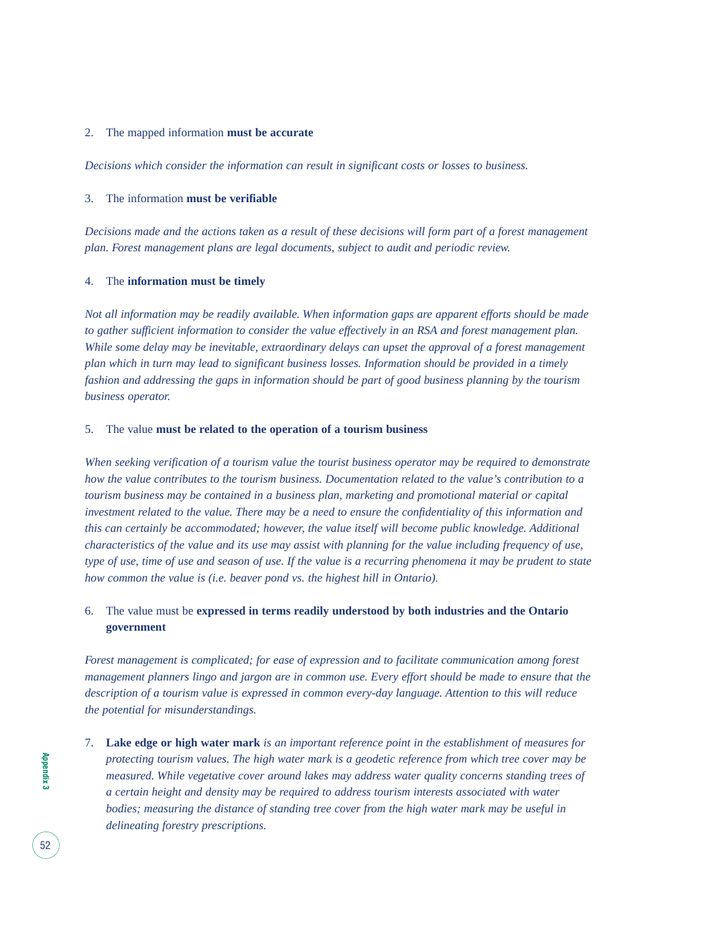#### 2. The mapped information **must be accurate**

*Decisions which consider the information can result in significant costs or losses to business.*

#### 3. The information **must be verifiable**

*Decisions made and the actions taken as a result of these decisions will form part of a forest management plan. Forest management plans are legal documents, subject to audit and periodic review.*

#### 4. The **information must be timely**

*Not all information may be readily available. When information gaps are apparent efforts should be made to gather sufficient information to consider the value effectively in an RSA and forest management plan. While some delay may be inevitable, extraordinary delays can upset the approval of a forest management plan which in turn may lead to significant business losses. Information should be provided in a timely fashion and addressing the gaps in information should be part of good business planning by the tourism business operator.*

#### 5. The value **must be related to the operation of a tourism business**

*When seeking verification of a tourism value the tourist business operator may be required to demonstrate how the value contributes to the tourism business. Documentation related to the value's contribution to a tourism business may be contained in a business plan, marketing and promotional material or capital investment related to the value. There may be a need to ensure the confidentiality of this information and this can certainly be accommodated; however, the value itself will become public knowledge. Additional characteristics of the value and its use may assist with planning for the value including frequency of use, type of use, time of use and season of use. If the value is a recurring phenomena it may be prudent to state how common the value is (i.e. beaver pond vs. the highest hill in Ontario).*

#### 6. The value must be **expressed in terms readily understood by both industries and the Ontario government**

*Forest management is complicated; for ease of expression and to facilitate communication among forest management planners lingo and jargon are in common use. Every effort should be made to ensure that the description of a tourism value is expressed in common every-day language. Attention to this will reduce the potential for misunderstandings.*

7. **Lake edge or high water mark** *is an important reference point in the establishment of measures for protecting tourism values. The high water mark is a geodetic reference from which tree cover may be measured. While vegetative cover around lakes may address water quality concerns standing trees of a certain height and density may be required to address tourism interests associated with water bodies; measuring the distance of standing tree cover from the high water mark may be useful in delineating forestry prescriptions.*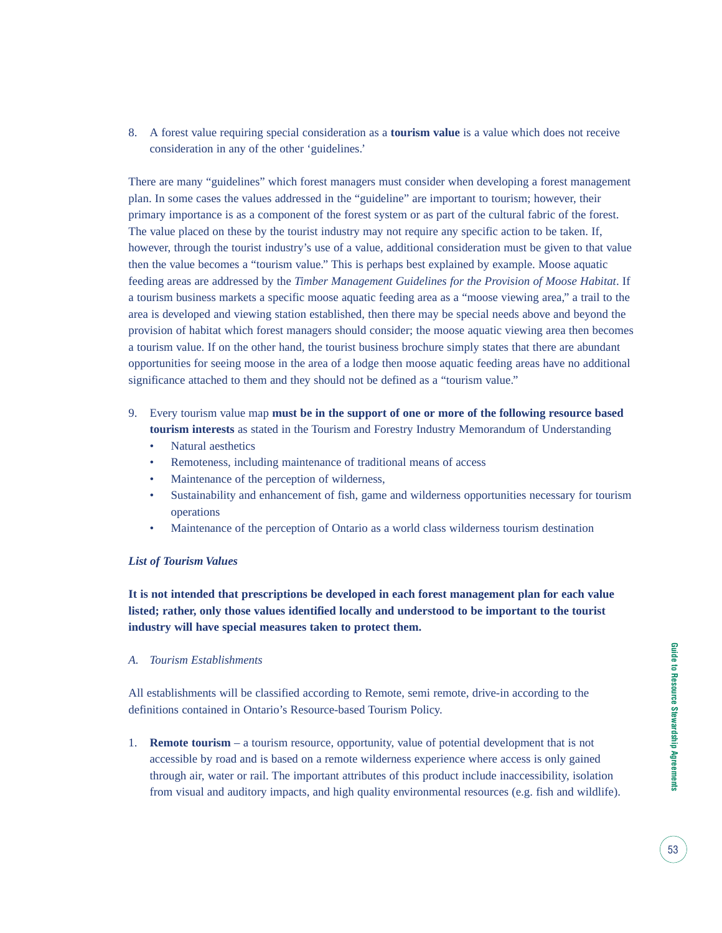8. A forest value requiring special consideration as a **tourism value** is a value which does not receive consideration in any of the other 'guidelines.'

There are many "guidelines" which forest managers must consider when developing a forest management plan. In some cases the values addressed in the "guideline" are important to tourism; however, their primary importance is as a component of the forest system or as part of the cultural fabric of the forest. The value placed on these by the tourist industry may not require any specific action to be taken. If, however, through the tourist industry's use of a value, additional consideration must be given to that value then the value becomes a "tourism value." This is perhaps best explained by example. Moose aquatic feeding areas are addressed by the *Timber Management Guidelines for the Provision of Moose Habitat*. If a tourism business markets a specific moose aquatic feeding area as a "moose viewing area," a trail to the area is developed and viewing station established, then there may be special needs above and beyond the provision of habitat which forest managers should consider; the moose aquatic viewing area then becomes a tourism value. If on the other hand, the tourist business brochure simply states that there are abundant opportunities for seeing moose in the area of a lodge then moose aquatic feeding areas have no additional significance attached to them and they should not be defined as a "tourism value."

- 9. Every tourism value map **must be in the support of one or more of the following resource based tourism interests** as stated in the Tourism and Forestry Industry Memorandum of Understanding
	- Natural aesthetics
	- Remoteness, including maintenance of traditional means of access
	- Maintenance of the perception of wilderness,
	- Sustainability and enhancement of fish, game and wilderness opportunities necessary for tourism operations
	- Maintenance of the perception of Ontario as a world class wilderness tourism destination

#### *List of Tourism Values*

**It is not intended that prescriptions be developed in each forest management plan for each value listed; rather, only those values identified locally and understood to be important to the tourist industry will have special measures taken to protect them.**

*A. Tourism Establishments*

All establishments will be classified according to Remote, semi remote, drive-in according to the definitions contained in Ontario's Resource-based Tourism Policy.

1. **Remote tourism** – a tourism resource, opportunity, value of potential development that is not accessible by road and is based on a remote wilderness experience where access is only gained through air, water or rail. The important attributes of this product include inaccessibility, isolation from visual and auditory impacts, and high quality environmental resources (e.g. fish and wildlife).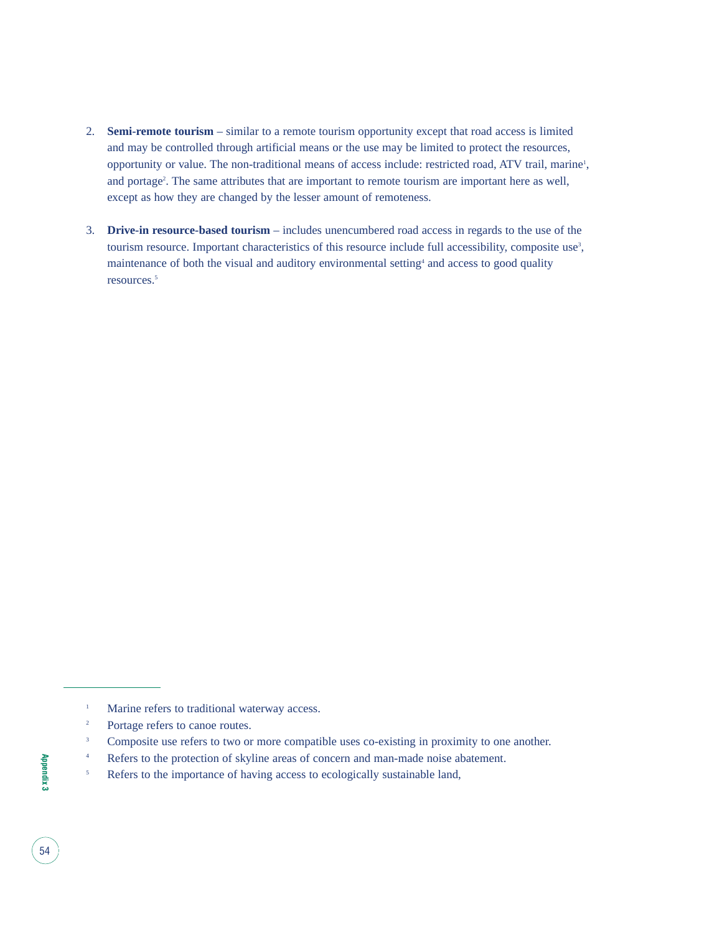- 2. **Semi-remote tourism** similar to a remote tourism opportunity except that road access is limited and may be controlled through artificial means or the use may be limited to protect the resources, opportunity or value. The non-traditional means of access include: restricted road, ATV trail, marine<sup>1</sup>, and portage<sup>2</sup>. The same attributes that are important to remote tourism are important here as well, except as how they are changed by the lesser amount of remoteness.
- 3. **Drive-in resource-based tourism** includes unencumbered road access in regards to the use of the tourism resource. Important characteristics of this resource include full accessibility, composite use<sup>3</sup>, maintenance of both the visual and auditory environmental setting<sup>4</sup> and access to good quality resources.<sup>5</sup>

<sup>&</sup>lt;sup>1</sup> Marine refers to traditional waterway access.

<sup>&</sup>lt;sup>2</sup> Portage refers to canoe routes.

<sup>&</sup>lt;sup>3</sup> Composite use refers to two or more compatible uses co-existing in proximity to one another.

<sup>&</sup>lt;sup>4</sup> Refers to the protection of skyline areas of concern and man-made noise abatement.

<sup>&</sup>lt;sup>5</sup> Refers to the importance of having access to ecologically sustainable land,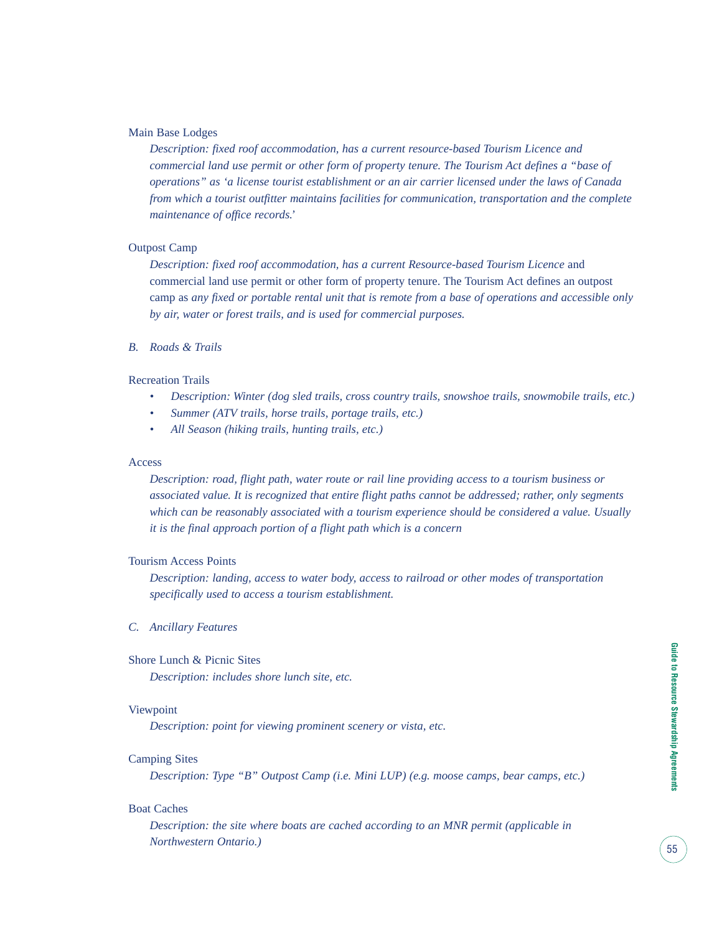#### Main Base Lodges

*Description: fixed roof accommodation, has a current resource-based Tourism Licence and commercial land use permit or other form of property tenure. The Tourism Act defines a "base of operations" as 'a license tourist establishment or an air carrier licensed under the laws of Canada from which a tourist outfitter maintains facilities for communication, transportation and the complete maintenance of office records.'*

#### Outpost Camp

*Description: fixed roof accommodation, has a current Resource-based Tourism Licence* and commercial land use permit or other form of property tenure. The Tourism Act defines an outpost camp as *any fixed or portable rental unit that is remote from a base of operations and accessible only by air, water or forest trails, and is used for commercial purposes.*

*B. Roads & Trails*

#### Recreation Trails

- *Description: Winter (dog sled trails, cross country trails, snowshoe trails, snowmobile trails, etc.)*
- *Summer (ATV trails, horse trails, portage trails, etc.)*
- *All Season (hiking trails, hunting trails, etc.)*

#### Access

*Description: road, flight path, water route or rail line providing access to a tourism business or associated value. It is recognized that entire flight paths cannot be addressed; rather, only segments which can be reasonably associated with a tourism experience should be considered a value. Usually it is the final approach portion of a flight path which is a concern*

#### Tourism Access Points

*Description: landing, access to water body, access to railroad or other modes of transportation specifically used to access a tourism establishment.*

#### *C. Ancillary Features*

#### Shore Lunch & Picnic Sites

*Description: includes shore lunch site, etc.*

#### Viewpoint

*Description: point for viewing prominent scenery or vista, etc.*

#### Camping Sites

*Description: Type "B" Outpost Camp (i.e. Mini LUP) (e.g. moose camps, bear camps, etc.)*

#### Boat Caches

*Description: the site where boats are cached according to an MNR permit (applicable in Northwestern Ontario.)*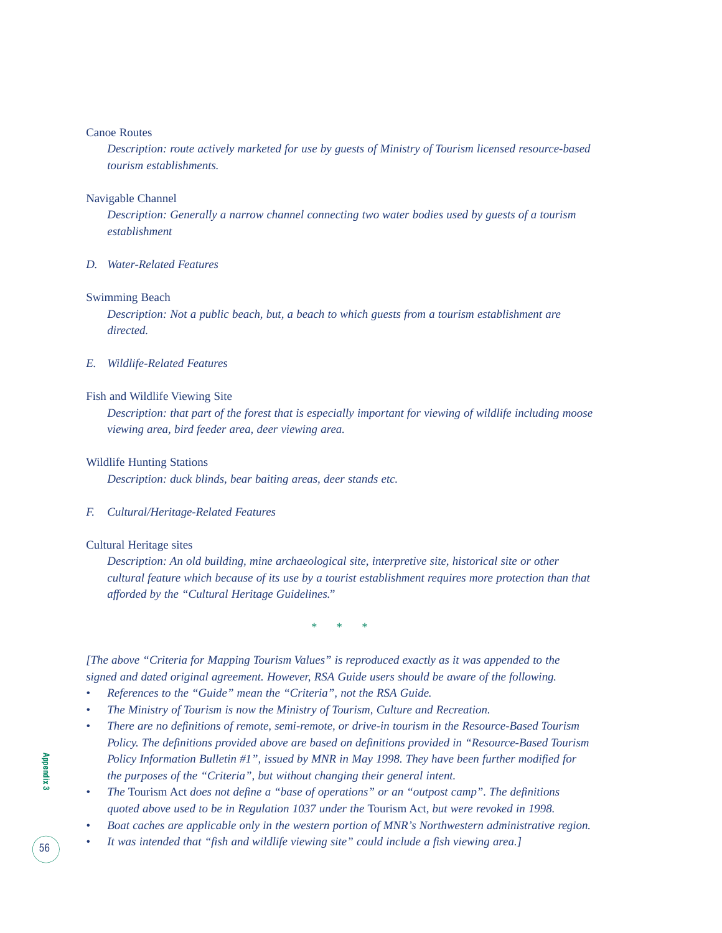#### Canoe Routes

*Description: route actively marketed for use by guests of Ministry of Tourism licensed resource-based tourism establishments.*

#### Navigable Channel

*Description: Generally a narrow channel connecting two water bodies used by guests of a tourism establishment*

#### *D. Water-Related Features*

#### Swimming Beach

*Description: Not a public beach, but, a beach to which guests from a tourism establishment are directed.*

#### *E. Wildlife-Related Features*

#### Fish and Wildlife Viewing Site

*Description: that part of the forest that is especially important for viewing of wildlife including moose viewing area, bird feeder area, deer viewing area.*

#### Wildlife Hunting Stations

*Description: duck blinds, bear baiting areas, deer stands etc.*

#### *F. Cultural/Heritage-Related Features*

#### Cultural Heritage sites

*Description: An old building, mine archaeological site, interpretive site, historical site or other cultural feature which because of its use by a tourist establishment requires more protection than that afforded by the "Cultural Heritage Guidelines."*

\* \* \*

*[The above "Criteria for Mapping Tourism Values" is reproduced exactly as it was appended to the signed and dated original agreement. However, RSA Guide users should be aware of the following.*

- *References to the "Guide" mean the "Criteria", not the RSA Guide.*
- *The Ministry of Tourism is now the Ministry of Tourism, Culture and Recreation.*
- *There are no definitions of remote, semi-remote, or drive-in tourism in the Resource-Based Tourism Policy. The definitions provided above are based on definitions provided in "Resource-Based Tourism Policy Information Bulletin #1", issued by MNR in May 1998. They have been further modified for the purposes of the "Criteria", but without changing their general intent.*
- *The* Tourism Act *does not define a "base of operations" or an "outpost camp". The definitions quoted above used to be in Regulation 1037 under the* Tourism Act*, but were revoked in 1998.*
- *Boat caches are applicable only in the western portion of MNR's Northwestern administrative region.*
- *It was intended that "fish and wildlife viewing site" could include a fish viewing area.]*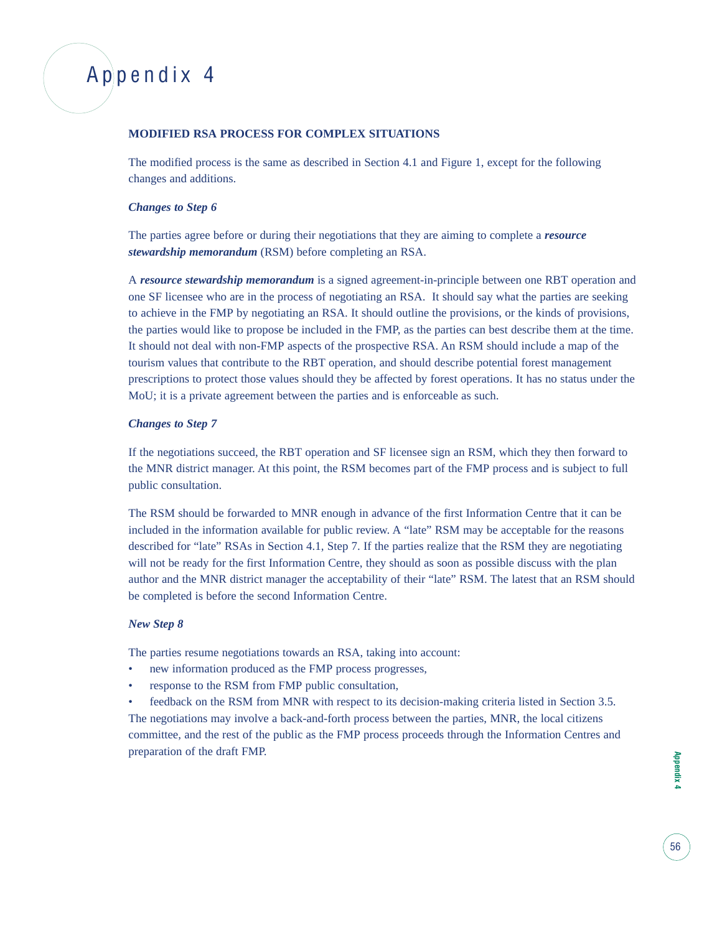## Appendix 4

#### **MODIFIED RSA PROCESS FOR COMPLEX SITUATIONS**

The modified process is the same as described in Section 4.1 and Figure 1, except for the following changes and additions.

#### *Changes to Step 6*

The parties agree before or during their negotiations that they are aiming to complete a *resource stewardship memorandum* (RSM) before completing an RSA.

A *resource stewardship memorandum* is a signed agreement-in-principle between one RBT operation and one SF licensee who are in the process of negotiating an RSA. It should say what the parties are seeking to achieve in the FMP by negotiating an RSA. It should outline the provisions, or the kinds of provisions, the parties would like to propose be included in the FMP, as the parties can best describe them at the time. It should not deal with non-FMP aspects of the prospective RSA. An RSM should include a map of the tourism values that contribute to the RBT operation, and should describe potential forest management prescriptions to protect those values should they be affected by forest operations. It has no status under the MoU; it is a private agreement between the parties and is enforceable as such.

#### *Changes to Step 7*

If the negotiations succeed, the RBT operation and SF licensee sign an RSM, which they then forward to the MNR district manager. At this point, the RSM becomes part of the FMP process and is subject to full public consultation.

The RSM should be forwarded to MNR enough in advance of the first Information Centre that it can be included in the information available for public review. A "late" RSM may be acceptable for the reasons described for "late" RSAs in Section 4.1, Step 7. If the parties realize that the RSM they are negotiating will not be ready for the first Information Centre, they should as soon as possible discuss with the plan author and the MNR district manager the acceptability of their "late" RSM. The latest that an RSM should be completed is before the second Information Centre.

#### *New Step 8*

The parties resume negotiations towards an RSA, taking into account:

- new information produced as the FMP process progresses,
- response to the RSM from FMP public consultation,

• feedback on the RSM from MNR with respect to its decision-making criteria listed in Section 3.5. The negotiations may involve a back-and-forth process between the parties, MNR, the local citizens committee, and the rest of the public as the FMP process proceeds through the Information Centres and preparation of the draft FMP.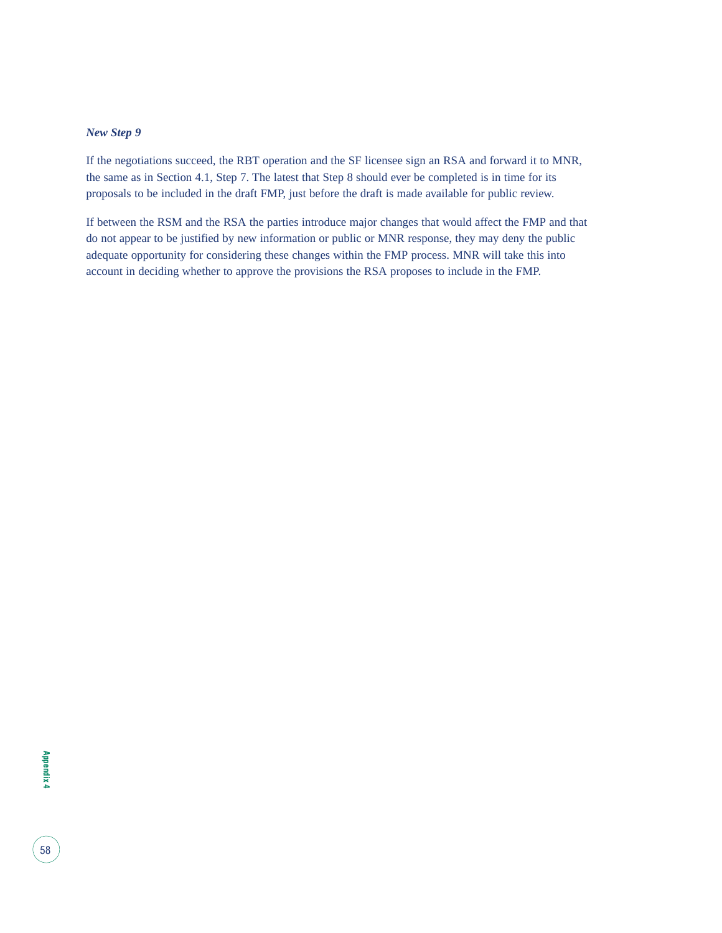#### *New Step 9*

If the negotiations succeed, the RBT operation and the SF licensee sign an RSA and forward it to MNR, the same as in Section 4.1, Step 7. The latest that Step 8 should ever be completed is in time for its proposals to be included in the draft FMP, just before the draft is made available for public review.

If between the RSM and the RSA the parties introduce major changes that would affect the FMP and that do not appear to be justified by new information or public or MNR response, they may deny the public adequate opportunity for considering these changes within the FMP process. MNR will take this into account in deciding whether to approve the provisions the RSA proposes to include in the FMP.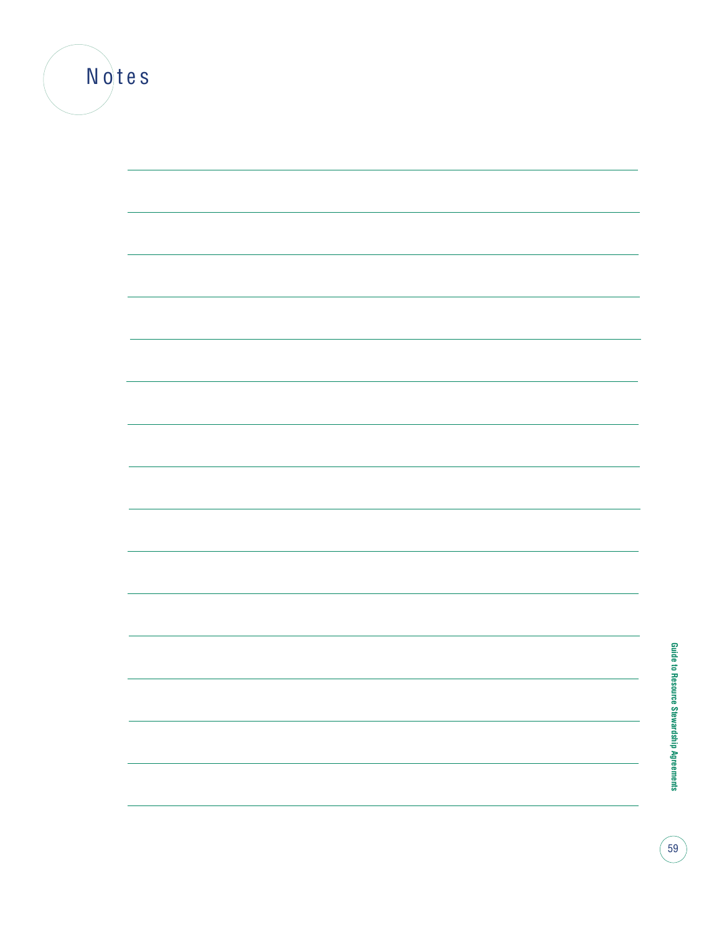| Notes |  |  |  |
|-------|--|--|--|
|       |  |  |  |
|       |  |  |  |
|       |  |  |  |
|       |  |  |  |
|       |  |  |  |
|       |  |  |  |
|       |  |  |  |
|       |  |  |  |
|       |  |  |  |
|       |  |  |  |
|       |  |  |  |
|       |  |  |  |
|       |  |  |  |
|       |  |  |  |
|       |  |  |  |
|       |  |  |  |
|       |  |  |  |
|       |  |  |  |
|       |  |  |  |
|       |  |  |  |

**Guide to Resource Stewardship Agreements Guide to Resource Stewardship Agreements**